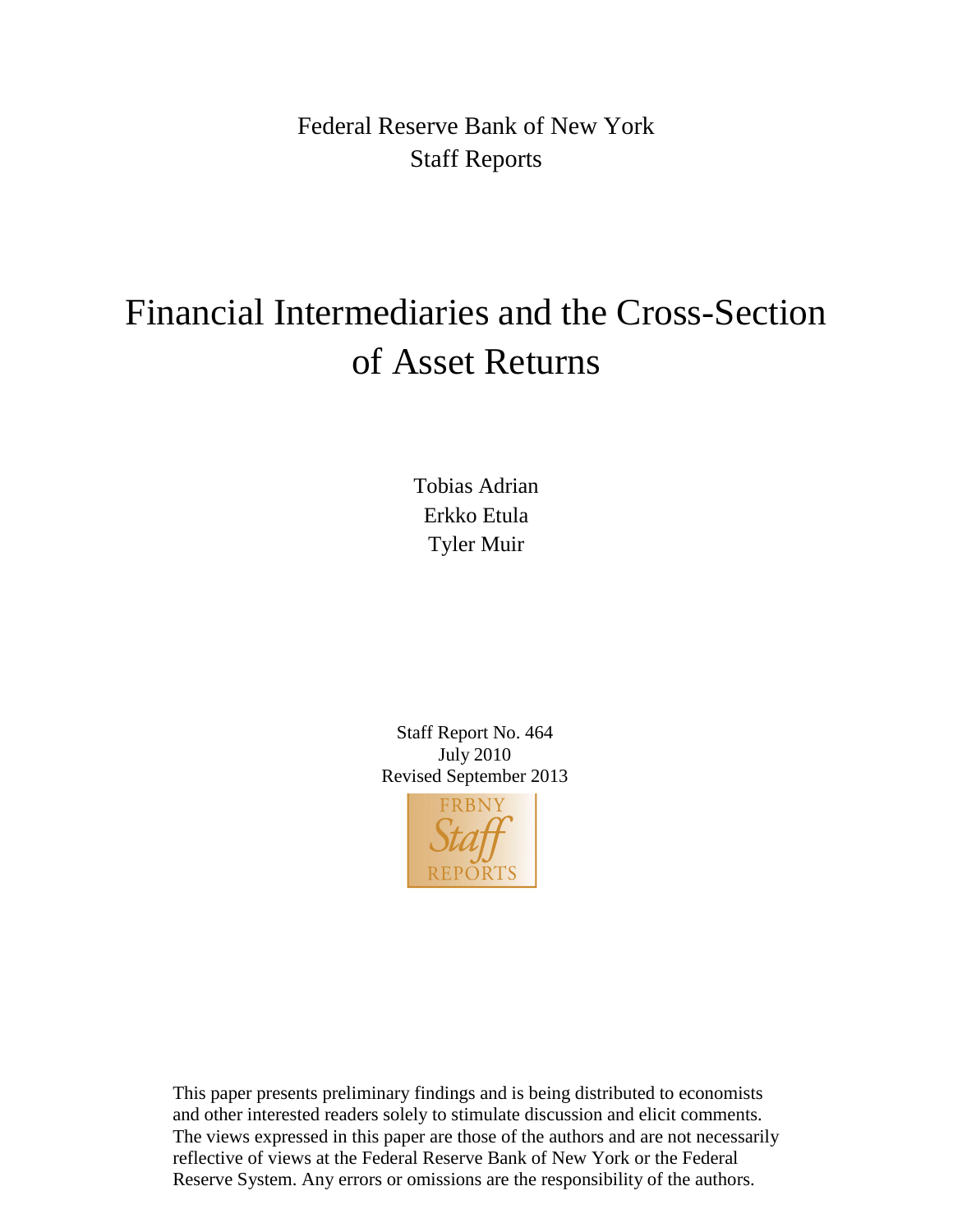Federal Reserve Bank of New York Staff Reports

# Financial Intermediaries and the Cross-Section of Asset Returns

Tobias Adrian Erkko Etula Tyler Muir

Staff Report No. 464 July 2010 Revised September 2013



This paper presents preliminary findings and is being distributed to economists and other interested readers solely to stimulate discussion and elicit comments. The views expressed in this paper are those of the authors and are not necessarily reflective of views at the Federal Reserve Bank of New York or the Federal Reserve System. Any errors or omissions are the responsibility of the authors.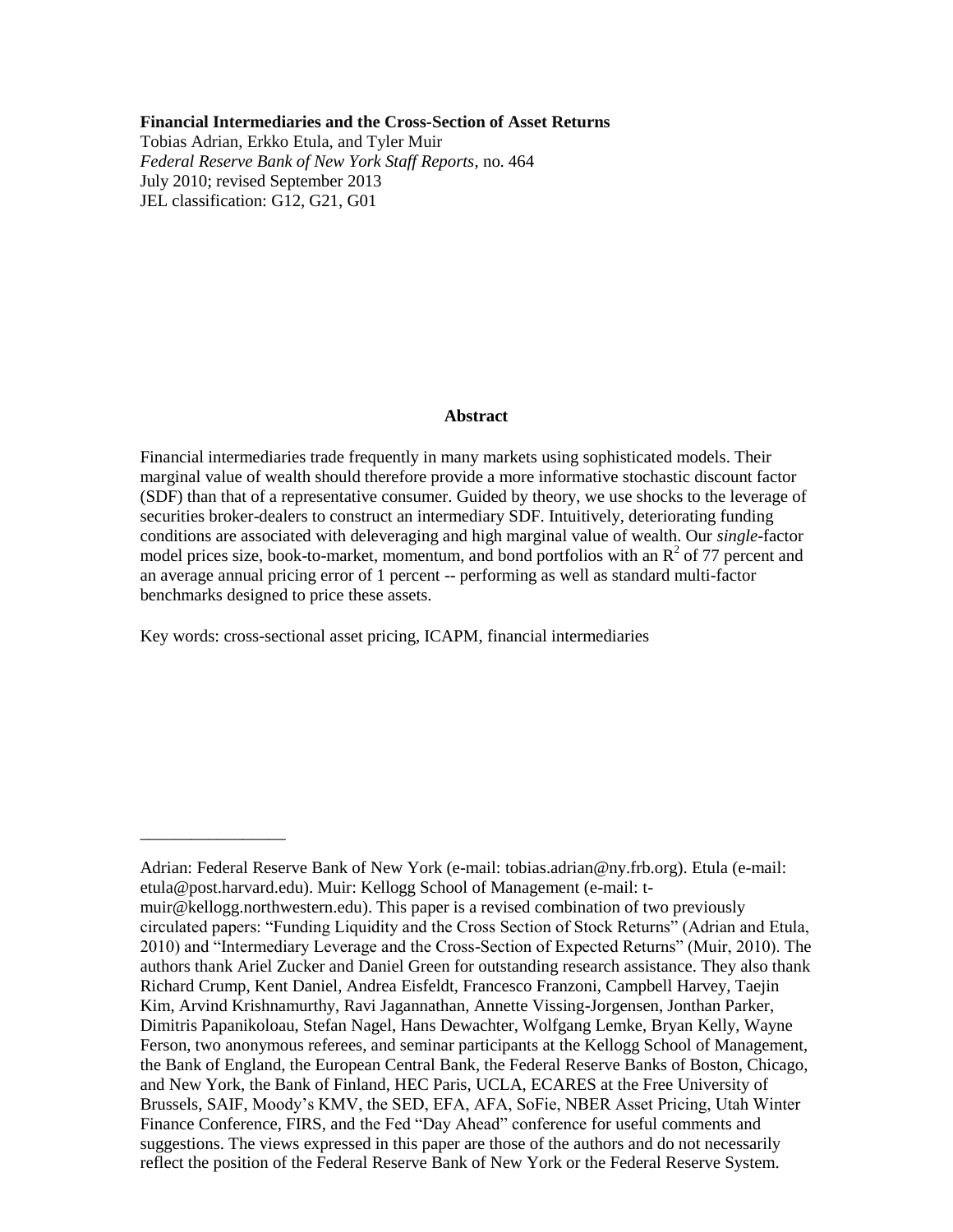#### **Financial Intermediaries and the Cross-Section of Asset Returns**

Tobias Adrian, Erkko Etula, and Tyler Muir *Federal Reserve Bank of New York Staff Reports*, no. 464 July 2010; revised September 2013 JEL classification: G12, G21, G01

#### **Abstract**

Financial intermediaries trade frequently in many markets using sophisticated models. Their marginal value of wealth should therefore provide a more informative stochastic discount factor (SDF) than that of a representative consumer. Guided by theory, we use shocks to the leverage of securities broker-dealers to construct an intermediary SDF. Intuitively, deteriorating funding conditions are associated with deleveraging and high marginal value of wealth. Our *single*-factor model prices size, book-to-market, momentum, and bond portfolios with an  $R^2$  of 77 percent and an average annual pricing error of 1 percent -- performing as well as standard multi-factor benchmarks designed to price these assets.

Key words: cross-sectional asset pricing, ICAPM, financial intermediaries

\_\_\_\_\_\_\_\_\_\_\_\_\_\_\_\_\_

Adrian: Federal Reserve Bank of New York (e-mail: tobias.adrian@ny.frb.org). Etula (e-mail: etula@post.harvard.edu). Muir: Kellogg School of Management (e-mail: tmuir@kellogg.northwestern.edu). This paper is a revised combination of two previously circulated papers: "Funding Liquidity and the Cross Section of Stock Returns" (Adrian and Etula, 2010) and "Intermediary Leverage and the Cross-Section of Expected Returns" (Muir, 2010). The authors thank Ariel Zucker and Daniel Green for outstanding research assistance. They also thank Richard Crump, Kent Daniel, Andrea Eisfeldt, Francesco Franzoni, Campbell Harvey, Taejin Kim, Arvind Krishnamurthy, Ravi Jagannathan, Annette Vissing-Jorgensen, Jonthan Parker, Dimitris Papanikoloau, Stefan Nagel, Hans Dewachter, Wolfgang Lemke, Bryan Kelly, Wayne Ferson, two anonymous referees, and seminar participants at the Kellogg School of Management, the Bank of England, the European Central Bank, the Federal Reserve Banks of Boston, Chicago, and New York, the Bank of Finland, HEC Paris, UCLA, ECARES at the Free University of Brussels, SAIF, Moody's KMV, the SED, EFA, AFA, SoFie, NBER Asset Pricing, Utah Winter Finance Conference, FIRS, and the Fed "Day Ahead" conference for useful comments and suggestions. The views expressed in this paper are those of the authors and do not necessarily reflect the position of the Federal Reserve Bank of New York or the Federal Reserve System.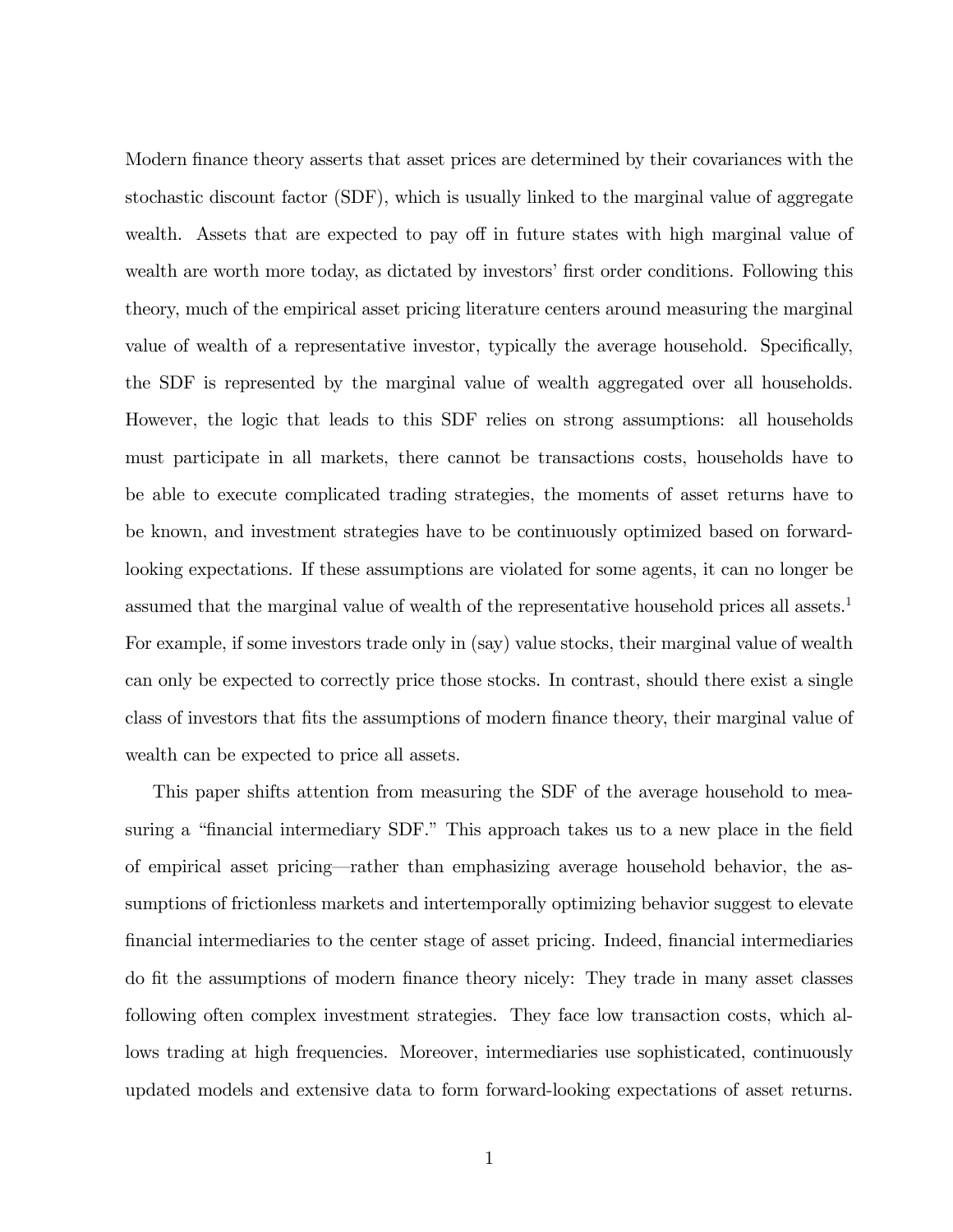Modern finance theory asserts that asset prices are determined by their covariances with the stochastic discount factor (SDF), which is usually linked to the marginal value of aggregate wealth. Assets that are expected to pay off in future states with high marginal value of wealth are worth more today, as dictated by investors' first order conditions. Following this theory, much of the empirical asset pricing literature centers around measuring the marginal value of wealth of a representative investor, typically the average household. Specifically, the SDF is represented by the marginal value of wealth aggregated over all households. However, the logic that leads to this SDF relies on strong assumptions: all households must participate in all markets, there cannot be transactions costs, households have to be able to execute complicated trading strategies, the moments of asset returns have to be known, and investment strategies have to be continuously optimized based on forwardlooking expectations. If these assumptions are violated for some agents, it can no longer be assumed that the marginal value of wealth of the representative household prices all assets.<sup>1</sup> For example, if some investors trade only in (say) value stocks, their marginal value of wealth can only be expected to correctly price those stocks. In contrast, should there exist a single class of investors that fits the assumptions of modern finance theory, their marginal value of wealth can be expected to price all assets.

This paper shifts attention from measuring the SDF of the average household to measuring a "financial intermediary SDF." This approach takes us to a new place in the field of empirical asset pricing—rather than emphasizing average household behavior, the assumptions of frictionless markets and intertemporally optimizing behavior suggest to elevate Önancial intermediaries to the center stage of asset pricing. Indeed, Önancial intermediaries do fit the assumptions of modern finance theory nicely: They trade in many asset classes following often complex investment strategies. They face low transaction costs, which allows trading at high frequencies. Moreover, intermediaries use sophisticated, continuously updated models and extensive data to form forward-looking expectations of asset returns.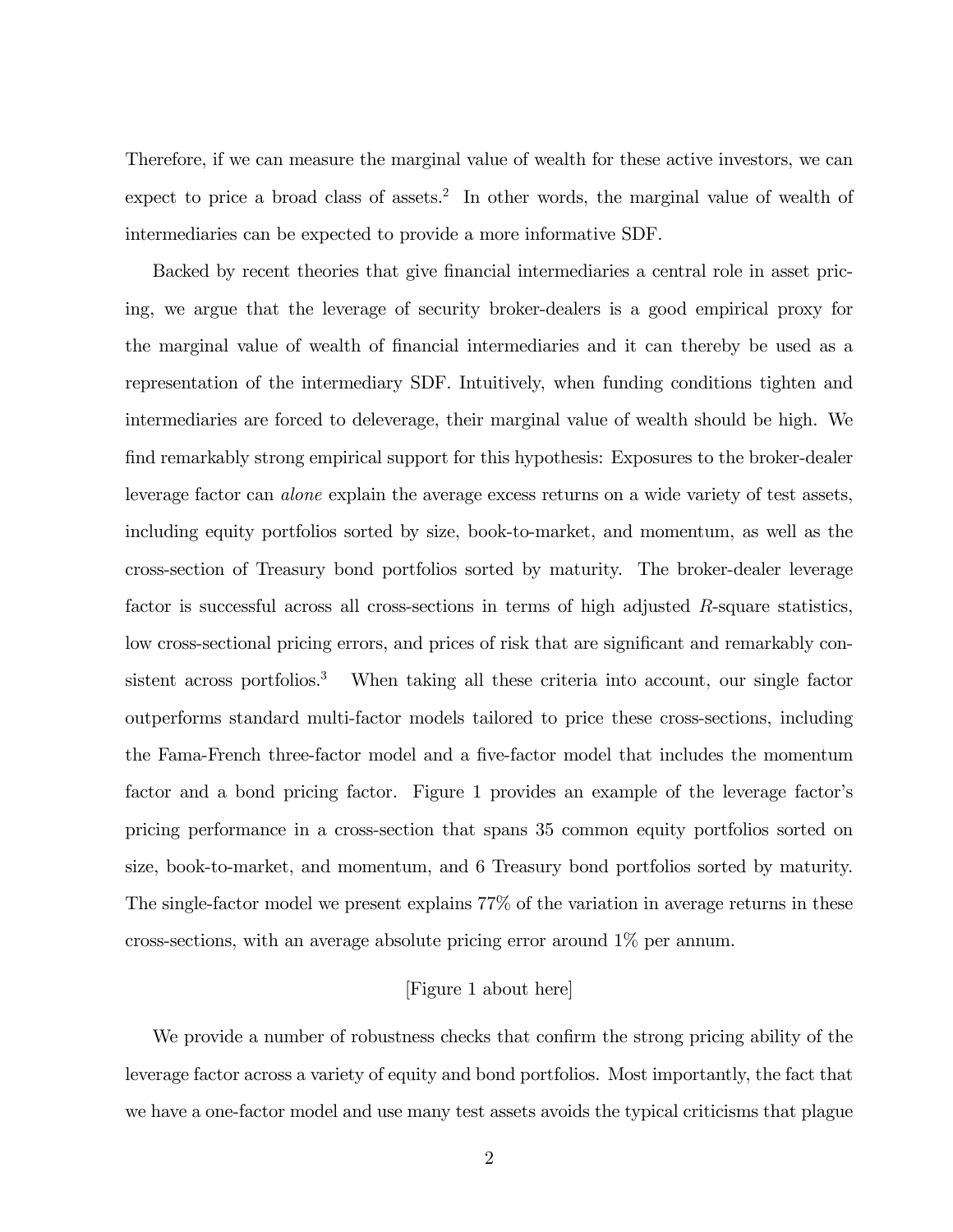Therefore, if we can measure the marginal value of wealth for these active investors, we can expect to price a broad class of assets.<sup>2</sup> In other words, the marginal value of wealth of intermediaries can be expected to provide a more informative SDF.

Backed by recent theories that give financial intermediaries a central role in asset pricing, we argue that the leverage of security broker-dealers is a good empirical proxy for the marginal value of wealth of Önancial intermediaries and it can thereby be used as a representation of the intermediary SDF. Intuitively, when funding conditions tighten and intermediaries are forced to deleverage, their marginal value of wealth should be high. We find remarkably strong empirical support for this hypothesis: Exposures to the broker-dealer leverage factor can alone explain the average excess returns on a wide variety of test assets, including equity portfolios sorted by size, book-to-market, and momentum, as well as the cross-section of Treasury bond portfolios sorted by maturity. The broker-dealer leverage factor is successful across all cross-sections in terms of high adjusted R-square statistics, low cross-sectional pricing errors, and prices of risk that are significant and remarkably consistent across portfolios.<sup>3</sup> When taking all these criteria into account, our single factor outperforms standard multi-factor models tailored to price these cross-sections, including the Fama-French three-factor model and a Öve-factor model that includes the momentum factor and a bond pricing factor. Figure 1 provides an example of the leverage factor's pricing performance in a cross-section that spans 35 common equity portfolios sorted on size, book-to-market, and momentum, and 6 Treasury bond portfolios sorted by maturity. The single-factor model we present explains 77% of the variation in average returns in these cross-sections, with an average absolute pricing error around 1% per annum.

#### [Figure 1 about here]

We provide a number of robustness checks that confirm the strong pricing ability of the leverage factor across a variety of equity and bond portfolios. Most importantly, the fact that we have a one-factor model and use many test assets avoids the typical criticisms that plague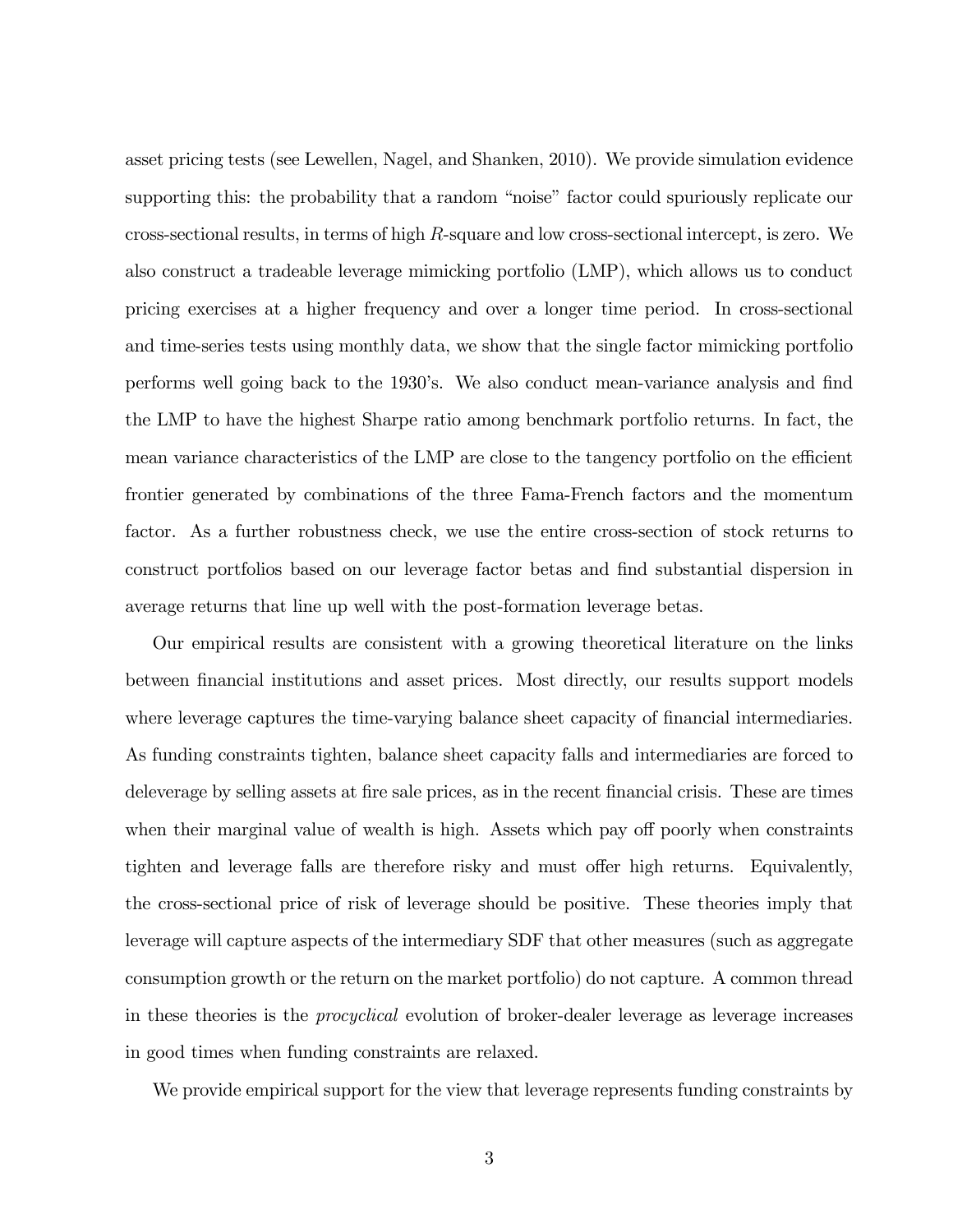asset pricing tests (see Lewellen, Nagel, and Shanken, 2010). We provide simulation evidence supporting this: the probability that a random "noise" factor could spuriously replicate our cross-sectional results, in terms of high R-square and low cross-sectional intercept, is zero. We also construct a tradeable leverage mimicking portfolio (LMP), which allows us to conduct pricing exercises at a higher frequency and over a longer time period. In cross-sectional and time-series tests using monthly data, we show that the single factor mimicking portfolio performs well going back to the 1930's. We also conduct mean-variance analysis and find the LMP to have the highest Sharpe ratio among benchmark portfolio returns. In fact, the mean variance characteristics of the LMP are close to the tangency portfolio on the efficient frontier generated by combinations of the three Fama-French factors and the momentum factor. As a further robustness check, we use the entire cross-section of stock returns to construct portfolios based on our leverage factor betas and find substantial dispersion in average returns that line up well with the post-formation leverage betas.

Our empirical results are consistent with a growing theoretical literature on the links between financial institutions and asset prices. Most directly, our results support models where leverage captures the time-varying balance sheet capacity of financial intermediaries. As funding constraints tighten, balance sheet capacity falls and intermediaries are forced to deleverage by selling assets at fire sale prices, as in the recent financial crisis. These are times when their marginal value of wealth is high. Assets which pay off poorly when constraints tighten and leverage falls are therefore risky and must offer high returns. Equivalently, the cross-sectional price of risk of leverage should be positive. These theories imply that leverage will capture aspects of the intermediary SDF that other measures (such as aggregate consumption growth or the return on the market portfolio) do not capture. A common thread in these theories is the procyclical evolution of broker-dealer leverage as leverage increases in good times when funding constraints are relaxed.

We provide empirical support for the view that leverage represents funding constraints by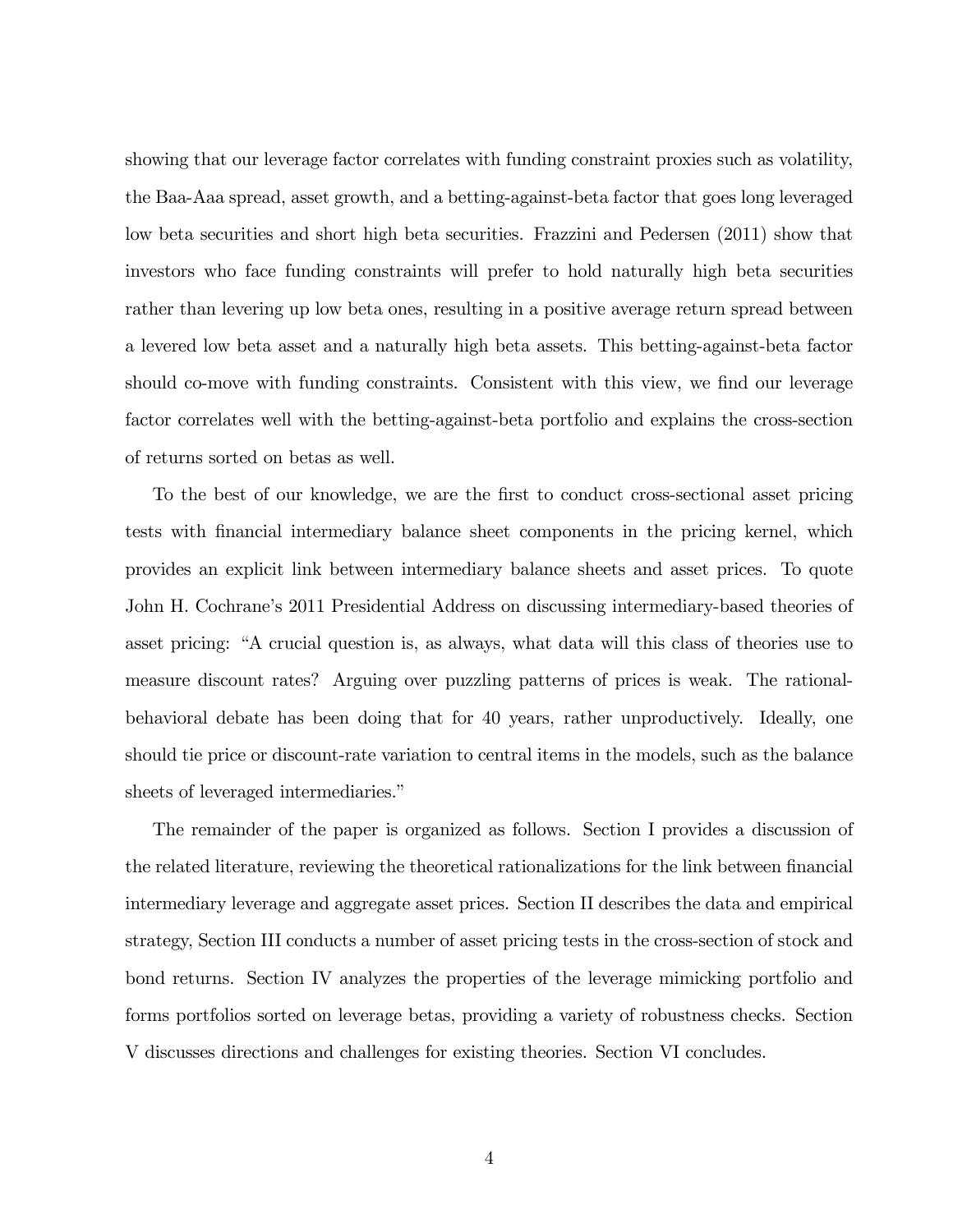showing that our leverage factor correlates with funding constraint proxies such as volatility, the Baa-Aaa spread, asset growth, and a betting-against-beta factor that goes long leveraged low beta securities and short high beta securities. Frazzini and Pedersen (2011) show that investors who face funding constraints will prefer to hold naturally high beta securities rather than levering up low beta ones, resulting in a positive average return spread between a levered low beta asset and a naturally high beta assets. This betting-against-beta factor should co-move with funding constraints. Consistent with this view, we find our leverage factor correlates well with the betting-against-beta portfolio and explains the cross-section of returns sorted on betas as well.

To the best of our knowledge, we are the first to conduct cross-sectional asset pricing tests with Önancial intermediary balance sheet components in the pricing kernel, which provides an explicit link between intermediary balance sheets and asset prices. To quote John H. Cochrane's 2011 Presidential Address on discussing intermediary-based theories of asset pricing: "A crucial question is, as always, what data will this class of theories use to measure discount rates? Arguing over puzzling patterns of prices is weak. The rationalbehavioral debate has been doing that for 40 years, rather unproductively. Ideally, one should tie price or discount-rate variation to central items in the models, such as the balance sheets of leveraged intermediaries."

The remainder of the paper is organized as follows. Section I provides a discussion of the related literature, reviewing the theoretical rationalizations for the link between financial intermediary leverage and aggregate asset prices. Section II describes the data and empirical strategy, Section III conducts a number of asset pricing tests in the cross-section of stock and bond returns. Section IV analyzes the properties of the leverage mimicking portfolio and forms portfolios sorted on leverage betas, providing a variety of robustness checks. Section V discusses directions and challenges for existing theories. Section VI concludes.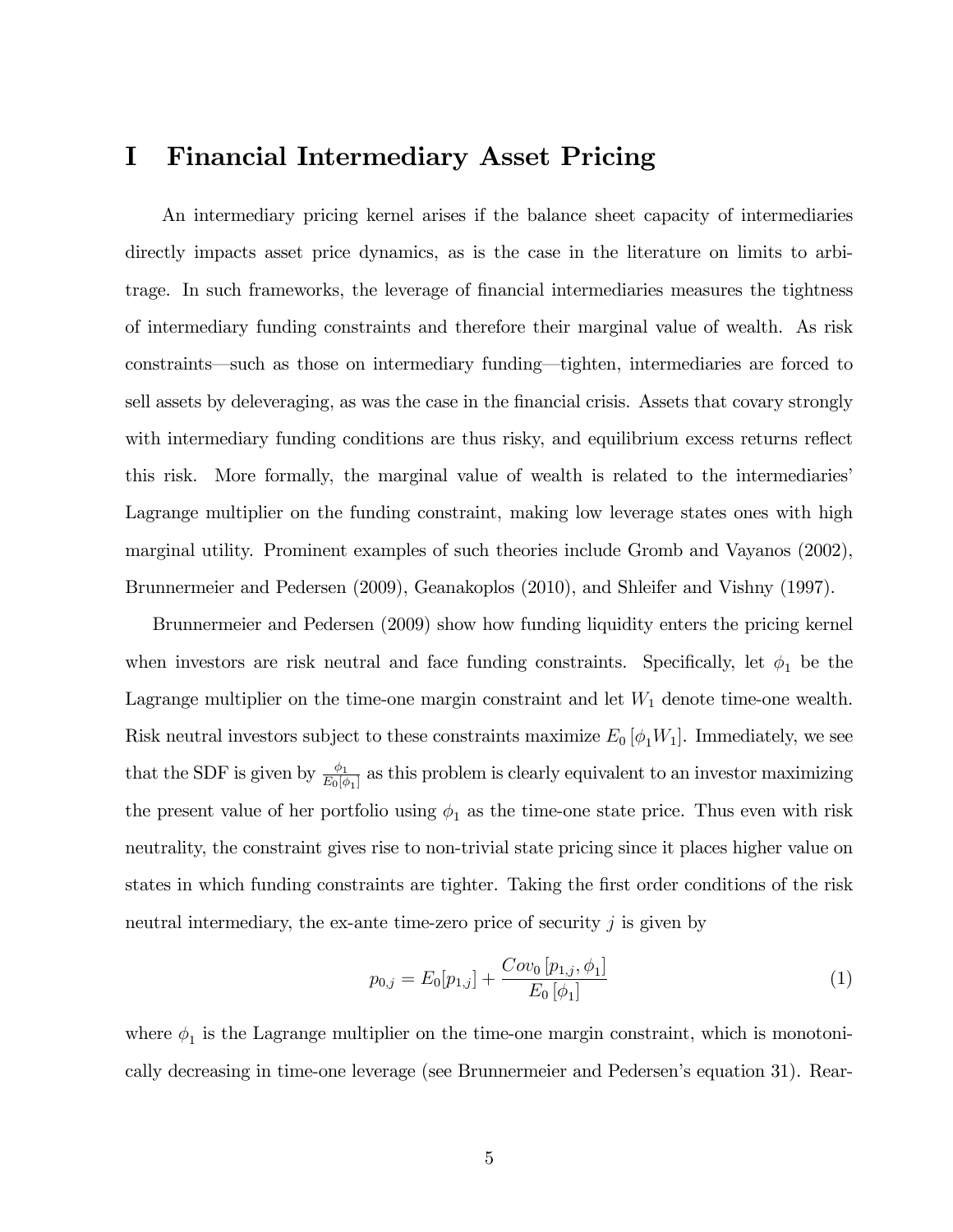# I Financial Intermediary Asset Pricing

An intermediary pricing kernel arises if the balance sheet capacity of intermediaries directly impacts asset price dynamics, as is the case in the literature on limits to arbitrage. In such frameworks, the leverage of financial intermediaries measures the tightness of intermediary funding constraints and therefore their marginal value of wealth. As risk constraints—such as those on intermediary funding—tighten, intermediaries are forced to sell assets by deleveraging, as was the case in the financial crisis. Assets that covary strongly with intermediary funding conditions are thus risky, and equilibrium excess returns reflect this risk. More formally, the marginal value of wealth is related to the intermediaries Lagrange multiplier on the funding constraint, making low leverage states ones with high marginal utility. Prominent examples of such theories include Gromb and Vayanos (2002), Brunnermeier and Pedersen (2009), Geanakoplos (2010), and Shleifer and Vishny (1997).

Brunnermeier and Pedersen (2009) show how funding liquidity enters the pricing kernel when investors are risk neutral and face funding constraints. Specifically, let  $\phi_1$  be the Lagrange multiplier on the time-one margin constraint and let  $W_1$  denote time-one wealth. Risk neutral investors subject to these constraints maximize  $E_0 \left[ \phi_1 W_1 \right]$ . Immediately, we see that the SDF is given by  $\frac{\phi_1}{E_0[\phi_1]}$  as this problem is clearly equivalent to an investor maximizing the present value of her portfolio using  $\phi_1$  as the time-one state price. Thus even with risk neutrality, the constraint gives rise to non-trivial state pricing since it places higher value on states in which funding constraints are tighter. Taking the first order conditions of the risk neutral intermediary, the ex-ante time-zero price of security  $j$  is given by

$$
p_{0,j} = E_0[p_{1,j}] + \frac{Cov_0[p_{1,j}, \phi_1]}{E_0[\phi_1]}
$$
\n(1)

where  $\phi_1$  is the Lagrange multiplier on the time-one margin constraint, which is monotonically decreasing in time-one leverage (see Brunnermeier and Pedersen's equation 31). Rear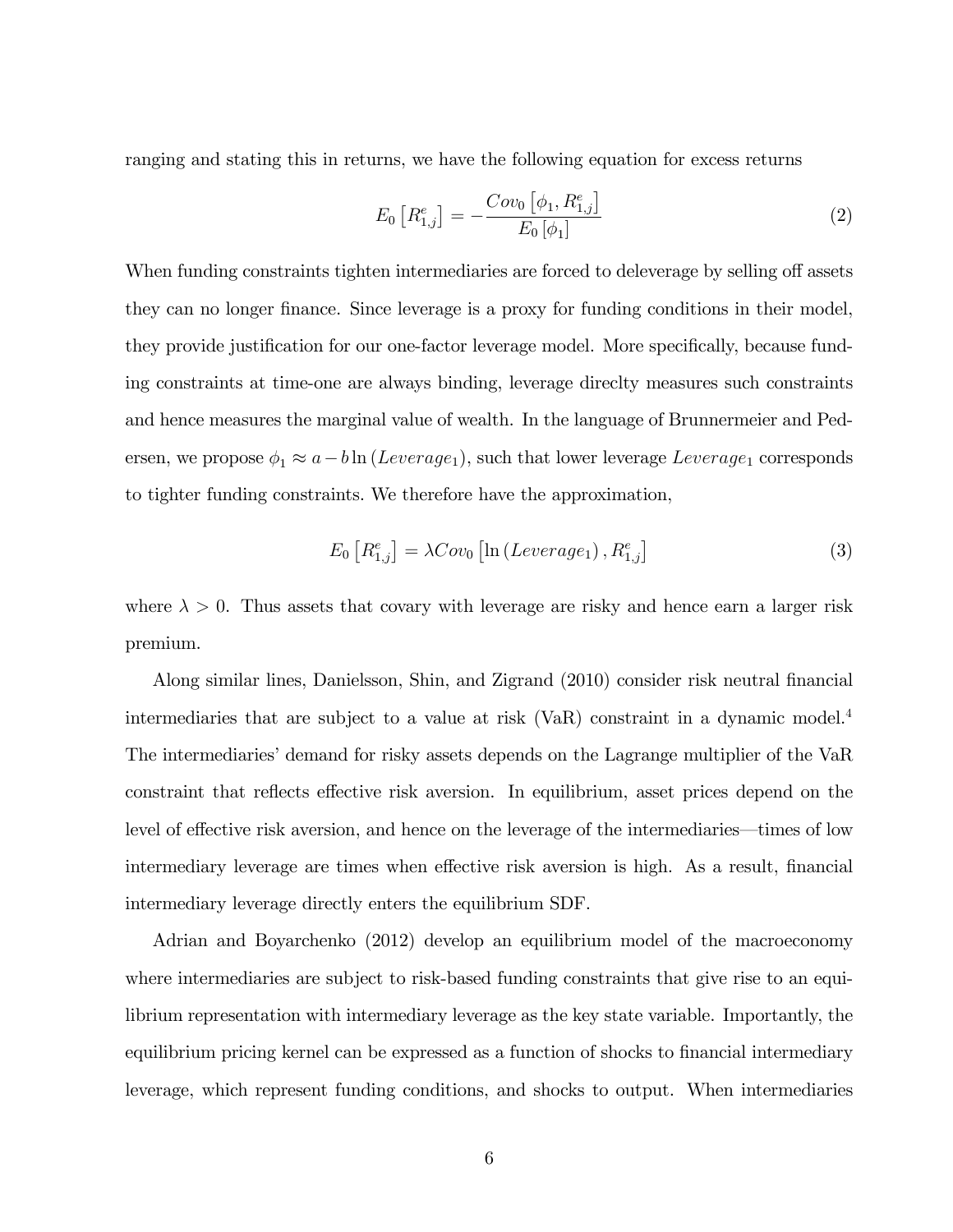ranging and stating this in returns, we have the following equation for excess returns

$$
E_0\left[R_{1,j}^e\right] = -\frac{Cov_0\left[\phi_1, R_{1,j}^e\right]}{E_0\left[\phi_1\right]}
$$
\n(2)

When funding constraints tighten intermediaries are forced to deleverage by selling off assets they can no longer finance. Since leverage is a proxy for funding conditions in their model, they provide justification for our one-factor leverage model. More specifically, because funding constraints at time-one are always binding, leverage direclty measures such constraints and hence measures the marginal value of wealth. In the language of Brunnermeier and Pedersen, we propose  $\phi_1 \approx a - b \ln (Leverage_1)$ , such that lower leverage  $Leverage_1$  corresponds to tighter funding constraints. We therefore have the approximation,

$$
E_0\left[R_{1,j}^e\right] = \lambda Cov_0\left[\ln\left(Leverage_1\right), R_{1,j}^e\right] \tag{3}
$$

where  $\lambda > 0$ . Thus assets that covary with leverage are risky and hence earn a larger risk premium.

Along similar lines, Danielsson, Shin, and Zigrand (2010) consider risk neutral financial intermediaries that are subject to a value at risk (VaR) constraint in a dynamic model.<sup>4</sup> The intermediaries' demand for risky assets depends on the Lagrange multiplier of the VaR constraint that reflects effective risk aversion. In equilibrium, asset prices depend on the level of effective risk aversion, and hence on the leverage of the intermediaries—times of low intermediary leverage are times when effective risk aversion is high. As a result, financial intermediary leverage directly enters the equilibrium SDF.

Adrian and Boyarchenko (2012) develop an equilibrium model of the macroeconomy where intermediaries are subject to risk-based funding constraints that give rise to an equilibrium representation with intermediary leverage as the key state variable. Importantly, the equilibrium pricing kernel can be expressed as a function of shocks to financial intermediary leverage, which represent funding conditions, and shocks to output. When intermediaries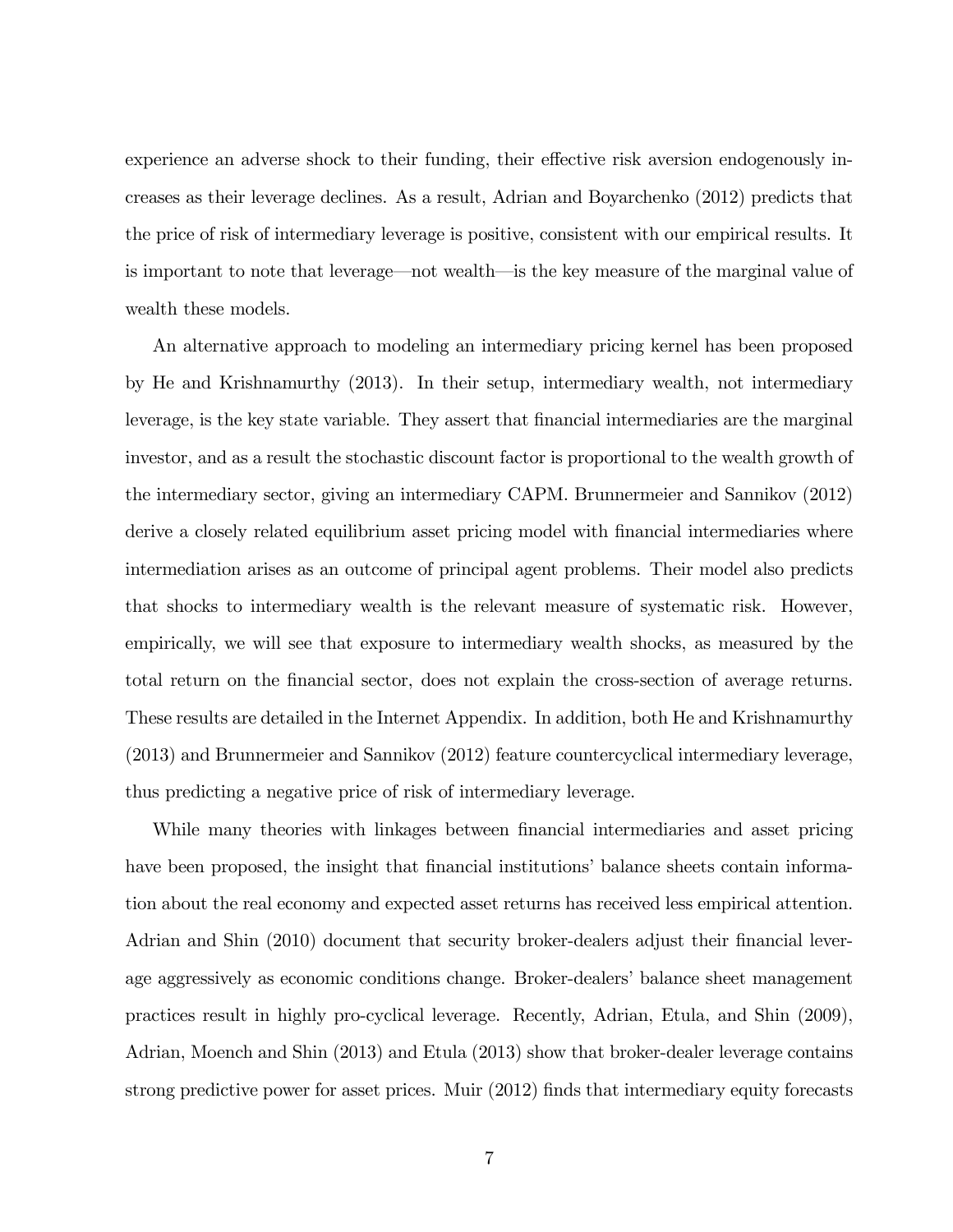experience an adverse shock to their funding, their effective risk aversion endogenously increases as their leverage declines. As a result, Adrian and Boyarchenko (2012) predicts that the price of risk of intermediary leverage is positive, consistent with our empirical results. It is important to note that leverage—not wealth—is the key measure of the marginal value of wealth these models.

An alternative approach to modeling an intermediary pricing kernel has been proposed by He and Krishnamurthy (2013). In their setup, intermediary wealth, not intermediary leverage, is the key state variable. They assert that financial intermediaries are the marginal investor, and as a result the stochastic discount factor is proportional to the wealth growth of the intermediary sector, giving an intermediary CAPM. Brunnermeier and Sannikov (2012) derive a closely related equilibrium asset pricing model with financial intermediaries where intermediation arises as an outcome of principal agent problems. Their model also predicts that shocks to intermediary wealth is the relevant measure of systematic risk. However, empirically, we will see that exposure to intermediary wealth shocks, as measured by the total return on the Önancial sector, does not explain the cross-section of average returns. These results are detailed in the Internet Appendix. In addition, both He and Krishnamurthy (2013) and Brunnermeier and Sannikov (2012) feature countercyclical intermediary leverage, thus predicting a negative price of risk of intermediary leverage.

While many theories with linkages between financial intermediaries and asset pricing have been proposed, the insight that financial institutions' balance sheets contain information about the real economy and expected asset returns has received less empirical attention. Adrian and Shin (2010) document that security broker-dealers adjust their financial leverage aggressively as economic conditions change. Broker-dealers' balance sheet management practices result in highly pro-cyclical leverage. Recently, Adrian, Etula, and Shin (2009), Adrian, Moench and Shin (2013) and Etula (2013) show that broker-dealer leverage contains strong predictive power for asset prices. Muir (2012) finds that intermediary equity forecasts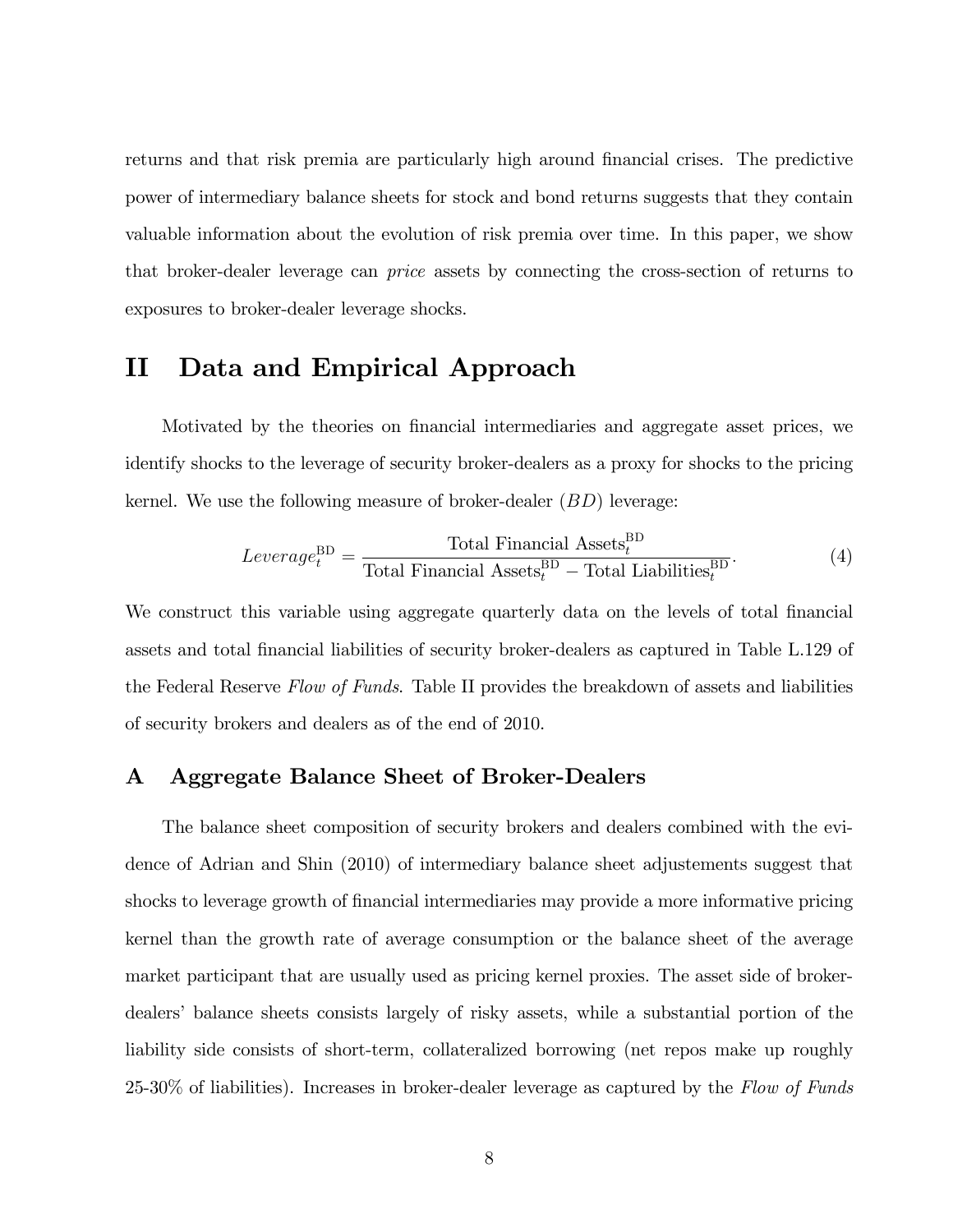returns and that risk premia are particularly high around financial crises. The predictive power of intermediary balance sheets for stock and bond returns suggests that they contain valuable information about the evolution of risk premia over time. In this paper, we show that broker-dealer leverage can price assets by connecting the cross-section of returns to exposures to broker-dealer leverage shocks.

# II Data and Empirical Approach

Motivated by the theories on Önancial intermediaries and aggregate asset prices, we identify shocks to the leverage of security broker-dealers as a proxy for shocks to the pricing kernel. We use the following measure of broker-dealer  $(BD)$  leverage:

$$
Leverage_t^{BD} = \frac{\text{Total Financial Assets}_t^{\text{BD}}}{\text{Total Financial Assets}_t^{\text{BD}} - \text{Total Liabilities}_t^{\text{BD}}}.
$$
 (4)

We construct this variable using aggregate quarterly data on the levels of total financial assets and total Önancial liabilities of security broker-dealers as captured in Table L.129 of the Federal Reserve Flow of Funds. Table II provides the breakdown of assets and liabilities of security brokers and dealers as of the end of 2010.

# A Aggregate Balance Sheet of Broker-Dealers

The balance sheet composition of security brokers and dealers combined with the evidence of Adrian and Shin (2010) of intermediary balance sheet adjustements suggest that shocks to leverage growth of financial intermediaries may provide a more informative pricing kernel than the growth rate of average consumption or the balance sheet of the average market participant that are usually used as pricing kernel proxies. The asset side of brokerdealersí balance sheets consists largely of risky assets, while a substantial portion of the liability side consists of short-term, collateralized borrowing (net repos make up roughly  $25-30\%$  of liabilities). Increases in broker-dealer leverage as captured by the Flow of Funds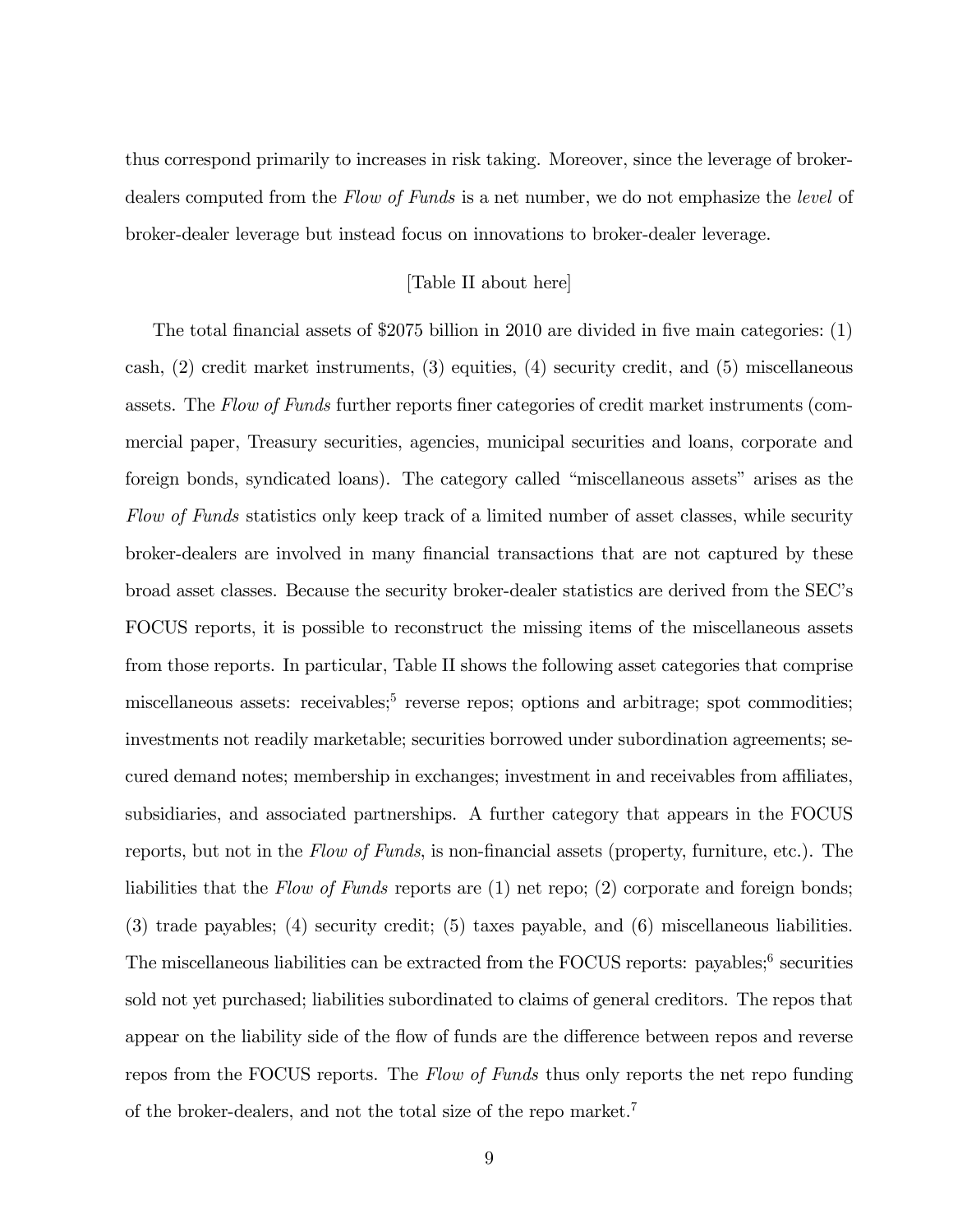thus correspond primarily to increases in risk taking. Moreover, since the leverage of brokerdealers computed from the Flow of Funds is a net number, we do not emphasize the level of broker-dealer leverage but instead focus on innovations to broker-dealer leverage.

### [Table II about here]

The total financial assets of \$2075 billion in 2010 are divided in five main categories:  $(1)$ cash, (2) credit market instruments, (3) equities, (4) security credit, and (5) miscellaneous assets. The Flow of Funds further reports finer categories of credit market instruments (commercial paper, Treasury securities, agencies, municipal securities and loans, corporate and foreign bonds, syndicated loans). The category called "miscellaneous assets" arises as the Flow of Funds statistics only keep track of a limited number of asset classes, while security broker-dealers are involved in many Önancial transactions that are not captured by these broad asset classes. Because the security broker-dealer statistics are derived from the SECís FOCUS reports, it is possible to reconstruct the missing items of the miscellaneous assets from those reports. In particular, Table II shows the following asset categories that comprise miscellaneous assets: receivables;<sup>5</sup> reverse repos; options and arbitrage; spot commodities; investments not readily marketable; securities borrowed under subordination agreements; secured demand notes; membership in exchanges; investment in and receivables from affiliates, subsidiaries, and associated partnerships. A further category that appears in the FOCUS reports, but not in the Flow of Funds, is non-financial assets (property, furniture, etc.). The liabilities that the Flow of Funds reports are (1) net repo; (2) corporate and foreign bonds; (3) trade payables; (4) security credit; (5) taxes payable, and (6) miscellaneous liabilities. The miscellaneous liabilities can be extracted from the FOCUS reports: payables;<sup>6</sup> securities sold not yet purchased; liabilities subordinated to claims of general creditors. The repos that appear on the liability side of the flow of funds are the difference between repos and reverse repos from the FOCUS reports. The Flow of Funds thus only reports the net repo funding of the broker-dealers, and not the total size of the repo market.<sup>7</sup>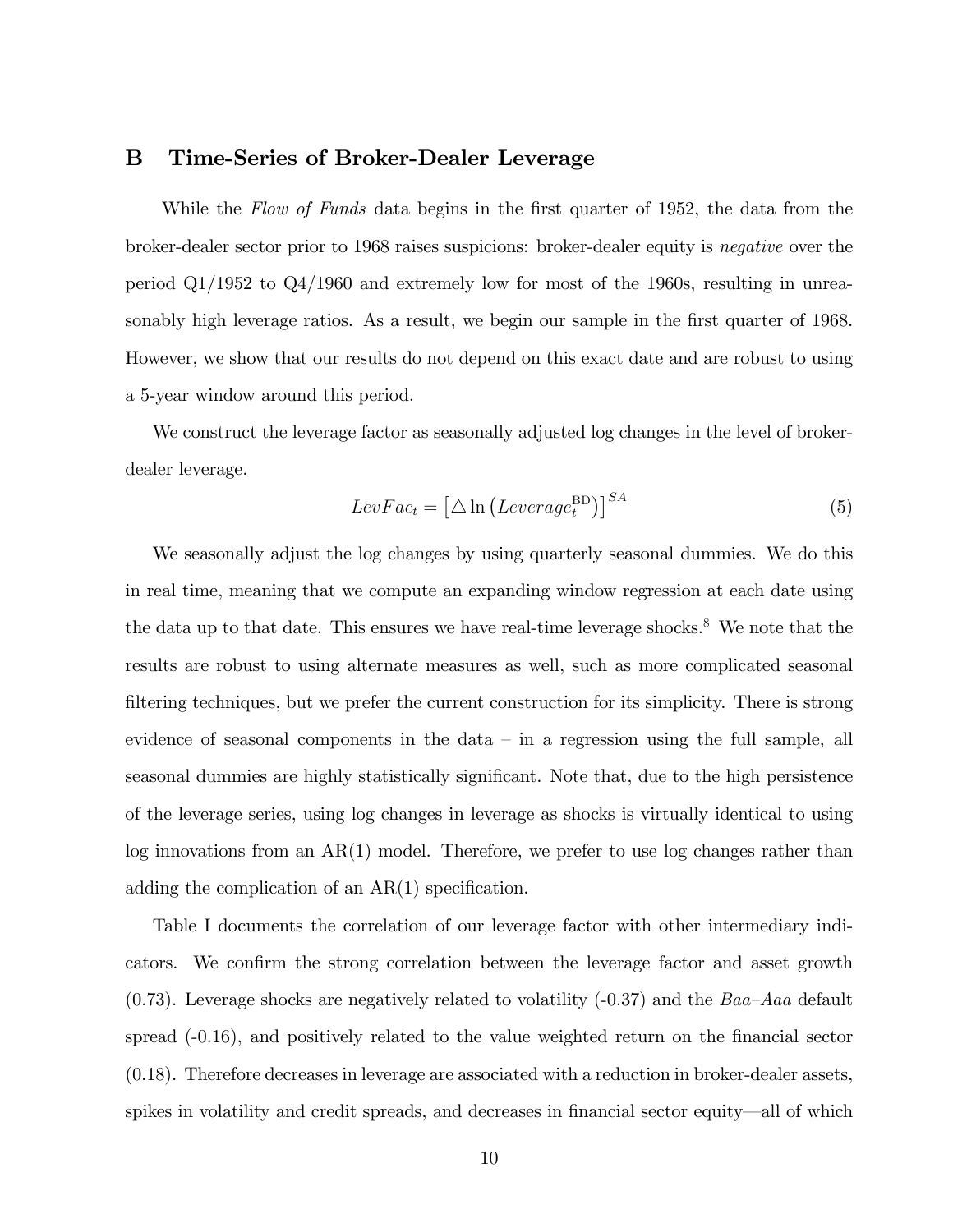# B Time-Series of Broker-Dealer Leverage

While the Flow of Funds data begins in the first quarter of 1952, the data from the broker-dealer sector prior to 1968 raises suspicions: broker-dealer equity is negative over the period  $Q1/1952$  to  $Q4/1960$  and extremely low for most of the 1960s, resulting in unreasonably high leverage ratios. As a result, we begin our sample in the first quarter of 1968. However, we show that our results do not depend on this exact date and are robust to using a 5-year window around this period.

We construct the leverage factor as seasonally adjusted log changes in the level of brokerdealer leverage.

$$
LevFac_t = \left[\triangle \ln \left( Leverage_t^{BD} \right) \right]^{SA} \tag{5}
$$

We seasonally adjust the log changes by using quarterly seasonal dummies. We do this in real time, meaning that we compute an expanding window regression at each date using the data up to that date. This ensures we have real-time leverage shocks.<sup>8</sup> We note that the results are robust to using alternate measures as well, such as more complicated seasonal filtering techniques, but we prefer the current construction for its simplicity. There is strong evidence of seasonal components in the data  $-\text{ in a regression using the full sample, all}$ seasonal dummies are highly statistically significant. Note that, due to the high persistence of the leverage series, using log changes in leverage as shocks is virtually identical to using log innovations from an AR(1) model. Therefore, we prefer to use log changes rather than adding the complication of an  $AR(1)$  specification.

Table I documents the correlation of our leverage factor with other intermediary indicators. We confirm the strong correlation between the leverage factor and asset growth  $(0.73)$ . Leverage shocks are negatively related to volatility  $(-0.37)$  and the Baa–Aaa default spread  $(-0.16)$ , and positively related to the value weighted return on the financial sector (0.18). Therefore decreases in leverage are associated with a reduction in broker-dealer assets, spikes in volatility and credit spreads, and decreases in financial sector equity—all of which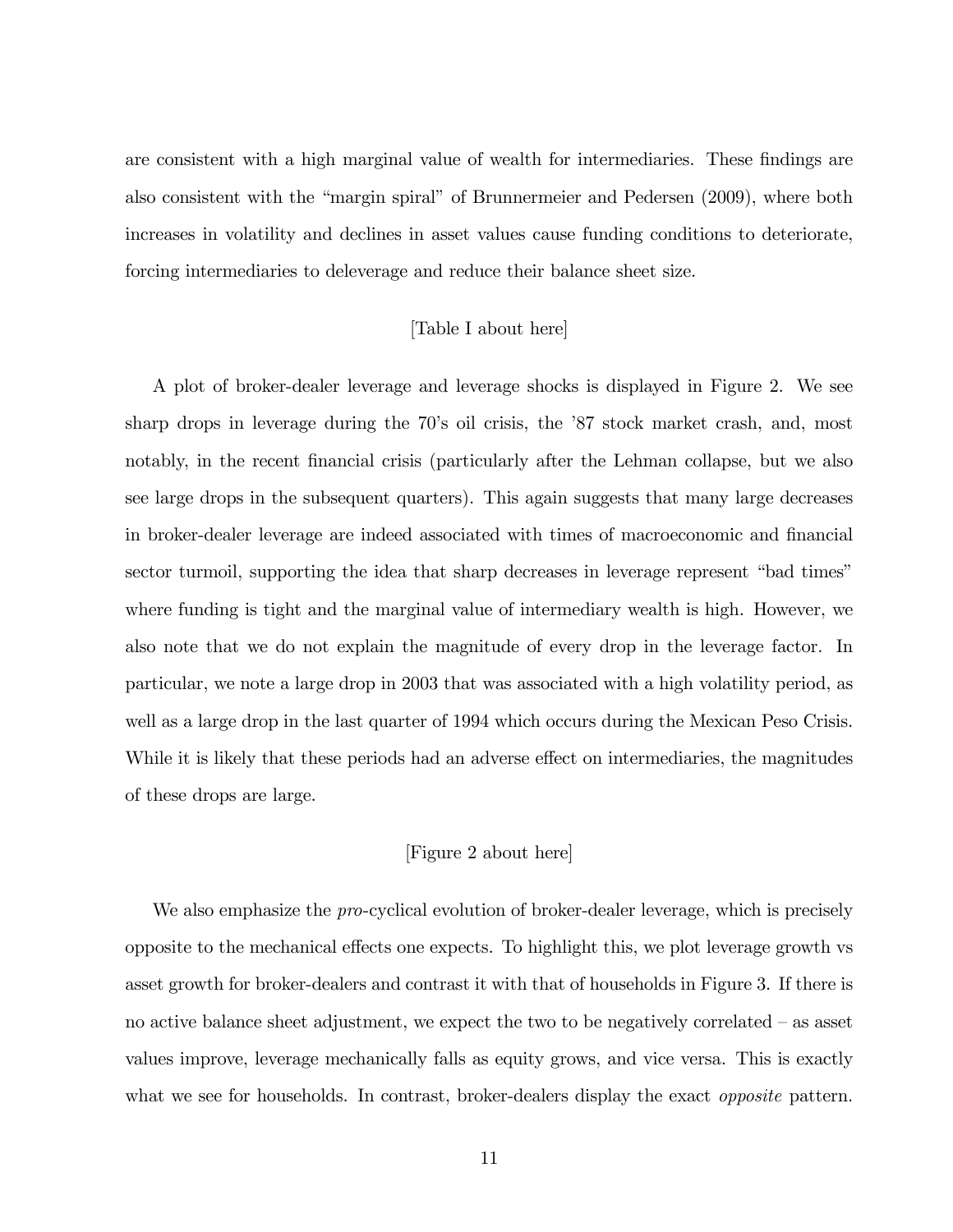are consistent with a high marginal value of wealth for intermediaries. These findings are also consistent with the "margin spiral" of Brunnermeier and Pedersen (2009), where both increases in volatility and declines in asset values cause funding conditions to deteriorate, forcing intermediaries to deleverage and reduce their balance sheet size.

#### [Table I about here]

A plot of broker-dealer leverage and leverage shocks is displayed in Figure 2. We see sharp drops in leverage during the 70's oil crisis, the '87 stock market crash, and, most notably, in the recent financial crisis (particularly after the Lehman collapse, but we also see large drops in the subsequent quarters). This again suggests that many large decreases in broker-dealer leverage are indeed associated with times of macroeconomic and financial sector turmoil, supporting the idea that sharp decreases in leverage represent "bad times" where funding is tight and the marginal value of intermediary wealth is high. However, we also note that we do not explain the magnitude of every drop in the leverage factor. In particular, we note a large drop in 2003 that was associated with a high volatility period, as well as a large drop in the last quarter of 1994 which occurs during the Mexican Peso Crisis. While it is likely that these periods had an adverse effect on intermediaries, the magnitudes of these drops are large.

#### [Figure 2 about here]

We also emphasize the *pro*-cyclical evolution of broker-dealer leverage, which is precisely opposite to the mechanical effects one expects. To highlight this, we plot leverage growth vs asset growth for broker-dealers and contrast it with that of households in Figure 3. If there is no active balance sheet adjustment, we expect the two to be negatively correlated  $-$  as asset values improve, leverage mechanically falls as equity grows, and vice versa. This is exactly what we see for households. In contrast, broker-dealers display the exact *opposite* pattern.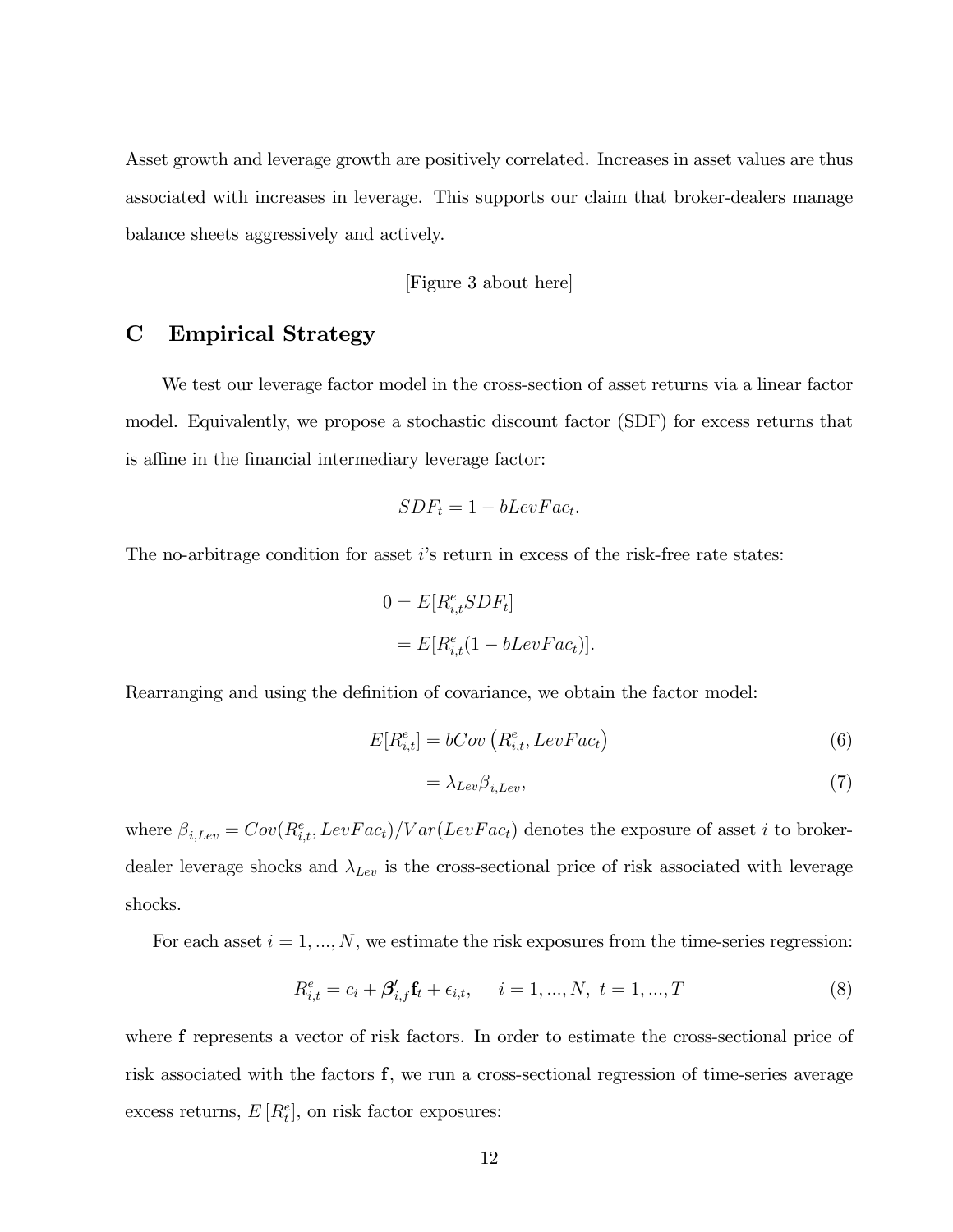Asset growth and leverage growth are positively correlated. Increases in asset values are thus associated with increases in leverage. This supports our claim that broker-dealers manage balance sheets aggressively and actively.

[Figure 3 about here]

# C Empirical Strategy

We test our leverage factor model in the cross-section of asset returns via a linear factor model. Equivalently, we propose a stochastic discount factor (SDF) for excess returns that is affine in the financial intermediary leverage factor:

$$
SDF_t = 1 - bLevFac_t.
$$

The no-arbitrage condition for asset  $i$ 's return in excess of the risk-free rate states:

$$
0 = E[R_{i,t}^e SDF_t]
$$
  
= 
$$
E[R_{i,t}^e(1 - bLevFac_t)].
$$

Rearranging and using the definition of covariance, we obtain the factor model:

$$
E[R_{i,t}^e] = bCov\left(R_{i,t}^e, LevFac_t\right) \tag{6}
$$

$$
=\lambda_{Lev}\beta_{i,Lev},\tag{7}
$$

where  $\beta_{i, Lev} = Cov(R_{i,t}^e, LevFac_t)/Var(LevFac_t)$  denotes the exposure of asset i to brokerdealer leverage shocks and  $\lambda_{Lev}$  is the cross-sectional price of risk associated with leverage shocks.

For each asset  $i = 1, ..., N$ , we estimate the risk exposures from the time-series regression:

$$
R_{i,t}^e = c_i + \beta'_{i,f} \mathbf{f}_t + \epsilon_{i,t}, \quad i = 1, ..., N, \ t = 1, ..., T
$$
 (8)

where f represents a vector of risk factors. In order to estimate the cross-sectional price of risk associated with the factors f, we run a cross-sectional regression of time-series average excess returns,  $E[R_t^e]$ , on risk factor exposures: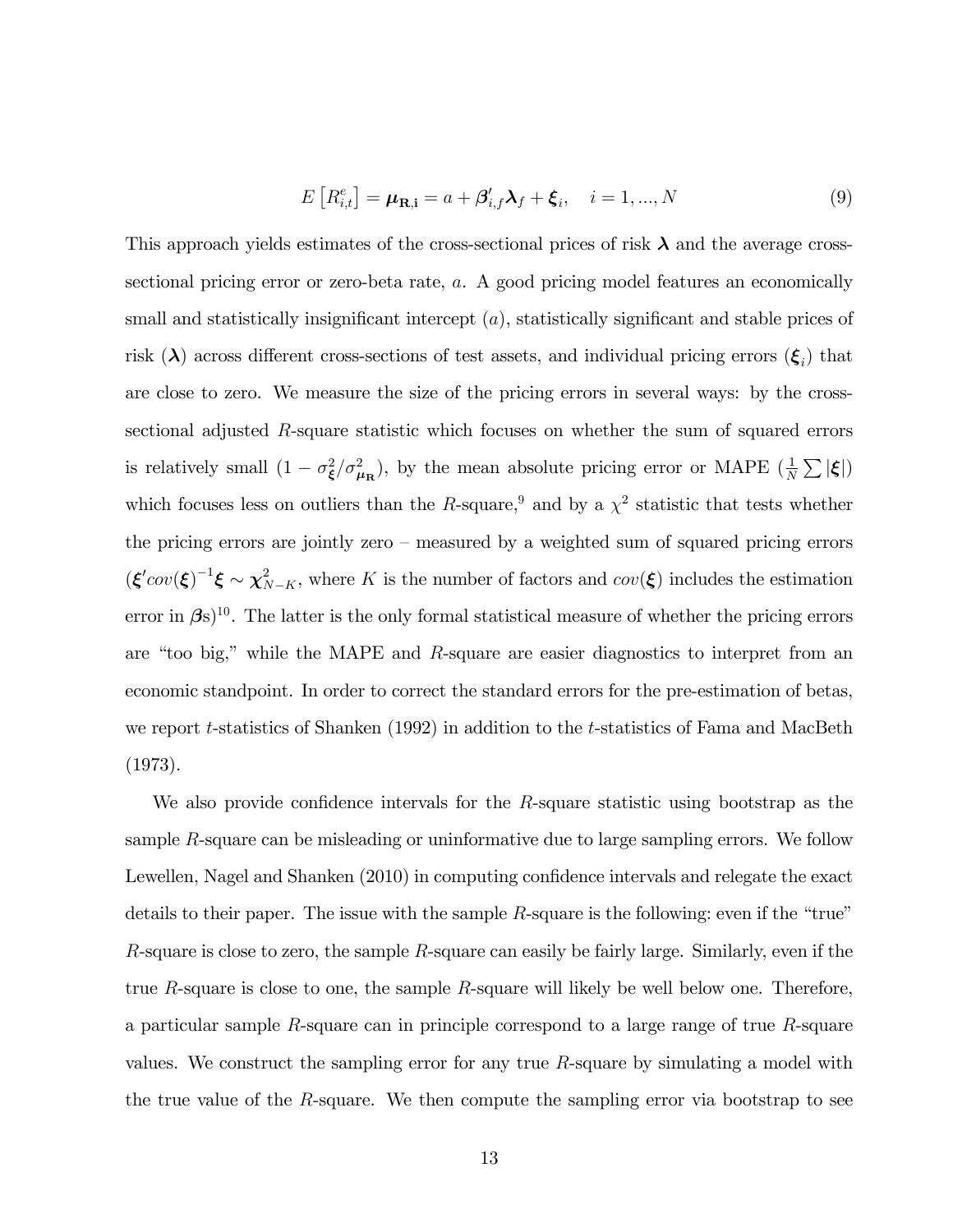$$
E\left[R_{i,t}^e\right] = \mu_{\mathbf{R},i} = a + \beta_{i,f}' \lambda_f + \xi_i, \quad i = 1,...,N
$$
\n(9)

This approach yields estimates of the cross-sectional prices of risk  $\lambda$  and the average crosssectional pricing error or zero-beta rate, a. A good pricing model features an economically small and statistically insignificant intercept  $(a)$ , statistically significant and stable prices of risk ( $\lambda$ ) across different cross-sections of test assets, and individual pricing errors  $(\xi_i)$  that are close to zero. We measure the size of the pricing errors in several ways: by the crosssectional adjusted R-square statistic which focuses on whether the sum of squared errors is relatively small  $(1 - \sigma_{\xi}^2/\sigma_{\mu_{\rm R}}^2)$ , by the mean absolute pricing error or MAPE  $(\frac{1}{N} \sum |\xi|)$ which focuses less on outliers than the R-square,<sup>9</sup> and by a  $\chi^2$  statistic that tests whether the pricing errors are jointly zero  $-$  measured by a weighted sum of squared pricing errors  $(\boldsymbol{\xi}' cov(\boldsymbol{\xi})^{-1}\boldsymbol{\xi} \sim \chi^2_{N-K}$ , where K is the number of factors and  $cov(\boldsymbol{\xi})$  includes the estimation error in  $\beta s$ <sup>10</sup>. The latter is the only formal statistical measure of whether the pricing errors are "too big," while the MAPE and  $R$ -square are easier diagnostics to interpret from an economic standpoint. In order to correct the standard errors for the pre-estimation of betas, we report t-statistics of Shanken (1992) in addition to the t-statistics of Fama and MacBeth (1973).

We also provide confidence intervals for the  $R$ -square statistic using bootstrap as the sample R-square can be misleading or uninformative due to large sampling errors. We follow Lewellen, Nagel and Shanken (2010) in computing confidence intervals and relegate the exact details to their paper. The issue with the sample  $R$ -square is the following: even if the "true" R-square is close to zero, the sample R-square can easily be fairly large. Similarly, even if the true R-square is close to one, the sample R-square will likely be well below one. Therefore, a particular sample R-square can in principle correspond to a large range of true R-square values. We construct the sampling error for any true R-square by simulating a model with the true value of the R-square. We then compute the sampling error via bootstrap to see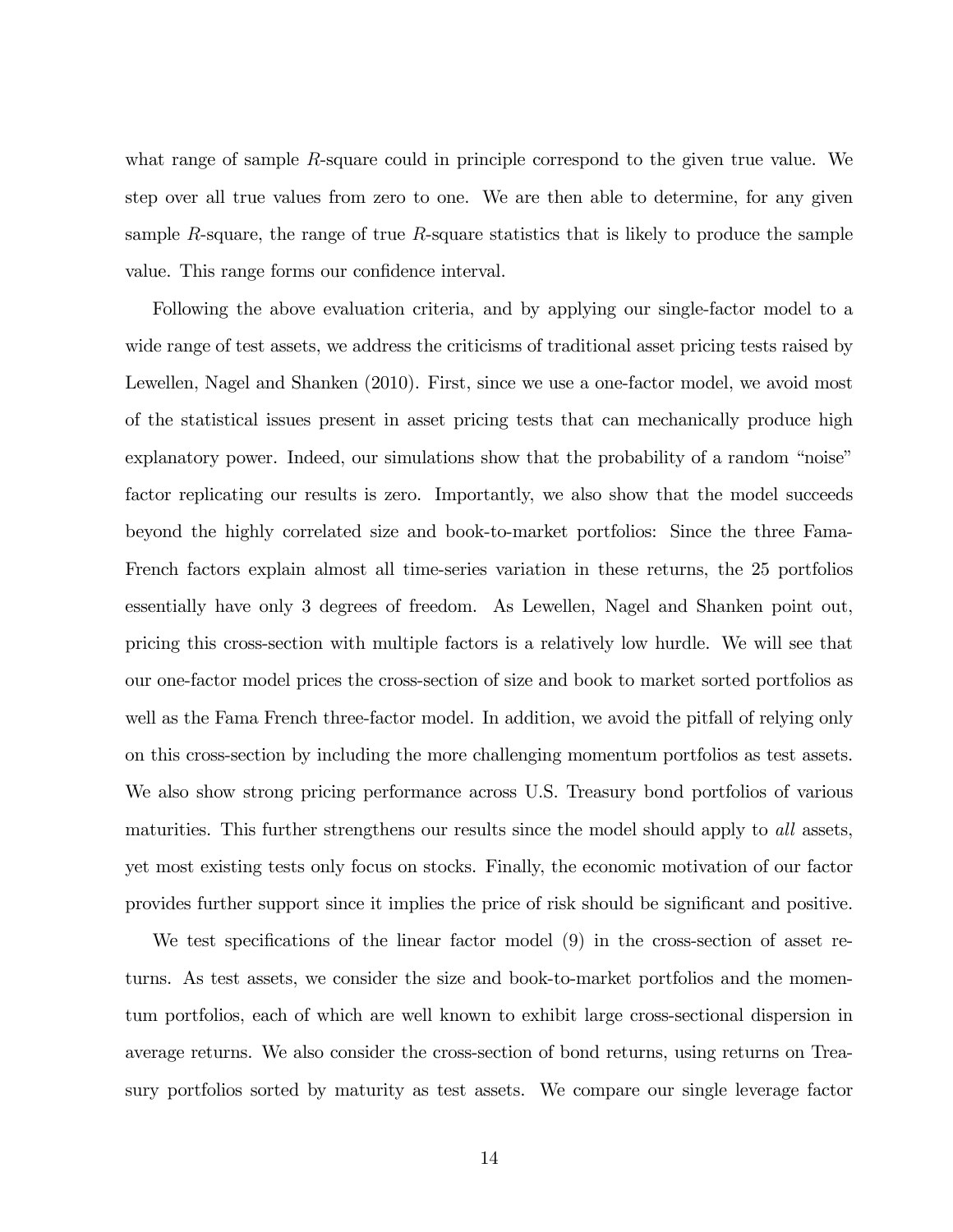what range of sample R-square could in principle correspond to the given true value. We step over all true values from zero to one. We are then able to determine, for any given sample R-square, the range of true R-square statistics that is likely to produce the sample value. This range forms our confidence interval.

Following the above evaluation criteria, and by applying our single-factor model to a wide range of test assets, we address the criticisms of traditional asset pricing tests raised by Lewellen, Nagel and Shanken (2010). First, since we use a one-factor model, we avoid most of the statistical issues present in asset pricing tests that can mechanically produce high explanatory power. Indeed, our simulations show that the probability of a random "noise" factor replicating our results is zero. Importantly, we also show that the model succeeds beyond the highly correlated size and book-to-market portfolios: Since the three Fama-French factors explain almost all time-series variation in these returns, the 25 portfolios essentially have only 3 degrees of freedom. As Lewellen, Nagel and Shanken point out, pricing this cross-section with multiple factors is a relatively low hurdle. We will see that our one-factor model prices the cross-section of size and book to market sorted portfolios as well as the Fama French three-factor model. In addition, we avoid the pitfall of relying only on this cross-section by including the more challenging momentum portfolios as test assets. We also show strong pricing performance across U.S. Treasury bond portfolios of various maturities. This further strengthens our results since the model should apply to all assets, yet most existing tests only focus on stocks. Finally, the economic motivation of our factor provides further support since it implies the price of risk should be significant and positive.

We test specifications of the linear factor model  $(9)$  in the cross-section of asset returns. As test assets, we consider the size and book-to-market portfolios and the momentum portfolios, each of which are well known to exhibit large cross-sectional dispersion in average returns. We also consider the cross-section of bond returns, using returns on Treasury portfolios sorted by maturity as test assets. We compare our single leverage factor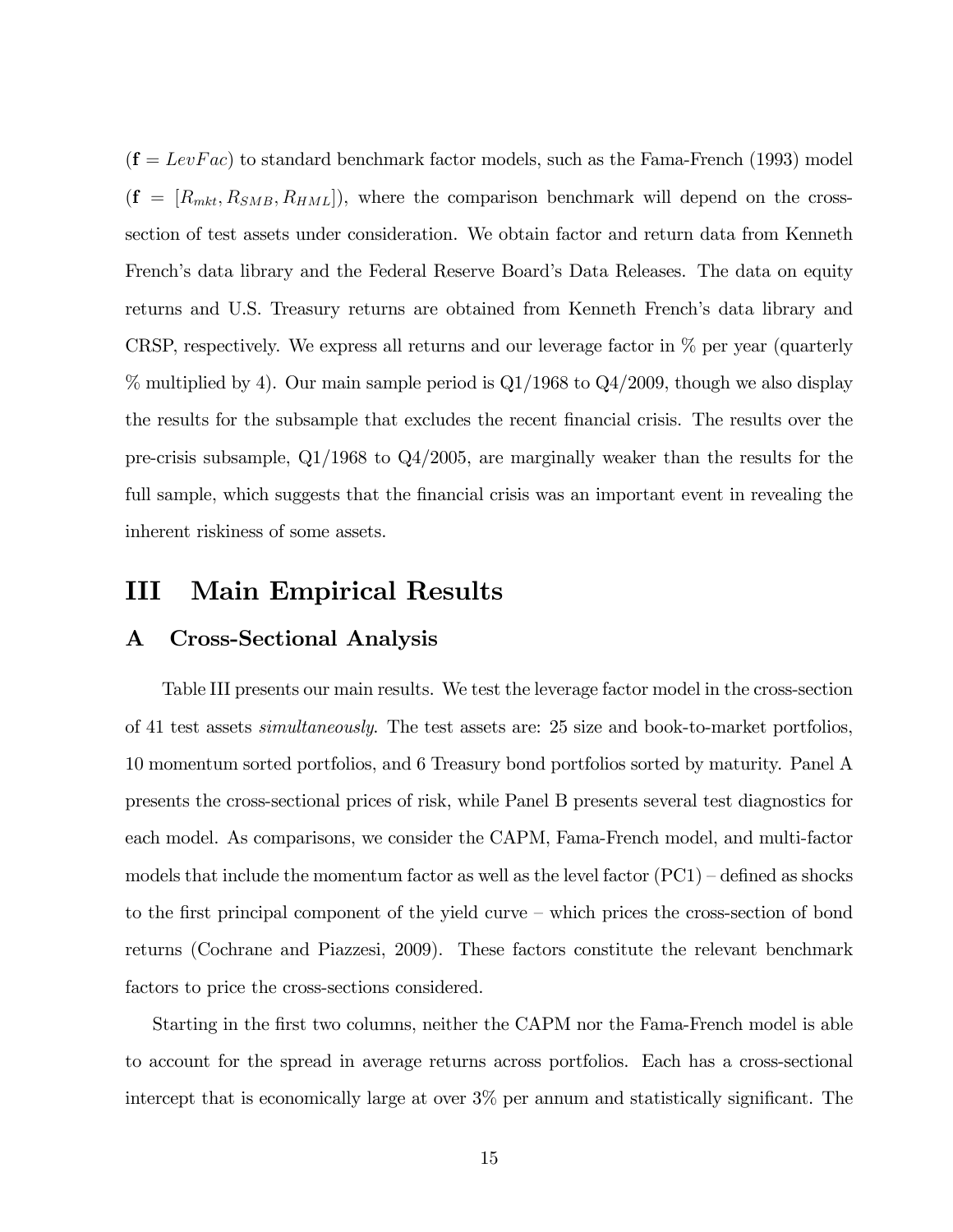$(\mathbf{f} = LevFac)$  to standard benchmark factor models, such as the Fama-French (1993) model  $(f = [R_{mkt}, R_{SMB}, R_{HML}])$ , where the comparison benchmark will depend on the crosssection of test assets under consideration. We obtain factor and return data from Kenneth French's data library and the Federal Reserve Board's Data Releases. The data on equity returns and U.S. Treasury returns are obtained from Kenneth French's data library and CRSP, respectively. We express all returns and our leverage factor in % per year (quarterly  $\%$  multiplied by 4). Our main sample period is  $Q1/1968$  to  $Q4/2009$ , though we also display the results for the subsample that excludes the recent financial crisis. The results over the pre-crisis subsample, Q1/1968 to Q4/2005, are marginally weaker than the results for the full sample, which suggests that the financial crisis was an important event in revealing the inherent riskiness of some assets.

# III Main Empirical Results

# A Cross-Sectional Analysis

Table III presents our main results. We test the leverage factor model in the cross-section of 41 test assets simultaneously. The test assets are: 25 size and book-to-market portfolios, 10 momentum sorted portfolios, and 6 Treasury bond portfolios sorted by maturity. Panel A presents the cross-sectional prices of risk, while Panel B presents several test diagnostics for each model. As comparisons, we consider the CAPM, Fama-French model, and multi-factor models that include the momentum factor as well as the level factor  $(PC1)$  – defined as shocks to the first principal component of the yield curve – which prices the cross-section of bond returns (Cochrane and Piazzesi, 2009). These factors constitute the relevant benchmark factors to price the cross-sections considered.

Starting in the first two columns, neither the CAPM nor the Fama-French model is able to account for the spread in average returns across portfolios. Each has a cross-sectional intercept that is economically large at over  $3\%$  per annum and statistically significant. The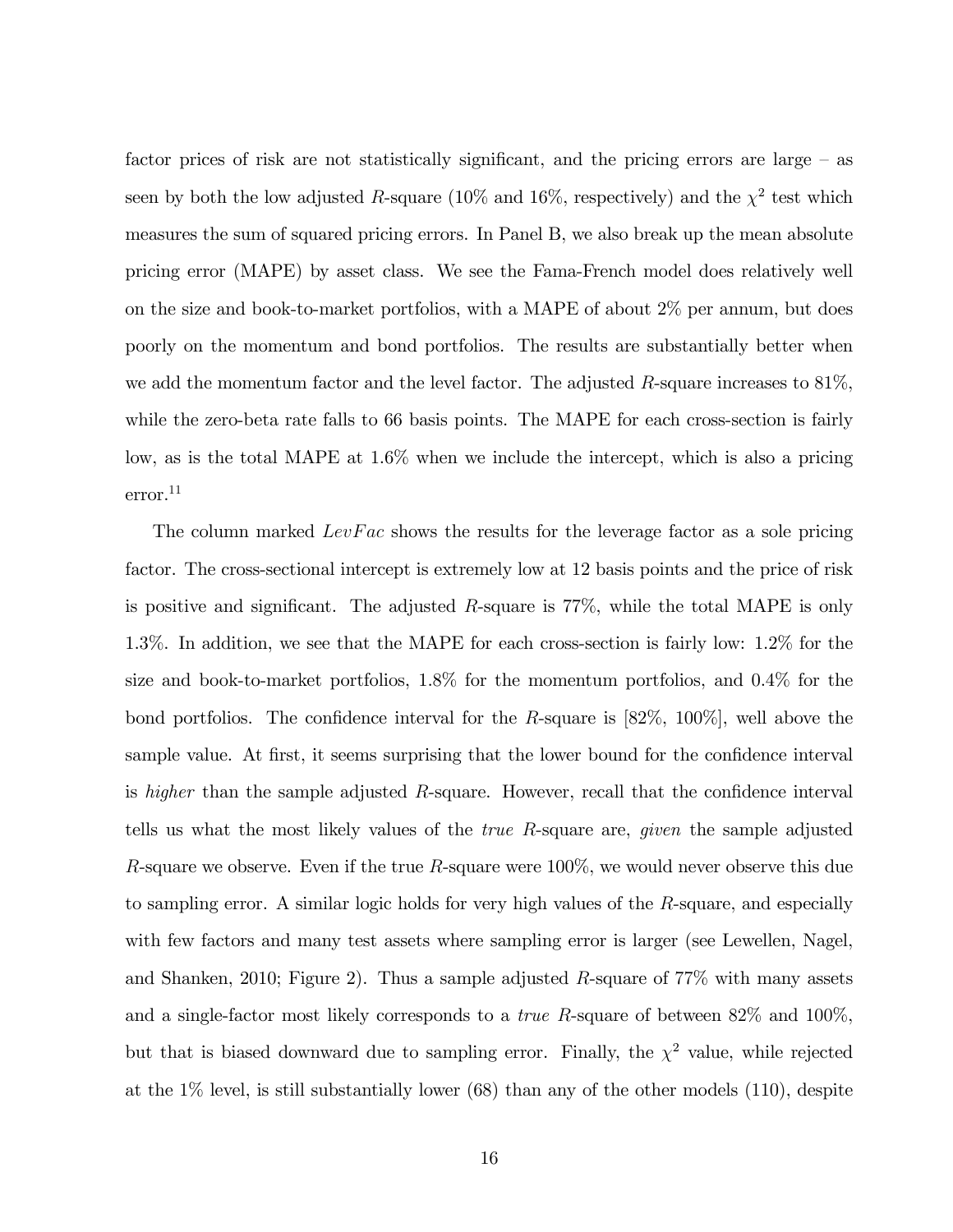factor prices of risk are not statistically significant, and the pricing errors are large  $-$  as seen by both the low adjusted R-square (10% and 16%, respectively) and the  $\chi^2$  test which measures the sum of squared pricing errors. In Panel B, we also break up the mean absolute pricing error (MAPE) by asset class. We see the Fama-French model does relatively well on the size and book-to-market portfolios, with a MAPE of about 2% per annum, but does poorly on the momentum and bond portfolios. The results are substantially better when we add the momentum factor and the level factor. The adjusted R-square increases to  $81\%$ , while the zero-beta rate falls to 66 basis points. The MAPE for each cross-section is fairly low, as is the total MAPE at 1.6% when we include the intercept, which is also a pricing error.<sup>11</sup>

The column marked  $LevFac$  shows the results for the leverage factor as a sole pricing factor. The cross-sectional intercept is extremely low at 12 basis points and the price of risk is positive and significant. The adjusted  $R$ -square is 77%, while the total MAPE is only 1.3%. In addition, we see that the MAPE for each cross-section is fairly low: 1.2% for the size and book-to-market portfolios, 1.8% for the momentum portfolios, and 0.4% for the bond portfolios. The confidence interval for the R-square is  $[82\%, 100\%]$ , well above the sample value. At first, it seems surprising that the lower bound for the confidence interval is *higher* than the sample adjusted  $R$ -square. However, recall that the confidence interval tells us what the most likely values of the true R-square are, given the sample adjusted R-square we observe. Even if the true R-square were  $100\%$ , we would never observe this due to sampling error. A similar logic holds for very high values of the R-square, and especially with few factors and many test assets where sampling error is larger (see Lewellen, Nagel, and Shanken, 2010; Figure 2). Thus a sample adjusted R-square of 77% with many assets and a single-factor most likely corresponds to a *true R*-square of between  $82\%$  and  $100\%$ , but that is biased downward due to sampling error. Finally, the  $\chi^2$  value, while rejected at the  $1\%$  level, is still substantially lower  $(68)$  than any of the other models  $(110)$ , despite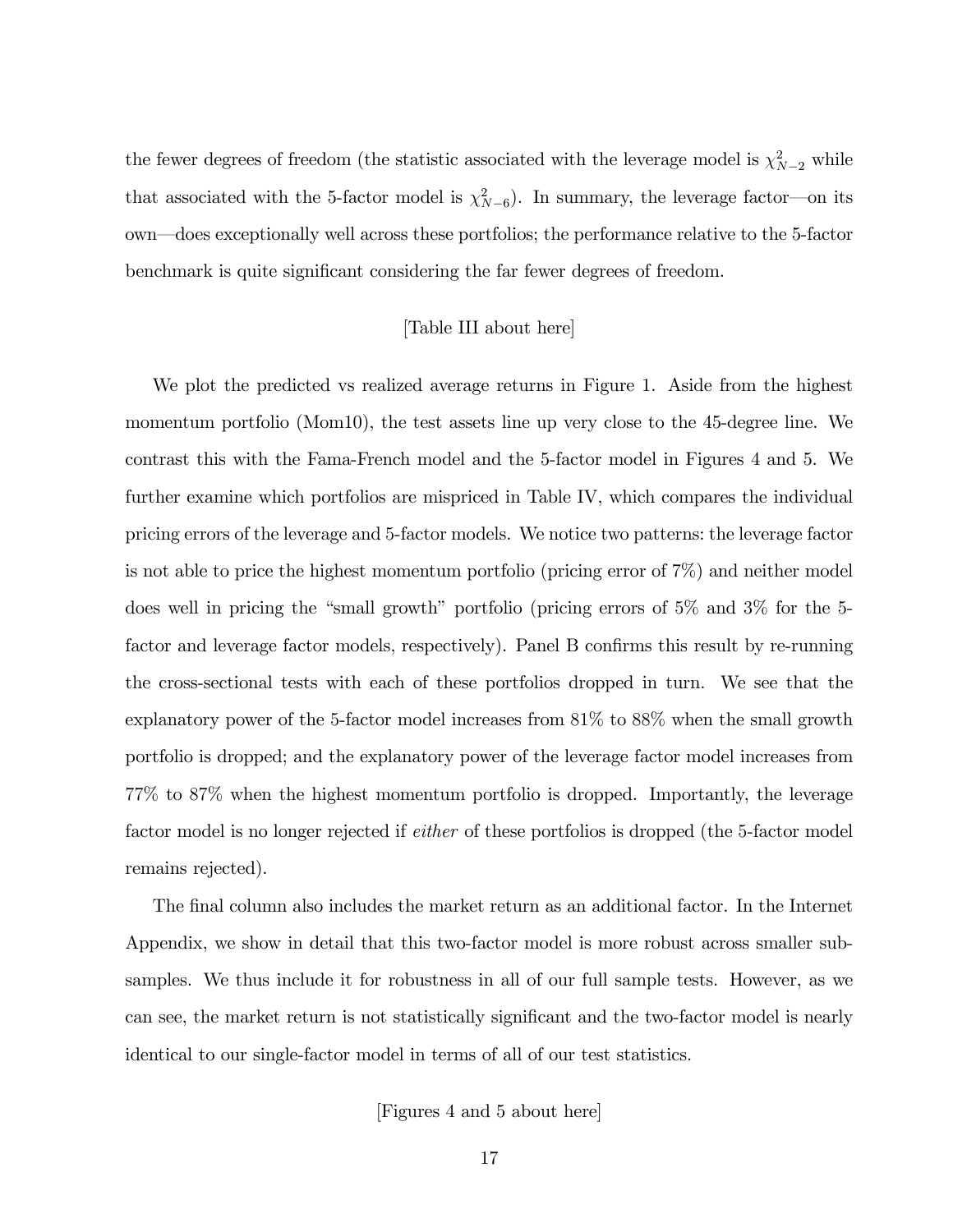the fewer degrees of freedom (the statistic associated with the leverage model is  $\chi^2_{N-2}$  while that associated with the 5-factor model is  $\chi^2_{N-6}$ ). In summary, the leverage factor—on its own—does exceptionally well across these portfolios; the performance relative to the 5-factor benchmark is quite significant considering the far fewer degrees of freedom.

#### [Table III about here]

We plot the predicted vs realized average returns in Figure 1. Aside from the highest momentum portfolio (Mom10), the test assets line up very close to the 45-degree line. We contrast this with the Fama-French model and the 5-factor model in Figures 4 and 5. We further examine which portfolios are mispriced in Table IV, which compares the individual pricing errors of the leverage and 5-factor models. We notice two patterns: the leverage factor is not able to price the highest momentum portfolio (pricing error of 7%) and neither model does well in pricing the "small growth" portfolio (pricing errors of  $5\%$  and  $3\%$  for the 5factor and leverage factor models, respectively). Panel B confirms this result by re-running the cross-sectional tests with each of these portfolios dropped in turn. We see that the explanatory power of the 5-factor model increases from 81% to 88% when the small growth portfolio is dropped; and the explanatory power of the leverage factor model increases from 77% to 87% when the highest momentum portfolio is dropped. Importantly, the leverage factor model is no longer rejected if *either* of these portfolios is dropped (the 5-factor model remains rejected).

The final column also includes the market return as an additional factor. In the Internet Appendix, we show in detail that this two-factor model is more robust across smaller subsamples. We thus include it for robustness in all of our full sample tests. However, as we can see, the market return is not statistically significant and the two-factor model is nearly identical to our single-factor model in terms of all of our test statistics.

## [Figures 4 and 5 about here]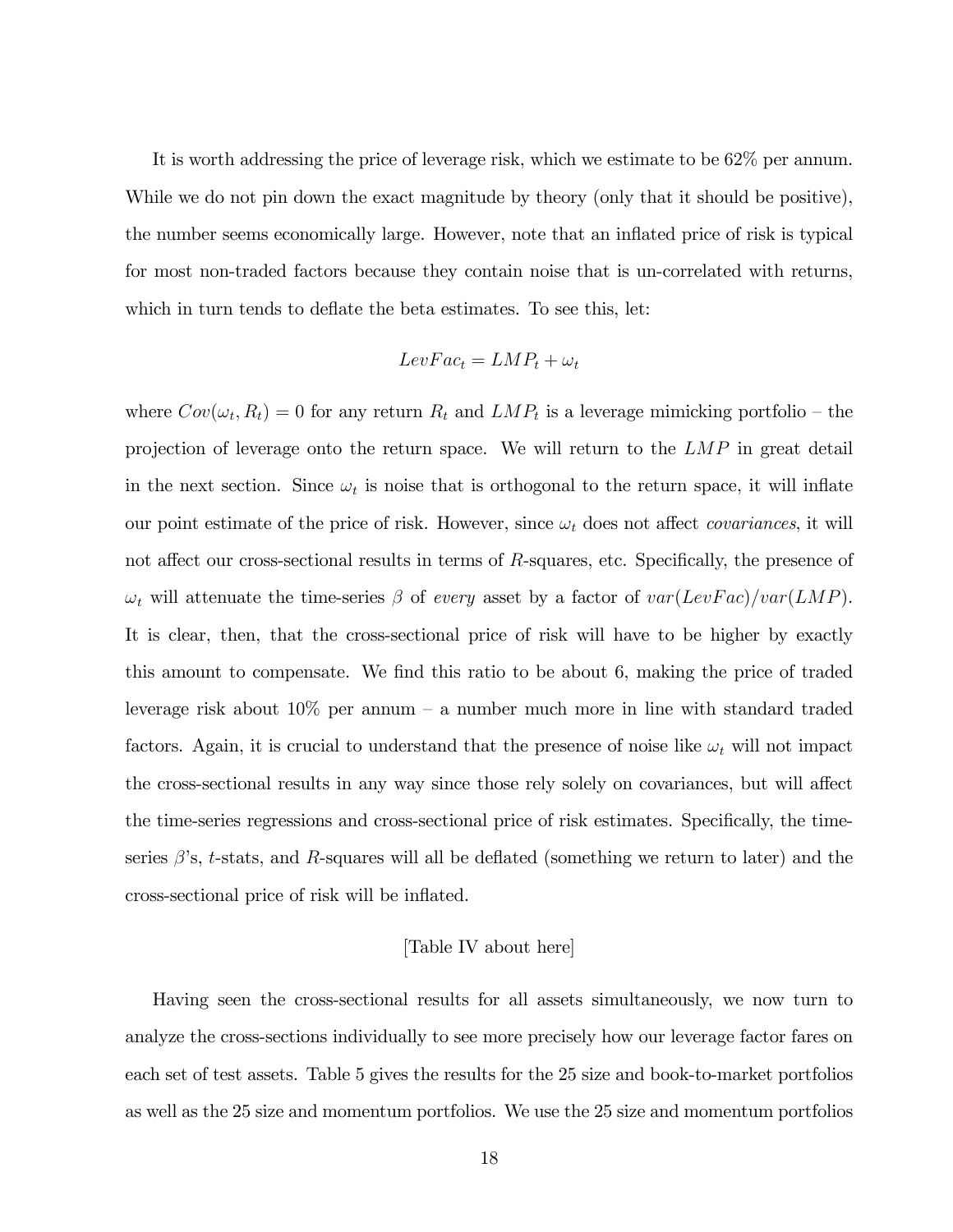It is worth addressing the price of leverage risk, which we estimate to be 62% per annum. While we do not pin down the exact magnitude by theory (only that it should be positive), the number seems economically large. However, note that an inflated price of risk is typical for most non-traded factors because they contain noise that is un-correlated with returns, which in turn tends to deflate the beta estimates. To see this, let:

$$
LevFac_t = LMP_t + \omega_t
$$

where  $Cov(\omega_t, R_t) = 0$  for any return  $R_t$  and  $LMP_t$  is a leverage mimicking portfolio – the projection of leverage onto the return space. We will return to the  $LMP$  in great detail in the next section. Since  $\omega_t$  is noise that is orthogonal to the return space, it will inflate our point estimate of the price of risk. However, since  $\omega_t$  does not affect *covariances*, it will not affect our cross-sectional results in terms of  $R$ -squares, etc. Specifically, the presence of  $\omega_t$  will attenuate the time-series  $\beta$  of every asset by a factor of  $var(LevFac)/var(LMP)$ . It is clear, then, that the cross-sectional price of risk will have to be higher by exactly this amount to compensate. We find this ratio to be about 6, making the price of traded leverage risk about  $10\%$  per annum – a number much more in line with standard traded factors. Again, it is crucial to understand that the presence of noise like  $\omega_t$  will not impact the cross-sectional results in any way since those rely solely on covariances, but will affect the time-series regressions and cross-sectional price of risk estimates. Specifically, the timeseries  $\beta$ 's, t-stats, and R-squares will all be deflated (something we return to later) and the cross-sectional price of risk will be inflated.

# [Table IV about here]

Having seen the cross-sectional results for all assets simultaneously, we now turn to analyze the cross-sections individually to see more precisely how our leverage factor fares on each set of test assets. Table 5 gives the results for the 25 size and book-to-market portfolios as well as the 25 size and momentum portfolios. We use the 25 size and momentum portfolios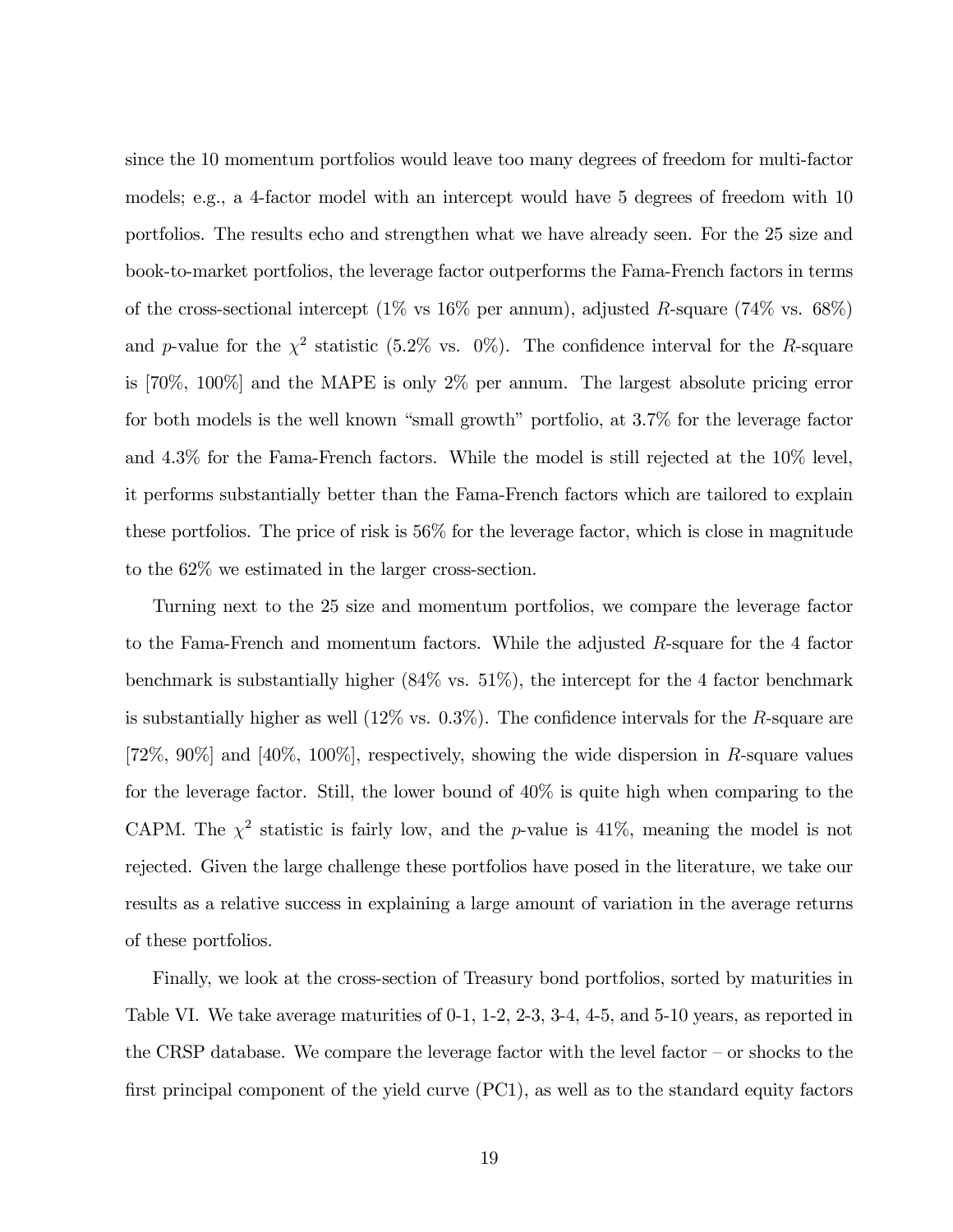since the 10 momentum portfolios would leave too many degrees of freedom for multi-factor models; e.g., a 4-factor model with an intercept would have 5 degrees of freedom with 10 portfolios. The results echo and strengthen what we have already seen. For the 25 size and book-to-market portfolios, the leverage factor outperforms the Fama-French factors in terms of the cross-sectional intercept (1% vs 16% per annum), adjusted R-square (74% vs. 68%) and p-value for the  $\chi^2$  statistic (5.2% vs. 0%). The confidence interval for the R-square is [70%, 100%] and the MAPE is only 2% per annum. The largest absolute pricing error for both models is the well known "small growth" portfolio, at  $3.7\%$  for the leverage factor and 4.3% for the Fama-French factors. While the model is still rejected at the 10% level, it performs substantially better than the Fama-French factors which are tailored to explain these portfolios. The price of risk is 56% for the leverage factor, which is close in magnitude to the 62% we estimated in the larger cross-section.

Turning next to the 25 size and momentum portfolios, we compare the leverage factor to the Fama-French and momentum factors. While the adjusted R-square for the 4 factor benchmark is substantially higher (84% vs. 51%), the intercept for the 4 factor benchmark is substantially higher as well  $(12\% \text{ vs. } 0.3\%)$ . The confidence intervals for the R-square are [72\%, 90\%] and [40\%, 100\%], respectively, showing the wide dispersion in R-square values for the leverage factor. Still, the lower bound of 40% is quite high when comparing to the CAPM. The  $\chi^2$  statistic is fairly low, and the p-value is 41\%, meaning the model is not rejected. Given the large challenge these portfolios have posed in the literature, we take our results as a relative success in explaining a large amount of variation in the average returns of these portfolios.

Finally, we look at the cross-section of Treasury bond portfolios, sorted by maturities in Table VI. We take average maturities of 0-1, 1-2, 2-3, 3-4, 4-5, and 5-10 years, as reported in the CRSP database. We compare the leverage factor with the level factor  $-$  or shocks to the first principal component of the yield curve  $(PC1)$ , as well as to the standard equity factors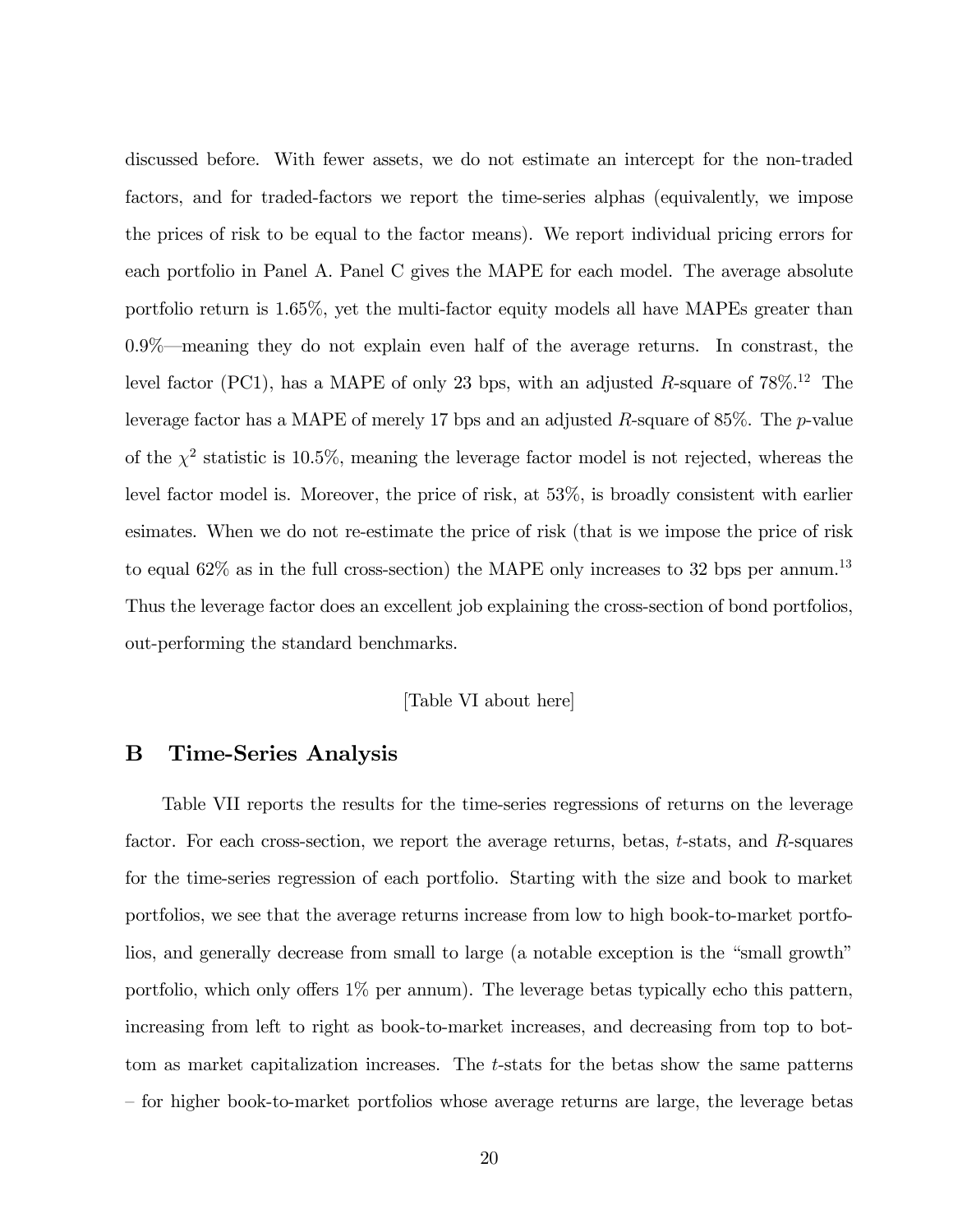discussed before. With fewer assets, we do not estimate an intercept for the non-traded factors, and for traded-factors we report the time-series alphas (equivalently, we impose the prices of risk to be equal to the factor means). We report individual pricing errors for each portfolio in Panel A. Panel C gives the MAPE for each model. The average absolute portfolio return is 1.65%, yet the multi-factor equity models all have MAPEs greater than  $0.9\%$  meaning they do not explain even half of the average returns. In constrast, the level factor (PC1), has a MAPE of only 23 bps, with an adjusted R-square of  $78\%$ <sup>12</sup> The leverage factor has a MAPE of merely 17 bps and an adjusted R-square of  $85\%$ . The p-value of the  $\chi^2$  statistic is 10.5%, meaning the leverage factor model is not rejected, whereas the level factor model is. Moreover, the price of risk, at 53%, is broadly consistent with earlier esimates. When we do not re-estimate the price of risk (that is we impose the price of risk to equal  $62\%$  as in the full cross-section) the MAPE only increases to 32 bps per annum.<sup>13</sup> Thus the leverage factor does an excellent job explaining the cross-section of bond portfolios, out-performing the standard benchmarks.

## [Table VI about here]

# B Time-Series Analysis

Table VII reports the results for the time-series regressions of returns on the leverage factor. For each cross-section, we report the average returns, betas, t-stats, and R-squares for the time-series regression of each portfolio. Starting with the size and book to market portfolios, we see that the average returns increase from low to high book-to-market portfolios, and generally decrease from small to large (a notable exception is the "small growth" portfolio, which only offers  $1\%$  per annum). The leverage betas typically echo this pattern, increasing from left to right as book-to-market increases, and decreasing from top to bottom as market capitalization increases. The t-stats for the betas show the same patterns – for higher book-to-market portfolios whose average returns are large, the leverage betas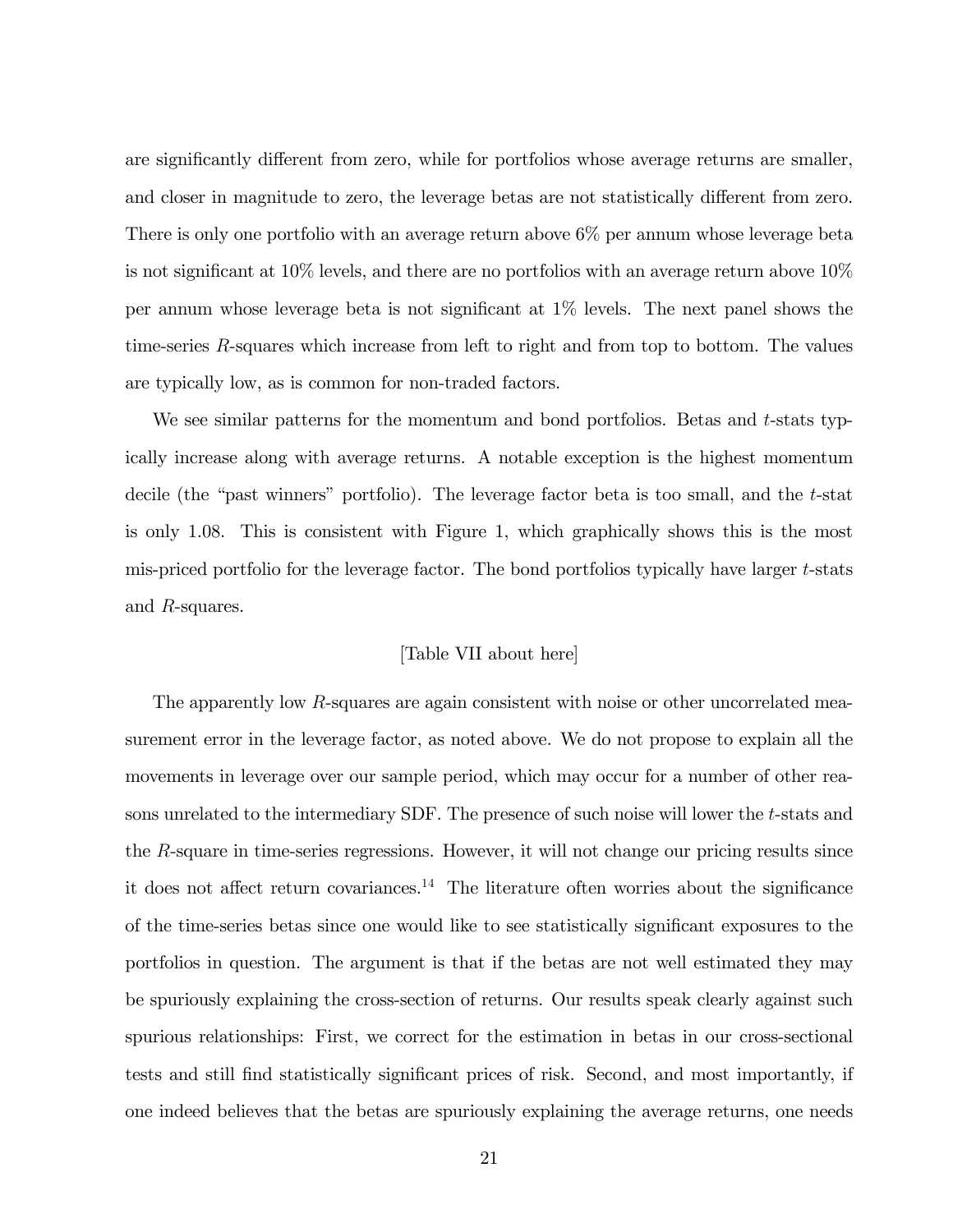are significantly different from zero, while for portfolios whose average returns are smaller, and closer in magnitude to zero, the leverage betas are not statistically different from zero. There is only one portfolio with an average return above 6% per annum whose leverage beta is not significant at  $10\%$  levels, and there are no portfolios with an average return above  $10\%$ per annum whose leverage beta is not significant at  $1\%$  levels. The next panel shows the time-series R-squares which increase from left to right and from top to bottom. The values are typically low, as is common for non-traded factors.

We see similar patterns for the momentum and bond portfolios. Betas and  $t$ -stats typically increase along with average returns. A notable exception is the highest momentum decile (the "past winners" portfolio). The leverage factor beta is too small, and the  $t$ -stat is only 1.08. This is consistent with Figure 1, which graphically shows this is the most mis-priced portfolio for the leverage factor. The bond portfolios typically have larger t-stats and R-squares.

# [Table VII about here]

The apparently low R-squares are again consistent with noise or other uncorrelated measurement error in the leverage factor, as noted above. We do not propose to explain all the movements in leverage over our sample period, which may occur for a number of other reasons unrelated to the intermediary SDF. The presence of such noise will lower the t-stats and the R-square in time-series regressions. However, it will not change our pricing results since it does not affect return covariances.<sup>14</sup> The literature often worries about the significance of the time-series betas since one would like to see statistically significant exposures to the portfolios in question. The argument is that if the betas are not well estimated they may be spuriously explaining the cross-section of returns. Our results speak clearly against such spurious relationships: First, we correct for the estimation in betas in our cross-sectional tests and still find statistically significant prices of risk. Second, and most importantly, if one indeed believes that the betas are spuriously explaining the average returns, one needs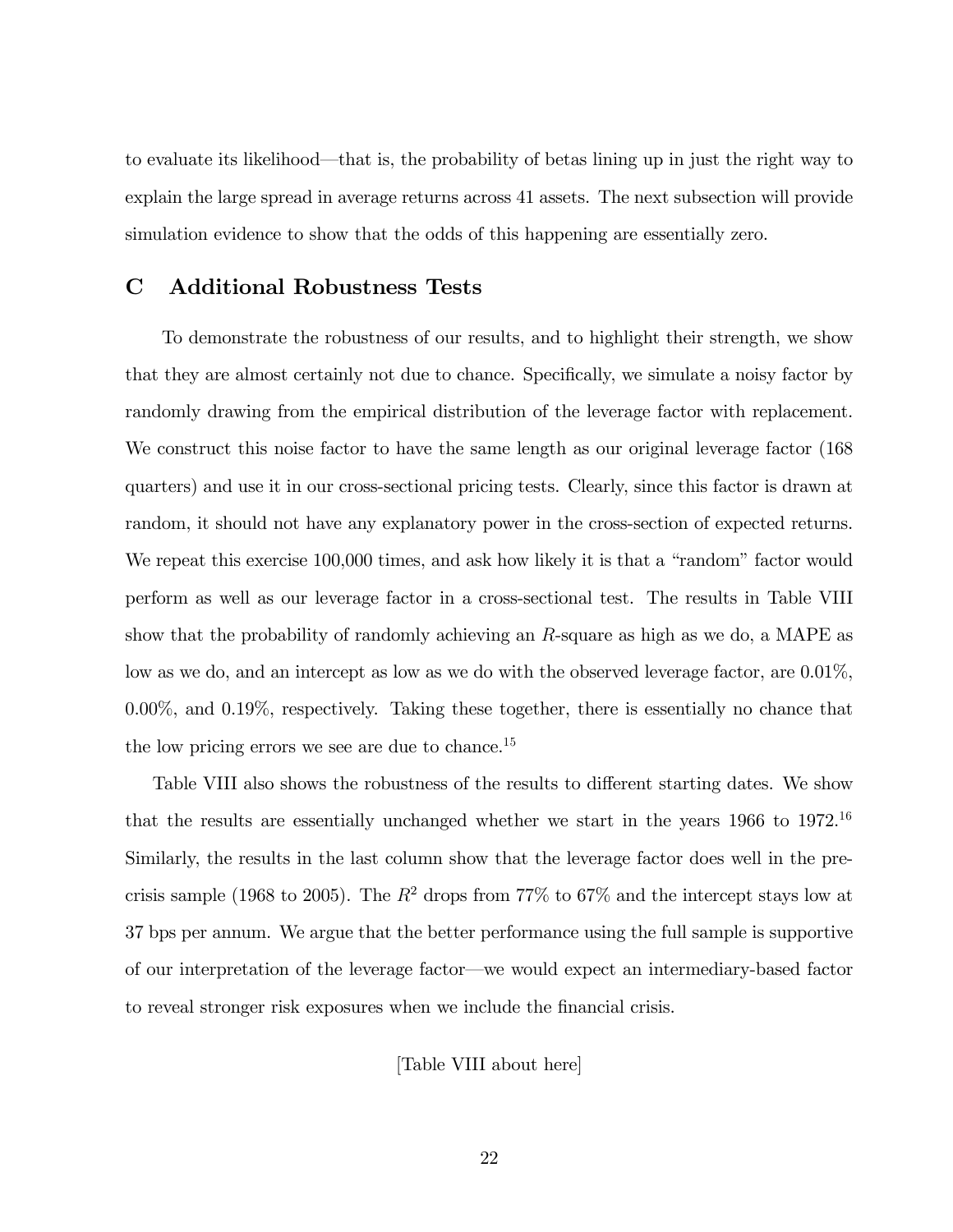to evaluate its likelihood—that is, the probability of betas lining up in just the right way to explain the large spread in average returns across 41 assets. The next subsection will provide simulation evidence to show that the odds of this happening are essentially zero.

# C Additional Robustness Tests

To demonstrate the robustness of our results, and to highlight their strength, we show that they are almost certainly not due to chance. Specifically, we simulate a noisy factor by randomly drawing from the empirical distribution of the leverage factor with replacement. We construct this noise factor to have the same length as our original leverage factor (168 quarters) and use it in our cross-sectional pricing tests. Clearly, since this factor is drawn at random, it should not have any explanatory power in the cross-section of expected returns. We repeat this exercise  $100,000$  times, and ask how likely it is that a "random" factor would perform as well as our leverage factor in a cross-sectional test. The results in Table VIII show that the probability of randomly achieving an R-square as high as we do, a MAPE as low as we do, and an intercept as low as we do with the observed leverage factor, are 0.01%, 0.00%, and 0.19%, respectively. Taking these together, there is essentially no chance that the low pricing errors we see are due to chance.<sup>15</sup>

Table VIII also shows the robustness of the results to different starting dates. We show that the results are essentially unchanged whether we start in the years  $1966$  to  $1972$ .<sup>16</sup> Similarly, the results in the last column show that the leverage factor does well in the precrisis sample (1968 to 2005). The  $R^2$  drops from 77% to 67% and the intercept stays low at 37 bps per annum. We argue that the better performance using the full sample is supportive of our interpretation of the leverage factor—we would expect an intermediary-based factor to reveal stronger risk exposures when we include the financial crisis.

[Table VIII about here]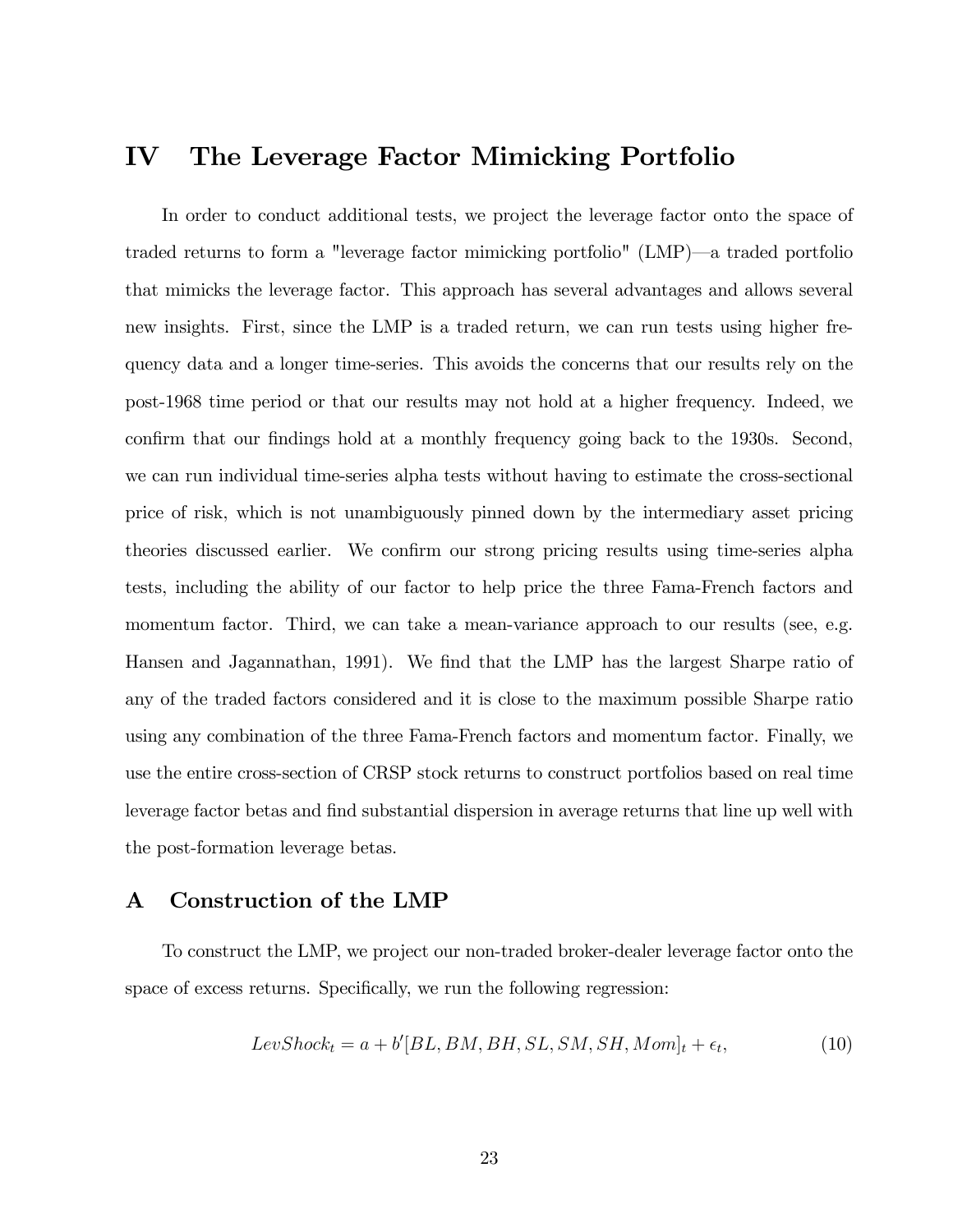# IV The Leverage Factor Mimicking Portfolio

In order to conduct additional tests, we project the leverage factor onto the space of traded returns to form a "leverage factor mimicking portfolio" (LMP)—a traded portfolio that mimicks the leverage factor. This approach has several advantages and allows several new insights. First, since the LMP is a traded return, we can run tests using higher frequency data and a longer time-series. This avoids the concerns that our results rely on the post-1968 time period or that our results may not hold at a higher frequency. Indeed, we confirm that our findings hold at a monthly frequency going back to the 1930s. Second, we can run individual time-series alpha tests without having to estimate the cross-sectional price of risk, which is not unambiguously pinned down by the intermediary asset pricing theories discussed earlier. We confirm our strong pricing results using time-series alpha tests, including the ability of our factor to help price the three Fama-French factors and momentum factor. Third, we can take a mean-variance approach to our results (see, e.g. Hansen and Jagannathan, 1991). We find that the LMP has the largest Sharpe ratio of any of the traded factors considered and it is close to the maximum possible Sharpe ratio using any combination of the three Fama-French factors and momentum factor. Finally, we use the entire cross-section of CRSP stock returns to construct portfolios based on real time leverage factor betas and find substantial dispersion in average returns that line up well with the post-formation leverage betas.

# A Construction of the LMP

To construct the LMP, we project our non-traded broker-dealer leverage factor onto the space of excess returns. Specifically, we run the following regression:

$$
LevShock_t = a + b'[BL, BM, BH, SL, SM, SH, Mom]_t + \epsilon_t,
$$
\n(10)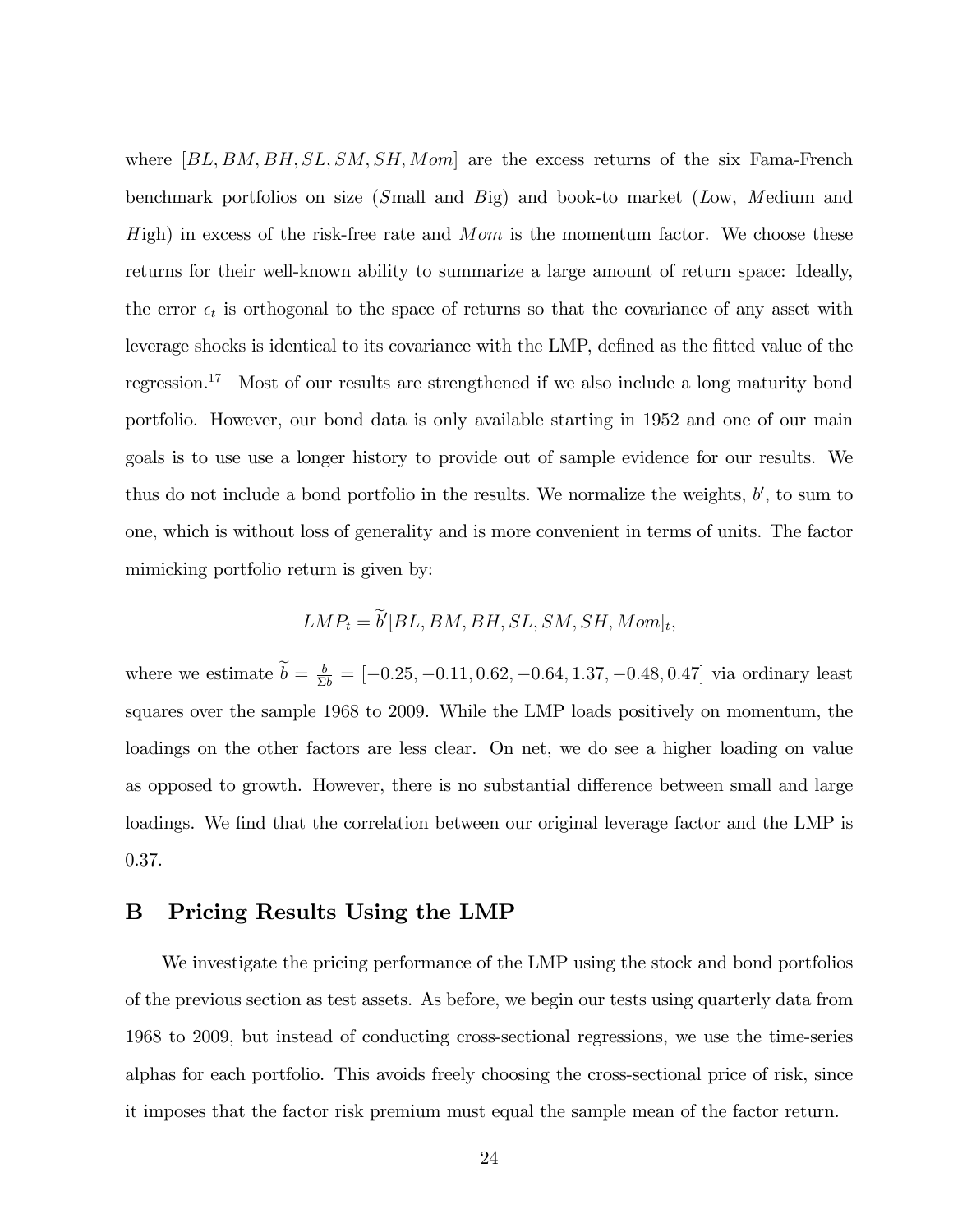where  $|BL, BM, BH, SL, SM, SH, Mom|$  are the excess returns of the six Fama-French benchmark portfolios on size (Small and Big) and book-to market (Low, Medium and  $H$ igh) in excess of the risk-free rate and  $Mom$  is the momentum factor. We choose these returns for their well-known ability to summarize a large amount of return space: Ideally, the error  $\epsilon_t$  is orthogonal to the space of returns so that the covariance of any asset with leverage shocks is identical to its covariance with the LMP, defined as the fitted value of the regression.<sup>17</sup> Most of our results are strengthened if we also include a long maturity bond portfolio. However, our bond data is only available starting in 1952 and one of our main goals is to use use a longer history to provide out of sample evidence for our results. We thus do not include a bond portfolio in the results. We normalize the weights,  $b'$ , to sum to one, which is without loss of generality and is more convenient in terms of units. The factor mimicking portfolio return is given by:

$$
LMP_t = b'[BL, BM, BH, SL, SM, SH, Mom]_t,
$$

where we estimate  $b = \frac{b}{\Sigma b} = [-0.25, -0.11, 0.62, -0.64, 1.37, -0.48, 0.47]$  via ordinary least squares over the sample 1968 to 2009. While the LMP loads positively on momentum, the loadings on the other factors are less clear. On net, we do see a higher loading on value as opposed to growth. However, there is no substantial difference between small and large loadings. We find that the correlation between our original leverage factor and the LMP is 0.37.

# B Pricing Results Using the LMP

We investigate the pricing performance of the LMP using the stock and bond portfolios of the previous section as test assets. As before, we begin our tests using quarterly data from 1968 to 2009, but instead of conducting cross-sectional regressions, we use the time-series alphas for each portfolio. This avoids freely choosing the cross-sectional price of risk, since it imposes that the factor risk premium must equal the sample mean of the factor return.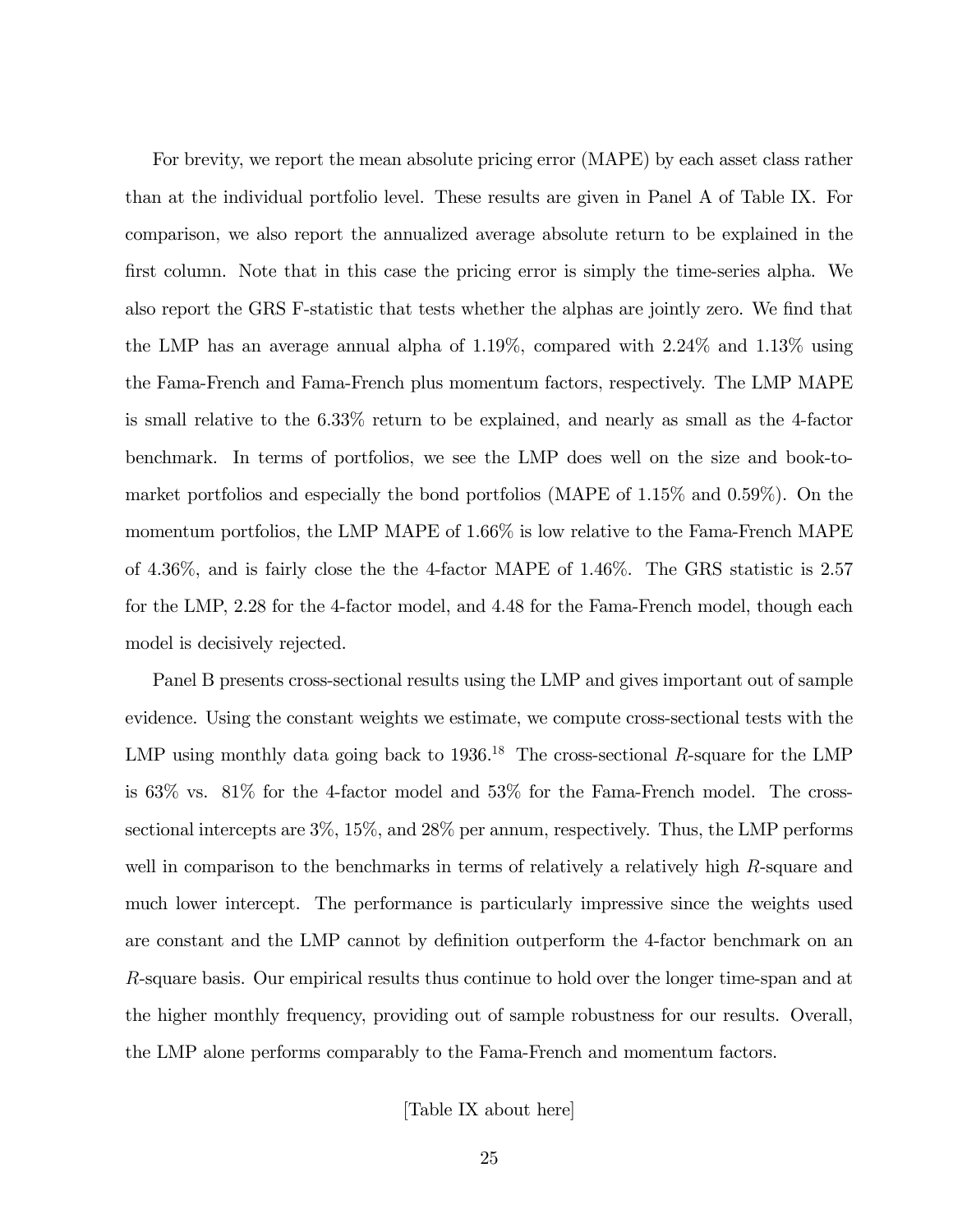For brevity, we report the mean absolute pricing error (MAPE) by each asset class rather than at the individual portfolio level. These results are given in Panel A of Table IX. For comparison, we also report the annualized average absolute return to be explained in the first column. Note that in this case the pricing error is simply the time-series alpha. We also report the GRS F-statistic that tests whether the alphas are jointly zero. We find that the LMP has an average annual alpha of 1.19%, compared with 2.24% and 1.13% using the Fama-French and Fama-French plus momentum factors, respectively. The LMP MAPE is small relative to the 6.33% return to be explained, and nearly as small as the 4-factor benchmark. In terms of portfolios, we see the LMP does well on the size and book-tomarket portfolios and especially the bond portfolios (MAPE of 1.15% and 0.59%). On the momentum portfolios, the LMP MAPE of 1.66% is low relative to the Fama-French MAPE of 4.36%, and is fairly close the the 4-factor MAPE of 1.46%. The GRS statistic is 2.57 for the LMP, 2.28 for the 4-factor model, and 4.48 for the Fama-French model, though each model is decisively rejected.

Panel B presents cross-sectional results using the LMP and gives important out of sample evidence. Using the constant weights we estimate, we compute cross-sectional tests with the LMP using monthly data going back to  $1936$ <sup>18</sup>. The cross-sectional R-square for the LMP is 63% vs. 81% for the 4-factor model and 53% for the Fama-French model. The crosssectional intercepts are 3%, 15%, and 28% per annum, respectively. Thus, the LMP performs well in comparison to the benchmarks in terms of relatively a relatively high R-square and much lower intercept. The performance is particularly impressive since the weights used are constant and the LMP cannot by definition outperform the 4-factor benchmark on an R-square basis. Our empirical results thus continue to hold over the longer time-span and at the higher monthly frequency, providing out of sample robustness for our results. Overall, the LMP alone performs comparably to the Fama-French and momentum factors.

[Table IX about here]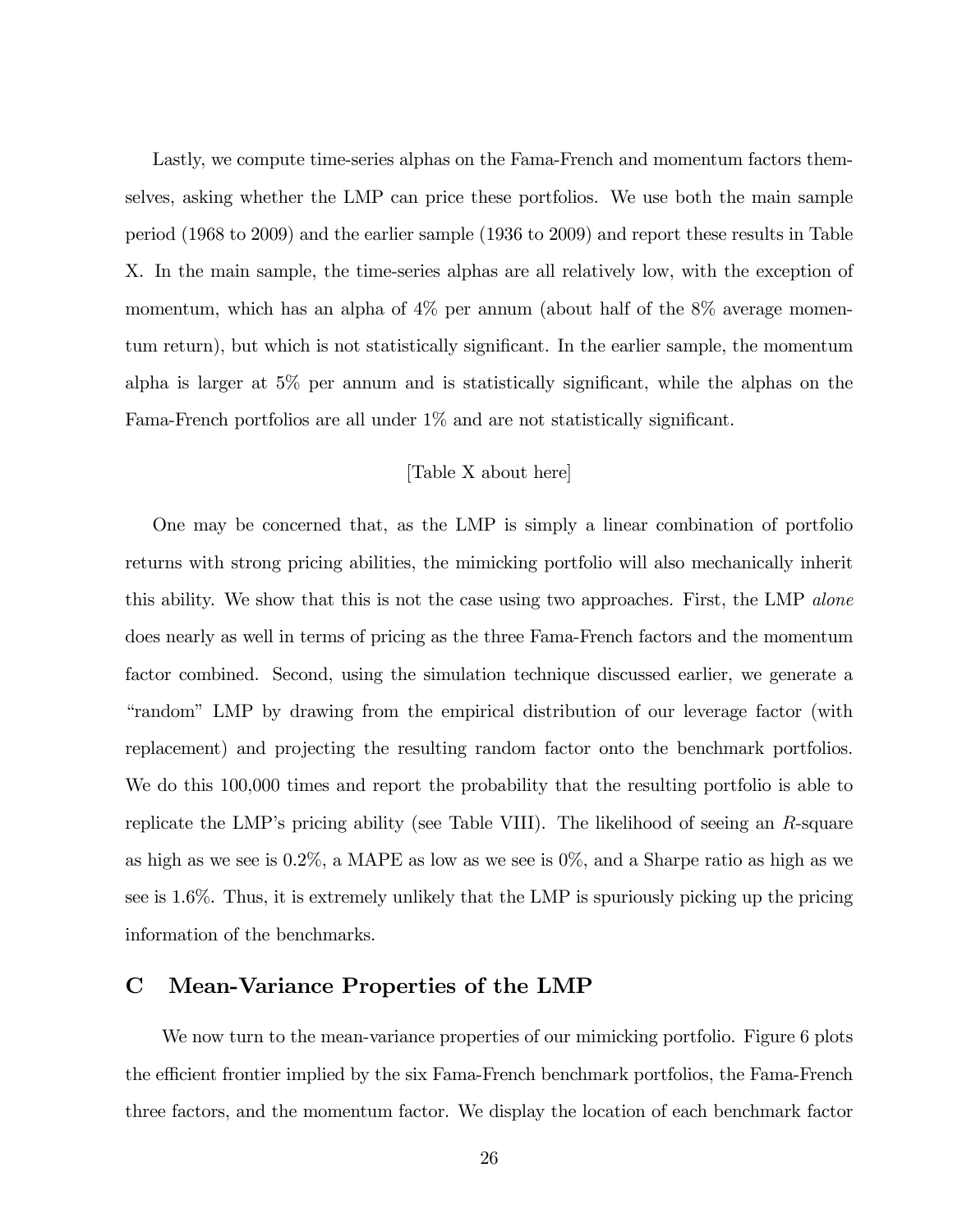Lastly, we compute time-series alphas on the Fama-French and momentum factors themselves, asking whether the LMP can price these portfolios. We use both the main sample period (1968 to 2009) and the earlier sample (1936 to 2009) and report these results in Table X. In the main sample, the time-series alphas are all relatively low, with the exception of momentum, which has an alpha of  $4\%$  per annum (about half of the  $8\%$  average momentum return), but which is not statistically significant. In the earlier sample, the momentum alpha is larger at  $5\%$  per annum and is statistically significant, while the alphas on the Fama-French portfolios are all under  $1\%$  and are not statistically significant.

# [Table X about here]

One may be concerned that, as the LMP is simply a linear combination of portfolio returns with strong pricing abilities, the mimicking portfolio will also mechanically inherit this ability. We show that this is not the case using two approaches. First, the LMP alone does nearly as well in terms of pricing as the three Fama-French factors and the momentum factor combined. Second, using the simulation technique discussed earlier, we generate a ìrandomî LMP by drawing from the empirical distribution of our leverage factor (with replacement) and projecting the resulting random factor onto the benchmark portfolios. We do this 100,000 times and report the probability that the resulting portfolio is able to replicate the LMPís pricing ability (see Table VIII). The likelihood of seeing an R-square as high as we see is 0.2%, a MAPE as low as we see is 0%, and a Sharpe ratio as high as we see is 1.6%. Thus, it is extremely unlikely that the LMP is spuriously picking up the pricing information of the benchmarks.

# C Mean-Variance Properties of the LMP

We now turn to the mean-variance properties of our mimicking portfolio. Figure 6 plots the efficient frontier implied by the six Fama-French benchmark portfolios, the Fama-French three factors, and the momentum factor. We display the location of each benchmark factor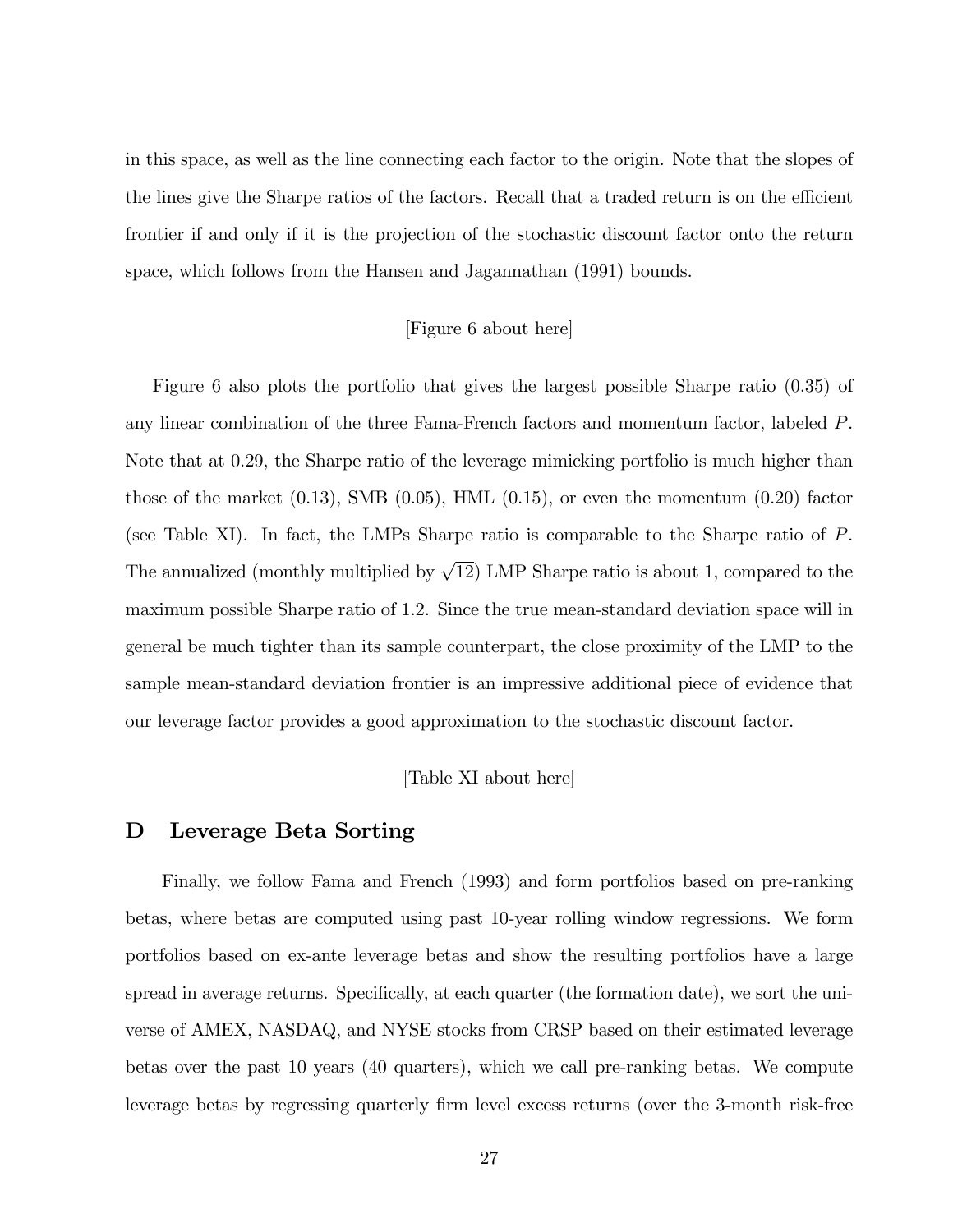in this space, as well as the line connecting each factor to the origin. Note that the slopes of the lines give the Sharpe ratios of the factors. Recall that a traded return is on the efficient frontier if and only if it is the projection of the stochastic discount factor onto the return space, which follows from the Hansen and Jagannathan (1991) bounds.

#### [Figure 6 about here]

Figure 6 also plots the portfolio that gives the largest possible Sharpe ratio (0.35) of any linear combination of the three Fama-French factors and momentum factor, labeled P. Note that at 0.29, the Sharpe ratio of the leverage mimicking portfolio is much higher than those of the market  $(0.13)$ , SMB  $(0.05)$ , HML  $(0.15)$ , or even the momentum  $(0.20)$  factor (see Table XI). In fact, the LMPs Sharpe ratio is comparable to the Sharpe ratio of P. The annualized (monthly multiplied by  $\sqrt{12}$ ) LMP Sharpe ratio is about 1, compared to the maximum possible Sharpe ratio of 1.2. Since the true mean-standard deviation space will in general be much tighter than its sample counterpart, the close proximity of the LMP to the sample mean-standard deviation frontier is an impressive additional piece of evidence that our leverage factor provides a good approximation to the stochastic discount factor.

## [Table XI about here]

# D Leverage Beta Sorting

Finally, we follow Fama and French (1993) and form portfolios based on pre-ranking betas, where betas are computed using past 10-year rolling window regressions. We form portfolios based on ex-ante leverage betas and show the resulting portfolios have a large spread in average returns. Specifically, at each quarter (the formation date), we sort the universe of AMEX, NASDAQ, and NYSE stocks from CRSP based on their estimated leverage betas over the past 10 years (40 quarters), which we call pre-ranking betas. We compute leverage betas by regressing quarterly firm level excess returns (over the 3-month risk-free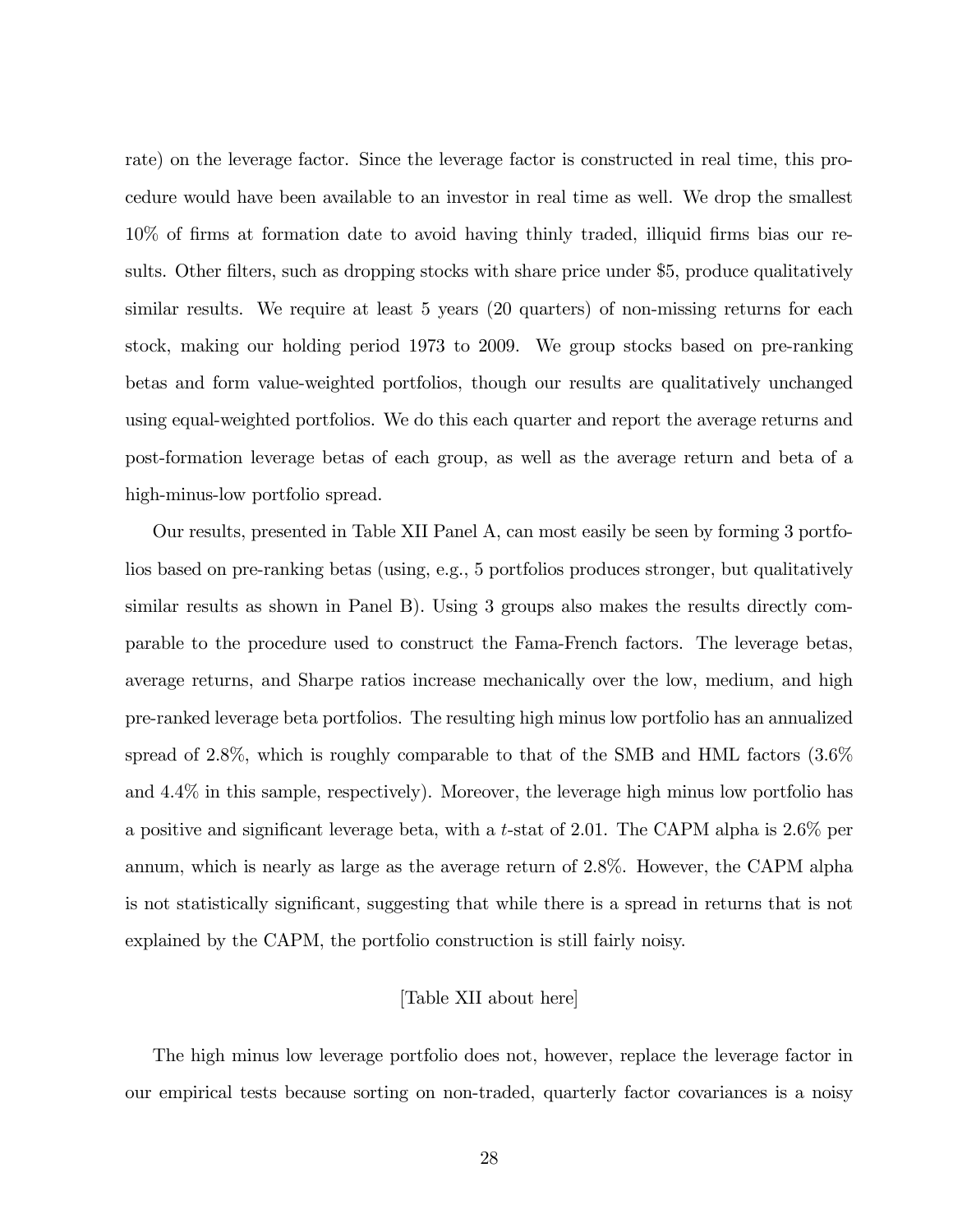rate) on the leverage factor. Since the leverage factor is constructed in real time, this procedure would have been available to an investor in real time as well. We drop the smallest 10% of Örms at formation date to avoid having thinly traded, illiquid Örms bias our results. Other filters, such as dropping stocks with share price under \$5, produce qualitatively similar results. We require at least 5 years (20 quarters) of non-missing returns for each stock, making our holding period 1973 to 2009. We group stocks based on pre-ranking betas and form value-weighted portfolios, though our results are qualitatively unchanged using equal-weighted portfolios. We do this each quarter and report the average returns and post-formation leverage betas of each group, as well as the average return and beta of a high-minus-low portfolio spread.

Our results, presented in Table XII Panel A, can most easily be seen by forming 3 portfolios based on pre-ranking betas (using, e.g., 5 portfolios produces stronger, but qualitatively similar results as shown in Panel B). Using 3 groups also makes the results directly comparable to the procedure used to construct the Fama-French factors. The leverage betas, average returns, and Sharpe ratios increase mechanically over the low, medium, and high pre-ranked leverage beta portfolios. The resulting high minus low portfolio has an annualized spread of 2.8%, which is roughly comparable to that of the SMB and HML factors (3.6% and 4.4% in this sample, respectively). Moreover, the leverage high minus low portfolio has a positive and significant leverage beta, with a t-stat of 2.01. The CAPM alpha is  $2.6\%$  per annum, which is nearly as large as the average return of 2.8%. However, the CAPM alpha is not statistically significant, suggesting that while there is a spread in returns that is not explained by the CAPM, the portfolio construction is still fairly noisy.

### [Table XII about here]

The high minus low leverage portfolio does not, however, replace the leverage factor in our empirical tests because sorting on non-traded, quarterly factor covariances is a noisy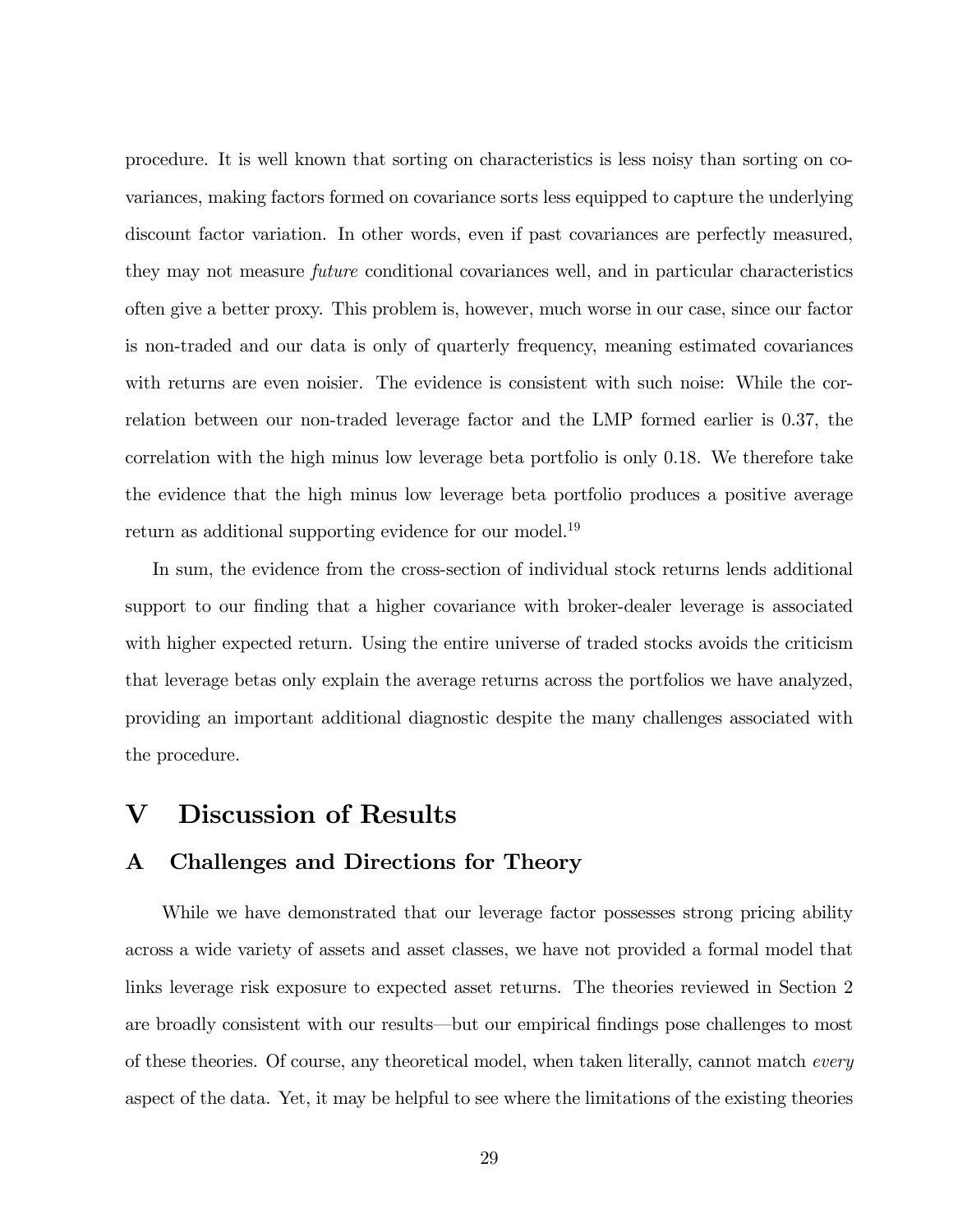procedure. It is well known that sorting on characteristics is less noisy than sorting on covariances, making factors formed on covariance sorts less equipped to capture the underlying discount factor variation. In other words, even if past covariances are perfectly measured, they may not measure future conditional covariances well, and in particular characteristics often give a better proxy. This problem is, however, much worse in our case, since our factor is non-traded and our data is only of quarterly frequency, meaning estimated covariances with returns are even noisier. The evidence is consistent with such noise: While the correlation between our non-traded leverage factor and the LMP formed earlier is 0.37, the correlation with the high minus low leverage beta portfolio is only 0.18. We therefore take the evidence that the high minus low leverage beta portfolio produces a positive average return as additional supporting evidence for our model.<sup>19</sup>

In sum, the evidence from the cross-section of individual stock returns lends additional support to our finding that a higher covariance with broker-dealer leverage is associated with higher expected return. Using the entire universe of traded stocks avoids the criticism that leverage betas only explain the average returns across the portfolios we have analyzed, providing an important additional diagnostic despite the many challenges associated with the procedure.

# V Discussion of Results

# A Challenges and Directions for Theory

While we have demonstrated that our leverage factor possesses strong pricing ability across a wide variety of assets and asset classes, we have not provided a formal model that links leverage risk exposure to expected asset returns. The theories reviewed in Section 2 are broadly consistent with our results—but our empirical findings pose challenges to most of these theories. Of course, any theoretical model, when taken literally, cannot match every aspect of the data. Yet, it may be helpful to see where the limitations of the existing theories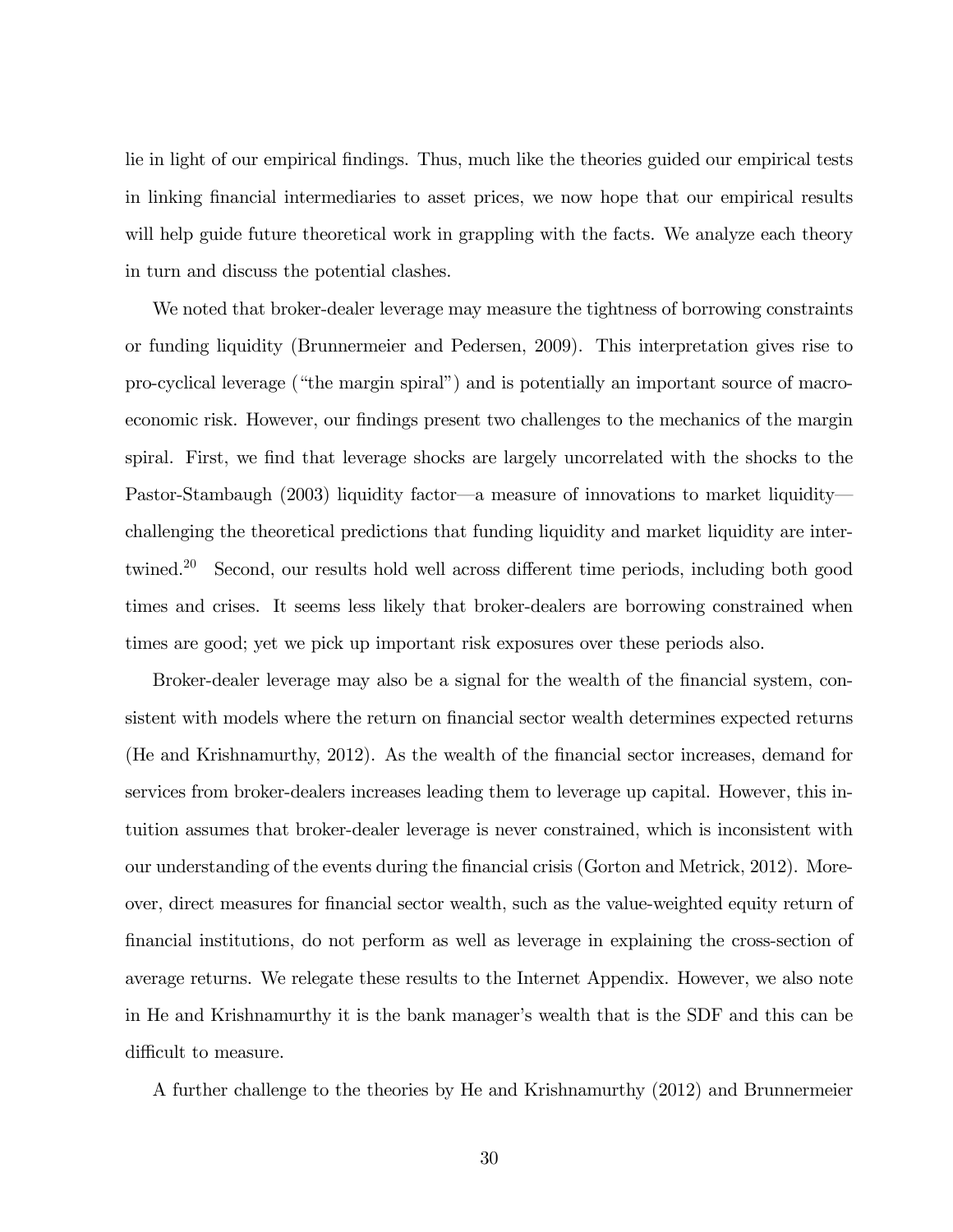lie in light of our empirical findings. Thus, much like the theories guided our empirical tests in linking financial intermediaries to asset prices, we now hope that our empirical results will help guide future theoretical work in grappling with the facts. We analyze each theory in turn and discuss the potential clashes.

We noted that broker-dealer leverage may measure the tightness of borrowing constraints or funding liquidity (Brunnermeier and Pedersen, 2009). This interpretation gives rise to pro-cyclical leverage ("the margin spiral") and is potentially an important source of macroeconomic risk. However, our findings present two challenges to the mechanics of the margin spiral. First, we find that leverage shocks are largely uncorrelated with the shocks to the Pastor-Stambaugh (2003) liquidity factor—a measure of innovations to market liquidity challenging the theoretical predictions that funding liquidity and market liquidity are intertwined.<sup>20</sup> Second, our results hold well across different time periods, including both good times and crises. It seems less likely that broker-dealers are borrowing constrained when times are good; yet we pick up important risk exposures over these periods also.

Broker-dealer leverage may also be a signal for the wealth of the financial system, consistent with models where the return on financial sector wealth determines expected returns (He and Krishnamurthy, 2012). As the wealth of the Önancial sector increases, demand for services from broker-dealers increases leading them to leverage up capital. However, this intuition assumes that broker-dealer leverage is never constrained, which is inconsistent with our understanding of the events during the financial crisis (Gorton and Metrick, 2012). Moreover, direct measures for financial sector wealth, such as the value-weighted equity return of Önancial institutions, do not perform as well as leverage in explaining the cross-section of average returns. We relegate these results to the Internet Appendix. However, we also note in He and Krishnamurthy it is the bank manager's wealth that is the SDF and this can be difficult to measure.

A further challenge to the theories by He and Krishnamurthy (2012) and Brunnermeier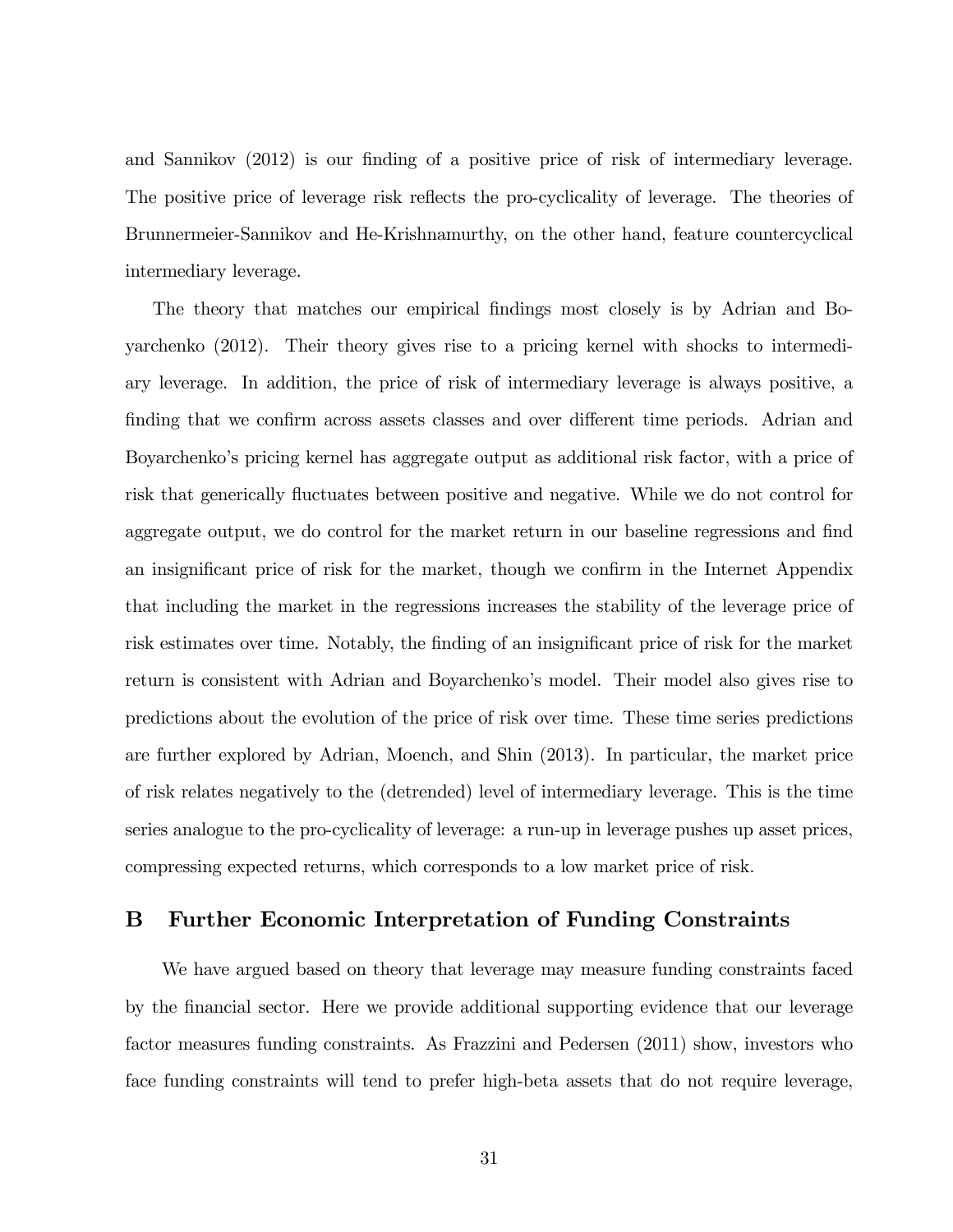and Sannikov (2012) is our finding of a positive price of risk of intermediary leverage. The positive price of leverage risk reflects the pro-cyclicality of leverage. The theories of Brunnermeier-Sannikov and He-Krishnamurthy, on the other hand, feature countercyclical intermediary leverage.

The theory that matches our empirical findings most closely is by Adrian and Boyarchenko (2012). Their theory gives rise to a pricing kernel with shocks to intermediary leverage. In addition, the price of risk of intermediary leverage is always positive, a finding that we confirm across assets classes and over different time periods. Adrian and Boyarchenko's pricing kernel has aggregate output as additional risk factor, with a price of risk that generically fluctuates between positive and negative. While we do not control for aggregate output, we do control for the market return in our baseline regressions and find an insignificant price of risk for the market, though we confirm in the Internet Appendix that including the market in the regressions increases the stability of the leverage price of risk estimates over time. Notably, the finding of an insignificant price of risk for the market return is consistent with Adrian and Boyarchenko's model. Their model also gives rise to predictions about the evolution of the price of risk over time. These time series predictions are further explored by Adrian, Moench, and Shin (2013). In particular, the market price of risk relates negatively to the (detrended) level of intermediary leverage. This is the time series analogue to the pro-cyclicality of leverage: a run-up in leverage pushes up asset prices, compressing expected returns, which corresponds to a low market price of risk.

# B Further Economic Interpretation of Funding Constraints

We have argued based on theory that leverage may measure funding constraints faced by the Önancial sector. Here we provide additional supporting evidence that our leverage factor measures funding constraints. As Frazzini and Pedersen (2011) show, investors who face funding constraints will tend to prefer high-beta assets that do not require leverage,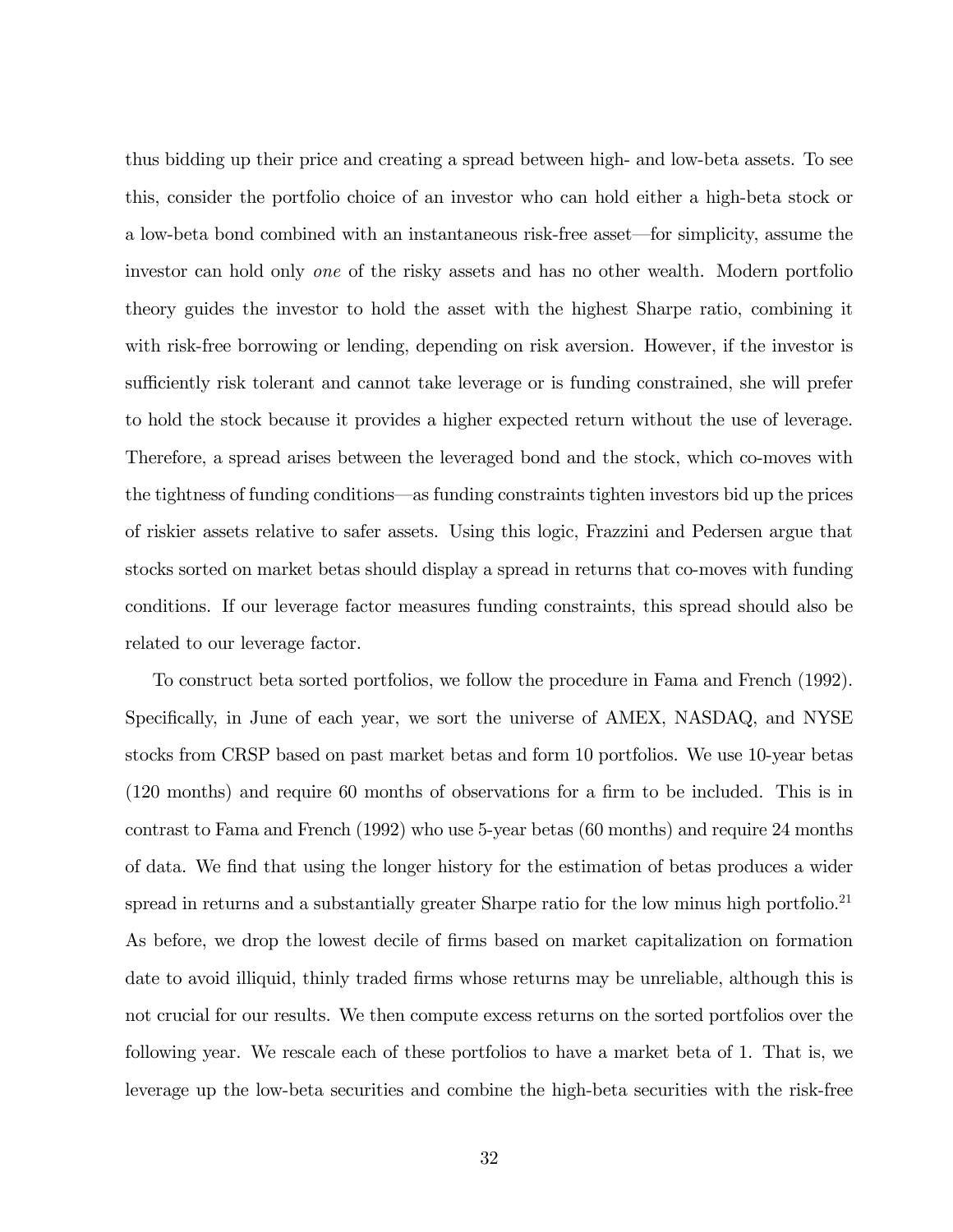thus bidding up their price and creating a spread between high- and low-beta assets. To see this, consider the portfolio choice of an investor who can hold either a high-beta stock or a low-beta bond combined with an instantaneous risk-free asset—for simplicity, assume the investor can hold only one of the risky assets and has no other wealth. Modern portfolio theory guides the investor to hold the asset with the highest Sharpe ratio, combining it with risk-free borrowing or lending, depending on risk aversion. However, if the investor is sufficiently risk tolerant and cannot take leverage or is funding constrained, she will prefer to hold the stock because it provides a higher expected return without the use of leverage. Therefore, a spread arises between the leveraged bond and the stock, which co-moves with the tightness of funding conditions—as funding constraints tighten investors bid up the prices of riskier assets relative to safer assets. Using this logic, Frazzini and Pedersen argue that stocks sorted on market betas should display a spread in returns that co-moves with funding conditions. If our leverage factor measures funding constraints, this spread should also be related to our leverage factor.

To construct beta sorted portfolios, we follow the procedure in Fama and French (1992). Specifically, in June of each year, we sort the universe of AMEX, NASDAQ, and NYSE stocks from CRSP based on past market betas and form 10 portfolios. We use 10-year betas  $(120 \text{ months})$  and require 60 months of observations for a firm to be included. This is in contrast to Fama and French (1992) who use 5-year betas (60 months) and require 24 months of data. We Önd that using the longer history for the estimation of betas produces a wider spread in returns and a substantially greater Sharpe ratio for the low minus high portfolio.<sup>21</sup> As before, we drop the lowest decile of firms based on market capitalization on formation date to avoid illiquid, thinly traded firms whose returns may be unreliable, although this is not crucial for our results. We then compute excess returns on the sorted portfolios over the following year. We rescale each of these portfolios to have a market beta of 1. That is, we leverage up the low-beta securities and combine the high-beta securities with the risk-free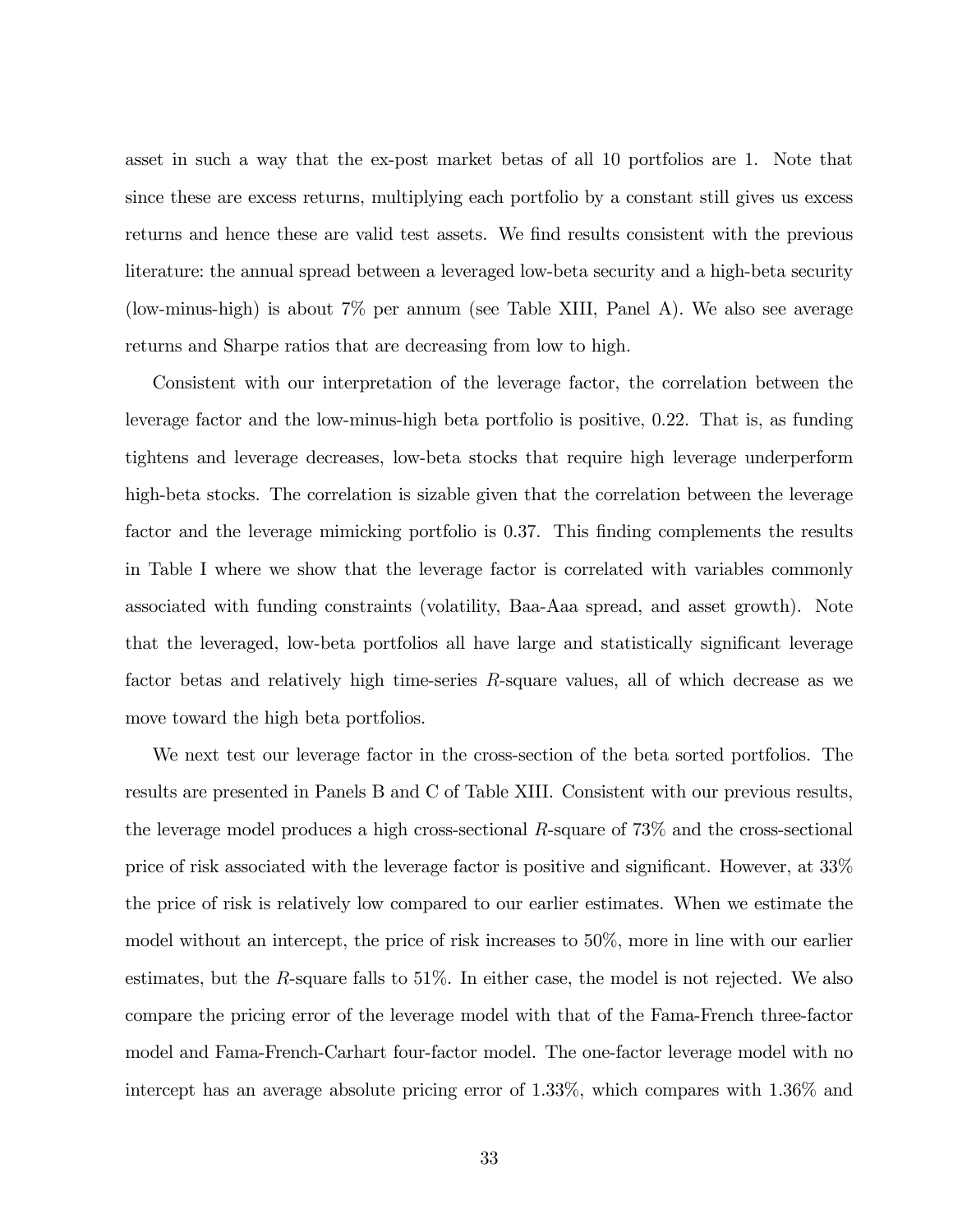asset in such a way that the ex-post market betas of all 10 portfolios are 1. Note that since these are excess returns, multiplying each portfolio by a constant still gives us excess returns and hence these are valid test assets. We find results consistent with the previous literature: the annual spread between a leveraged low-beta security and a high-beta security (low-minus-high) is about 7% per annum (see Table XIII, Panel A). We also see average returns and Sharpe ratios that are decreasing from low to high.

Consistent with our interpretation of the leverage factor, the correlation between the leverage factor and the low-minus-high beta portfolio is positive, 0.22. That is, as funding tightens and leverage decreases, low-beta stocks that require high leverage underperform high-beta stocks. The correlation is sizable given that the correlation between the leverage factor and the leverage mimicking portfolio is 0.37. This finding complements the results in Table I where we show that the leverage factor is correlated with variables commonly associated with funding constraints (volatility, Baa-Aaa spread, and asset growth). Note that the leveraged, low-beta portfolios all have large and statistically significant leverage factor betas and relatively high time-series R-square values, all of which decrease as we move toward the high beta portfolios.

We next test our leverage factor in the cross-section of the beta sorted portfolios. The results are presented in Panels B and C of Table XIII. Consistent with our previous results, the leverage model produces a high cross-sectional  $R$ -square of 73% and the cross-sectional price of risk associated with the leverage factor is positive and significant. However, at  $33\%$ the price of risk is relatively low compared to our earlier estimates. When we estimate the model without an intercept, the price of risk increases to 50%, more in line with our earlier estimates, but the R-square falls to 51%. In either case, the model is not rejected. We also compare the pricing error of the leverage model with that of the Fama-French three-factor model and Fama-French-Carhart four-factor model. The one-factor leverage model with no intercept has an average absolute pricing error of 1.33%, which compares with 1.36% and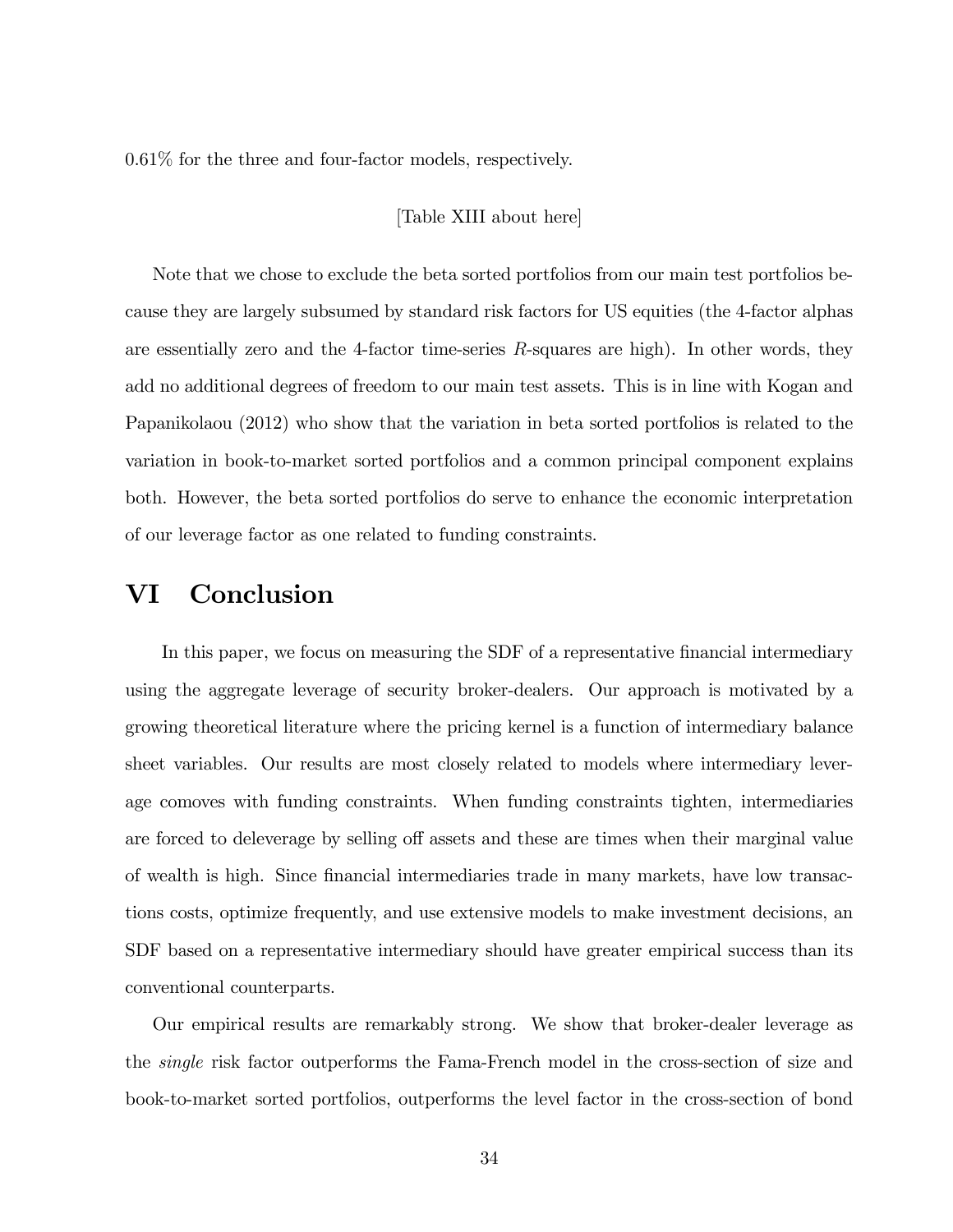0.61% for the three and four-factor models, respectively.

## [Table XIII about here]

Note that we chose to exclude the beta sorted portfolios from our main test portfolios because they are largely subsumed by standard risk factors for US equities (the 4-factor alphas are essentially zero and the 4-factor time-series  $R$ -squares are high). In other words, they add no additional degrees of freedom to our main test assets. This is in line with Kogan and Papanikolaou (2012) who show that the variation in beta sorted portfolios is related to the variation in book-to-market sorted portfolios and a common principal component explains both. However, the beta sorted portfolios do serve to enhance the economic interpretation of our leverage factor as one related to funding constraints.

# VI Conclusion

In this paper, we focus on measuring the SDF of a representative financial intermediary using the aggregate leverage of security broker-dealers. Our approach is motivated by a growing theoretical literature where the pricing kernel is a function of intermediary balance sheet variables. Our results are most closely related to models where intermediary leverage comoves with funding constraints. When funding constraints tighten, intermediaries are forced to deleverage by selling off assets and these are times when their marginal value of wealth is high. Since financial intermediaries trade in many markets, have low transactions costs, optimize frequently, and use extensive models to make investment decisions, an SDF based on a representative intermediary should have greater empirical success than its conventional counterparts.

Our empirical results are remarkably strong. We show that broker-dealer leverage as the single risk factor outperforms the Fama-French model in the cross-section of size and book-to-market sorted portfolios, outperforms the level factor in the cross-section of bond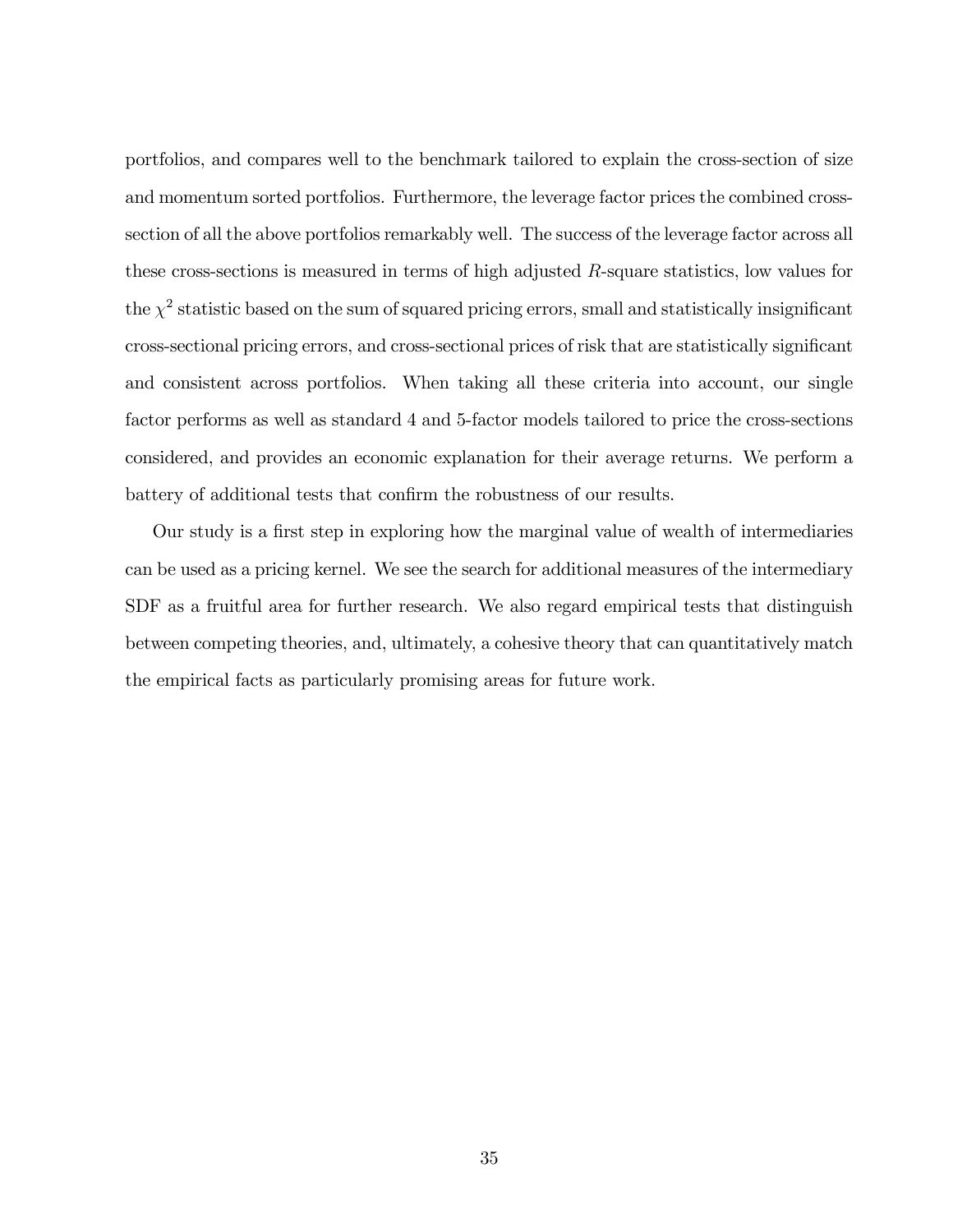portfolios, and compares well to the benchmark tailored to explain the cross-section of size and momentum sorted portfolios. Furthermore, the leverage factor prices the combined crosssection of all the above portfolios remarkably well. The success of the leverage factor across all these cross-sections is measured in terms of high adjusted R-square statistics, low values for the  $\chi^2$  statistic based on the sum of squared pricing errors, small and statistically insignificant cross-sectional pricing errors, and cross-sectional prices of risk that are statistically significant and consistent across portfolios. When taking all these criteria into account, our single factor performs as well as standard 4 and 5-factor models tailored to price the cross-sections considered, and provides an economic explanation for their average returns. We perform a battery of additional tests that confirm the robustness of our results.

Our study is a first step in exploring how the marginal value of wealth of intermediaries can be used as a pricing kernel. We see the search for additional measures of the intermediary SDF as a fruitful area for further research. We also regard empirical tests that distinguish between competing theories, and, ultimately, a cohesive theory that can quantitatively match the empirical facts as particularly promising areas for future work.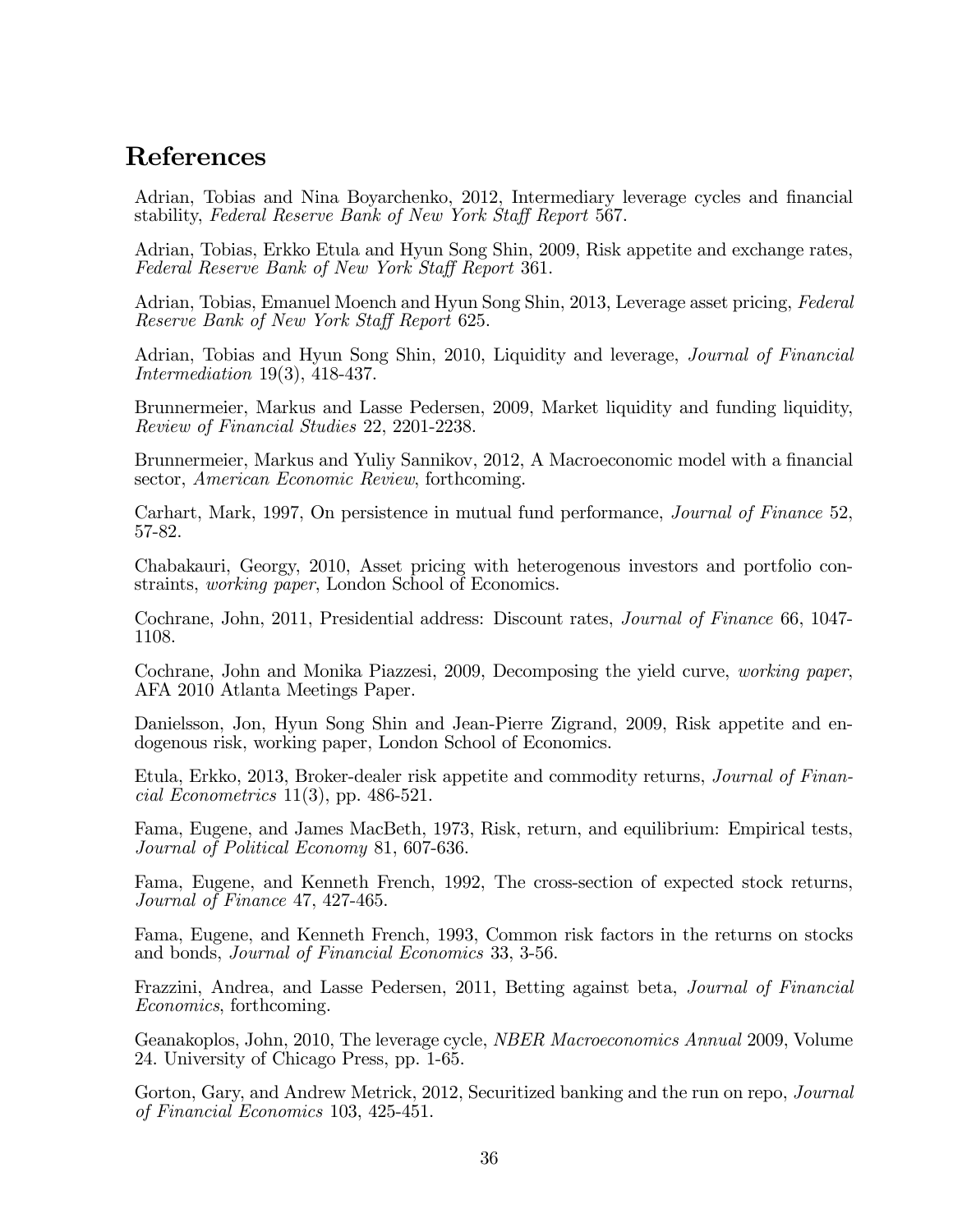# References

Adrian, Tobias and Nina Boyarchenko, 2012, Intermediary leverage cycles and financial stability, Federal Reserve Bank of New York Staff Report 567.

Adrian, Tobias, Erkko Etula and Hyun Song Shin, 2009, Risk appetite and exchange rates, Federal Reserve Bank of New York Staff Report 361.

Adrian, Tobias, Emanuel Moench and Hyun Song Shin, 2013, Leverage asset pricing, Federal Reserve Bank of New York Staff Report 625.

Adrian, Tobias and Hyun Song Shin, 2010, Liquidity and leverage, Journal of Financial Intermediation 19(3), 418-437.

Brunnermeier, Markus and Lasse Pedersen, 2009, Market liquidity and funding liquidity, Review of Financial Studies 22, 2201-2238.

Brunnermeier, Markus and Yuliy Sannikov, 2012, A Macroeconomic model with a financial sector, American Economic Review, forthcoming.

Carhart, Mark, 1997, On persistence in mutual fund performance, Journal of Finance 52, 57-82.

Chabakauri, Georgy, 2010, Asset pricing with heterogenous investors and portfolio constraints, working paper, London School of Economics.

Cochrane, John, 2011, Presidential address: Discount rates, Journal of Finance 66, 1047- 1108.

Cochrane, John and Monika Piazzesi, 2009, Decomposing the yield curve, working paper, AFA 2010 Atlanta Meetings Paper.

Danielsson, Jon, Hyun Song Shin and Jean-Pierre Zigrand, 2009, Risk appetite and endogenous risk, working paper, London School of Economics.

Etula, Erkko, 2013, Broker-dealer risk appetite and commodity returns, Journal of Financial Econometrics 11(3), pp. 486-521.

Fama, Eugene, and James MacBeth, 1973, Risk, return, and equilibrium: Empirical tests, Journal of Political Economy 81, 607-636.

Fama, Eugene, and Kenneth French, 1992, The cross-section of expected stock returns, Journal of Finance 47, 427-465.

Fama, Eugene, and Kenneth French, 1993, Common risk factors in the returns on stocks and bonds, Journal of Financial Economics 33, 3-56.

Frazzini, Andrea, and Lasse Pedersen, 2011, Betting against beta, Journal of Financial Economics, forthcoming.

Geanakoplos, John, 2010, The leverage cycle, NBER Macroeconomics Annual 2009, Volume 24. University of Chicago Press, pp. 1-65.

Gorton, Gary, and Andrew Metrick, 2012, Securitized banking and the run on repo, *Journal* of Financial Economics 103, 425-451.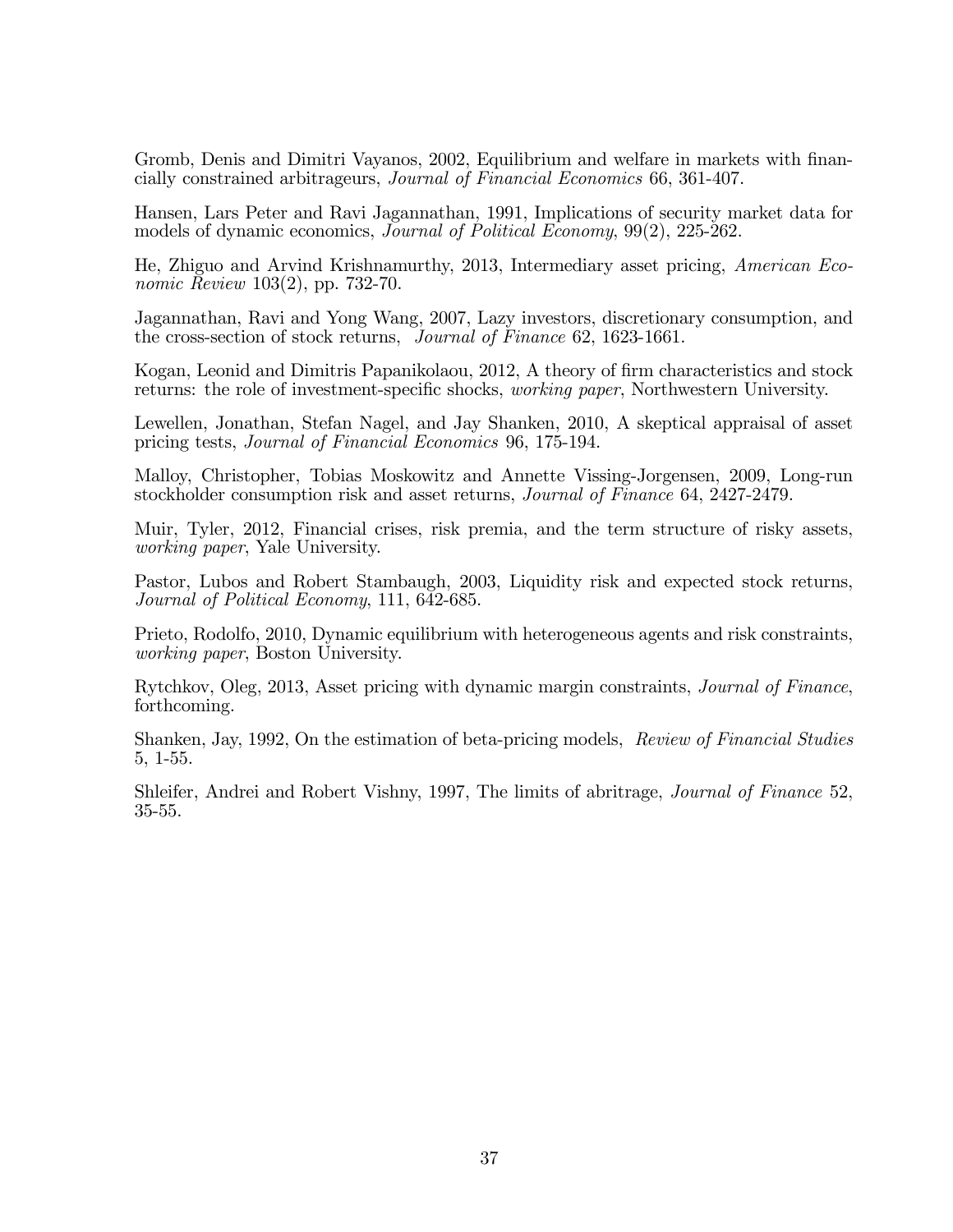Gromb, Denis and Dimitri Vayanos, 2002, Equilibrium and welfare in markets with financially constrained arbitrageurs, Journal of Financial Economics 66, 361-407.

Hansen, Lars Peter and Ravi Jagannathan, 1991, Implications of security market data for models of dynamic economics, Journal of Political Economy, 99(2), 225-262.

He, Zhiguo and Arvind Krishnamurthy, 2013, Intermediary asset pricing, American Economic Review 103(2), pp. 732-70.

Jagannathan, Ravi and Yong Wang, 2007, Lazy investors, discretionary consumption, and the cross-section of stock returns, Journal of Finance 62, 1623-1661.

Kogan, Leonid and Dimitris Papanikolaou, 2012, A theory of firm characteristics and stock returns: the role of investment-specific shocks, *working paper*, Northwestern University.

Lewellen, Jonathan, Stefan Nagel, and Jay Shanken, 2010, A skeptical appraisal of asset pricing tests, Journal of Financial Economics 96, 175-194.

Malloy, Christopher, Tobias Moskowitz and Annette Vissing-Jorgensen, 2009, Long-run stockholder consumption risk and asset returns, Journal of Finance 64, 2427-2479.

Muir, Tyler, 2012, Financial crises, risk premia, and the term structure of risky assets, working paper, Yale University.

Pastor, Lubos and Robert Stambaugh, 2003, Liquidity risk and expected stock returns, Journal of Political Economy, 111, 642-685.

Prieto, Rodolfo, 2010, Dynamic equilibrium with heterogeneous agents and risk constraints, working paper, Boston University.

Rytchkov, Oleg, 2013, Asset pricing with dynamic margin constraints, Journal of Finance, forthcoming.

Shanken, Jay, 1992, On the estimation of beta-pricing models, Review of Financial Studies 5, 1-55.

Shleifer, Andrei and Robert Vishny, 1997, The limits of abritrage, Journal of Finance 52, 35-55.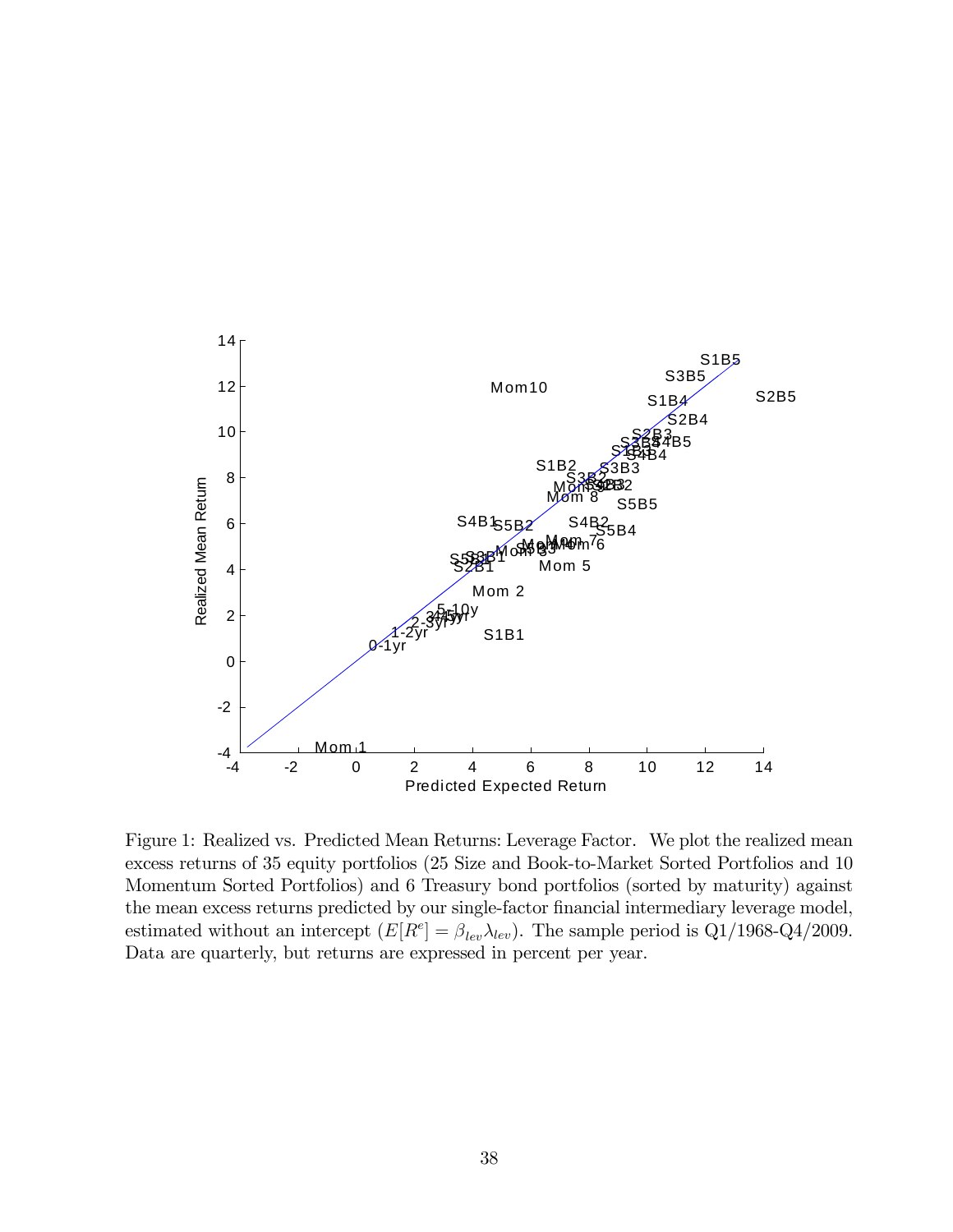

Figure 1: Realized vs. Predicted Mean Returns: Leverage Factor. We plot the realized mean excess returns of 35 equity portfolios (25 Size and Book-to-Market Sorted Portfolios and 10 Momentum Sorted Portfolios) and 6 Treasury bond portfolios (sorted by maturity) against the mean excess returns predicted by our single-factor financial intermediary leverage model, estimated without an intercept  $(E[R^e] = \beta_{lev} \lambda_{lev})$ . The sample period is Q1/1968-Q4/2009. Data are quarterly, but returns are expressed in percent per year.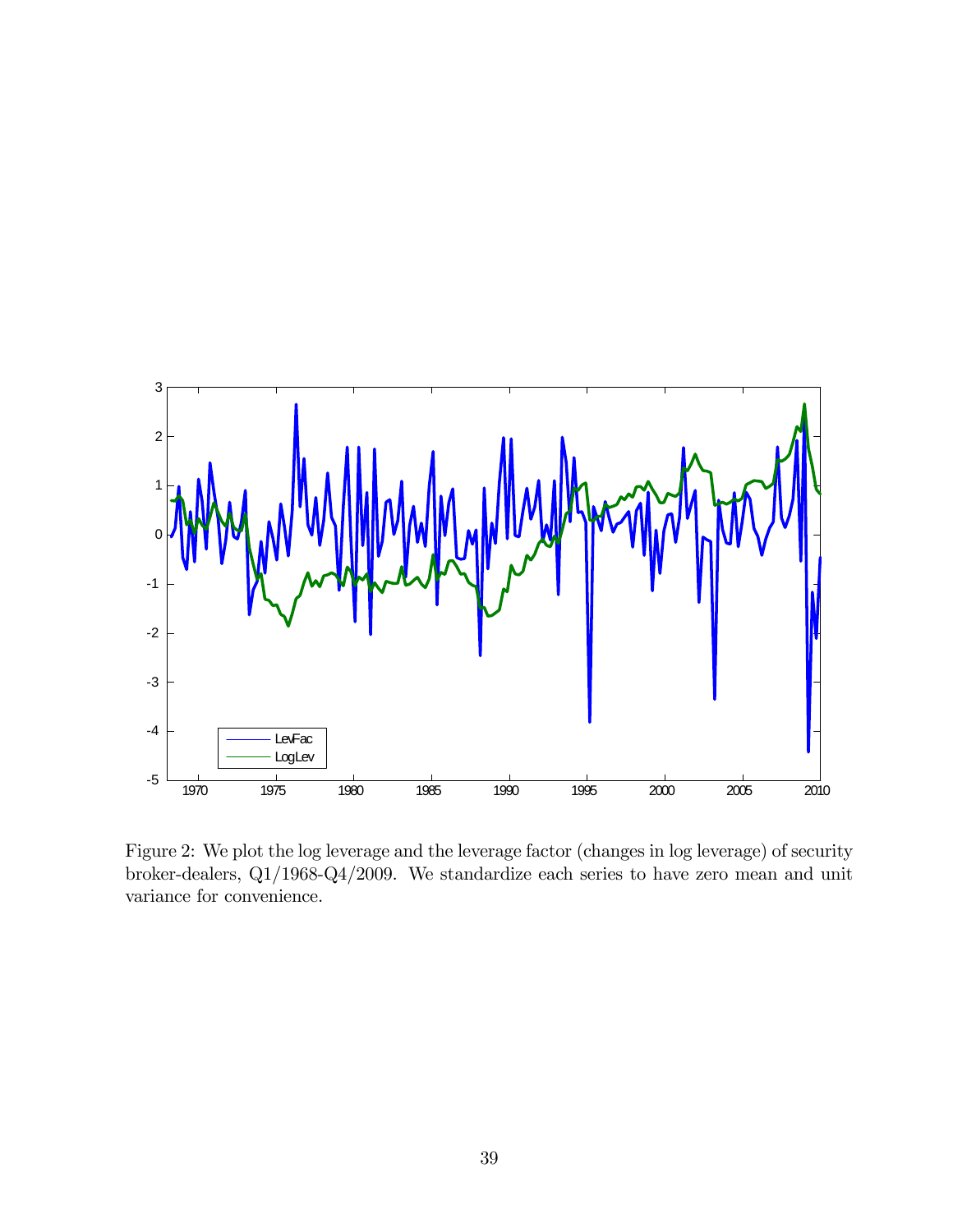

Figure 2: We plot the log leverage and the leverage factor (changes in log leverage) of security broker-dealers, Q1/1968-Q4/2009. We standardize each series to have zero mean and unit variance for convenience.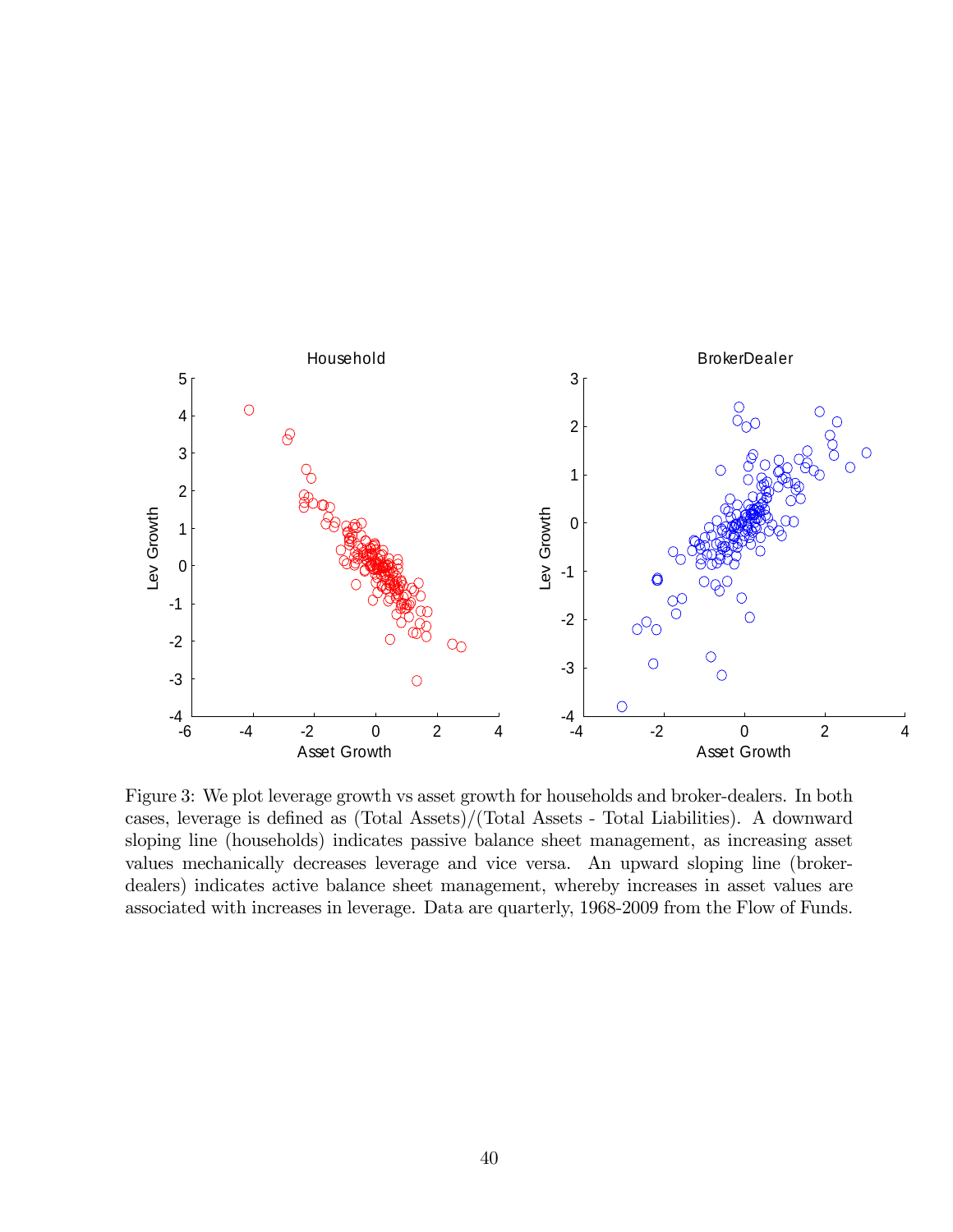

Figure 3: We plot leverage growth vs asset growth for households and broker-dealers. In both cases, leverage is defined as  $(Total Assets)/(Total Assets - Total Liabilities)$ . A downward sloping line (households) indicates passive balance sheet management, as increasing asset values mechanically decreases leverage and vice versa. An upward sloping line (brokerdealers) indicates active balance sheet management, whereby increases in asset values are associated with increases in leverage. Data are quarterly, 1968-2009 from the Flow of Funds.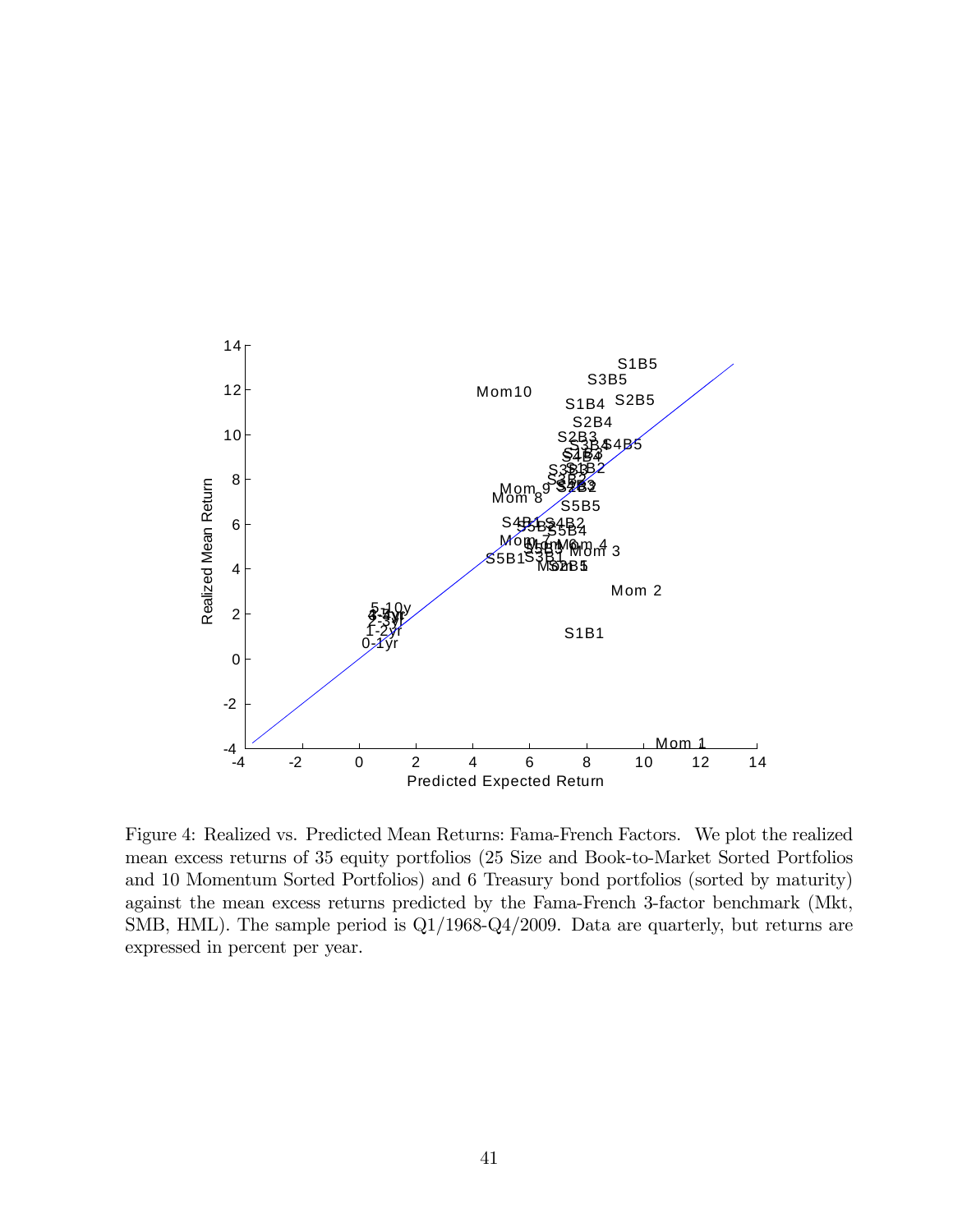

Figure 4: Realized vs. Predicted Mean Returns: Fama-French Factors. We plot the realized mean excess returns of 35 equity portfolios (25 Size and Book-to-Market Sorted Portfolios and 10 Momentum Sorted Portfolios) and 6 Treasury bond portfolios (sorted by maturity) against the mean excess returns predicted by the Fama-French 3-factor benchmark (Mkt, SMB, HML). The sample period is Q1/1968-Q4/2009. Data are quarterly, but returns are expressed in percent per year.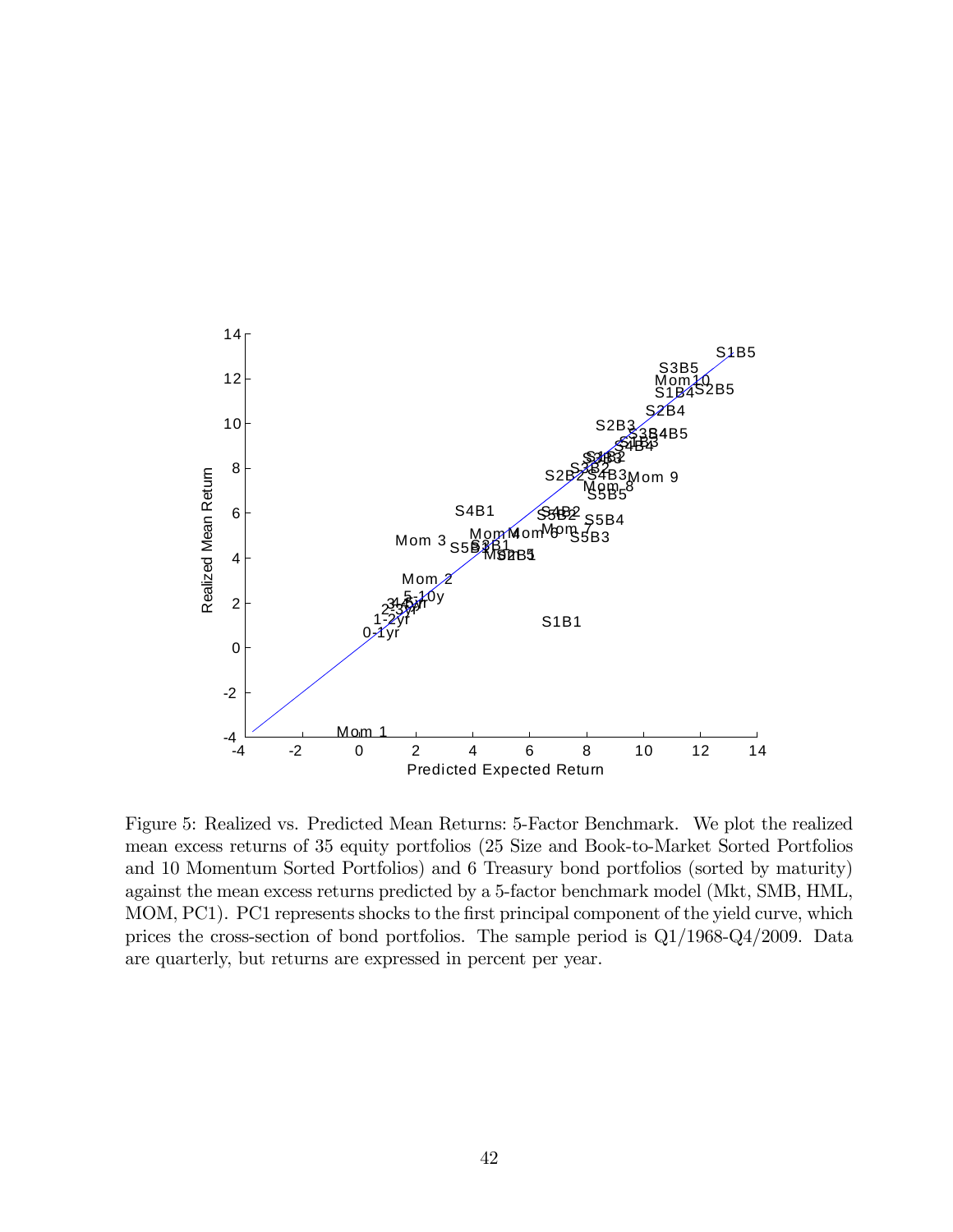

Figure 5: Realized vs. Predicted Mean Returns: 5-Factor Benchmark. We plot the realized mean excess returns of 35 equity portfolios (25 Size and Book-to-Market Sorted Portfolios and 10 Momentum Sorted Portfolios) and 6 Treasury bond portfolios (sorted by maturity) against the mean excess returns predicted by a 5-factor benchmark model (Mkt, SMB, HML, MOM, PC1). PC1 represents shocks to the first principal component of the yield curve, which prices the cross-section of bond portfolios. The sample period is Q1/1968-Q4/2009. Data are quarterly, but returns are expressed in percent per year.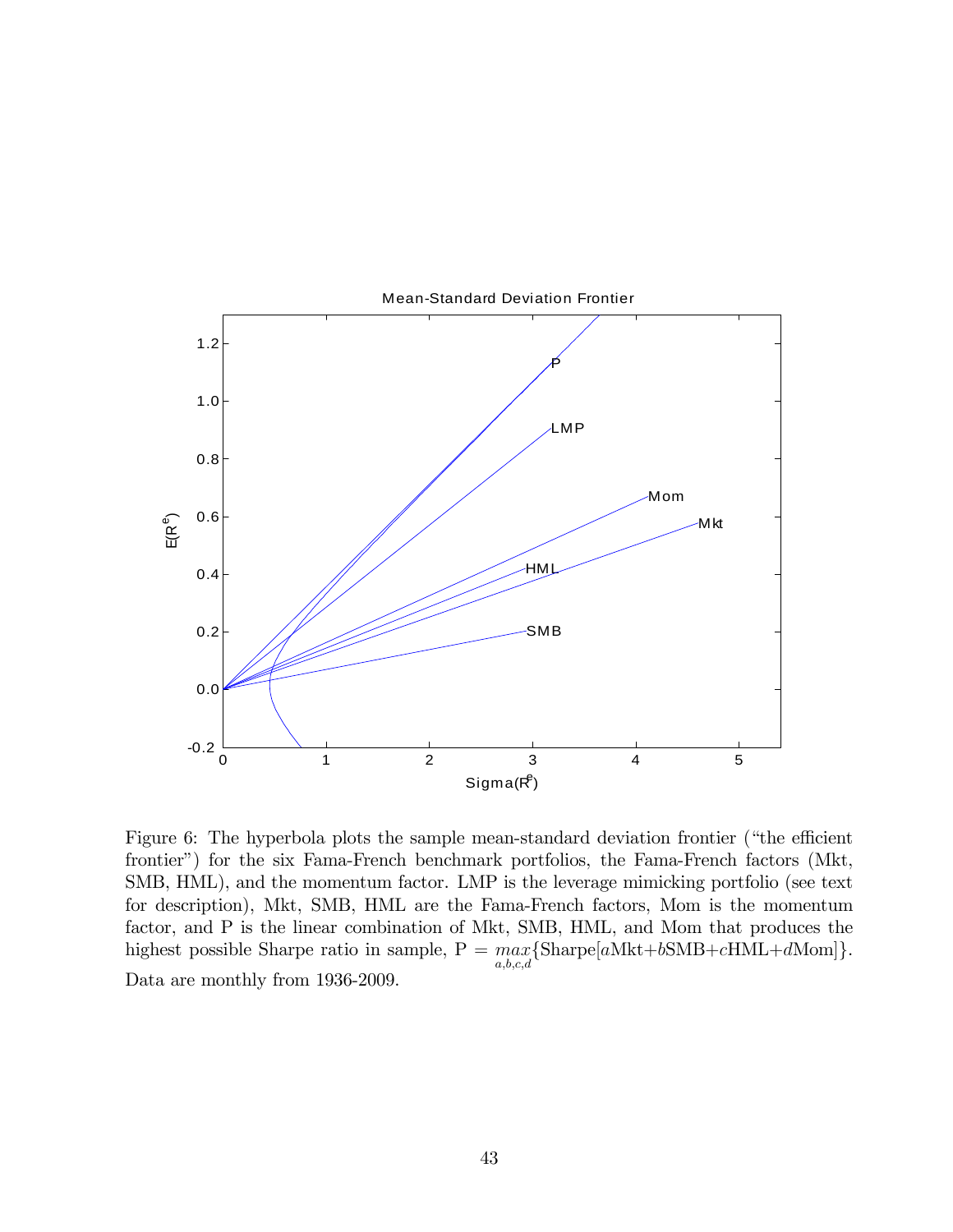

Figure 6: The hyperbola plots the sample mean-standard deviation frontier ("the efficient frontier") for the six Fama-French benchmark portfolios, the Fama-French factors (Mkt, SMB, HML), and the momentum factor. LMP is the leverage mimicking portfolio (see text for description), Mkt, SMB, HML are the Fama-French factors, Mom is the momentum factor, and P is the linear combination of Mkt, SMB, HML, and Mom that produces the highest possible Sharpe ratio in sample,  $P = \max_{a,b,c,d} {\text{Shape}[a\text{Mkt}+b\text{SMB}+c\text{HML}+d\text{Mom}]}$ . Data are monthly from 1936-2009.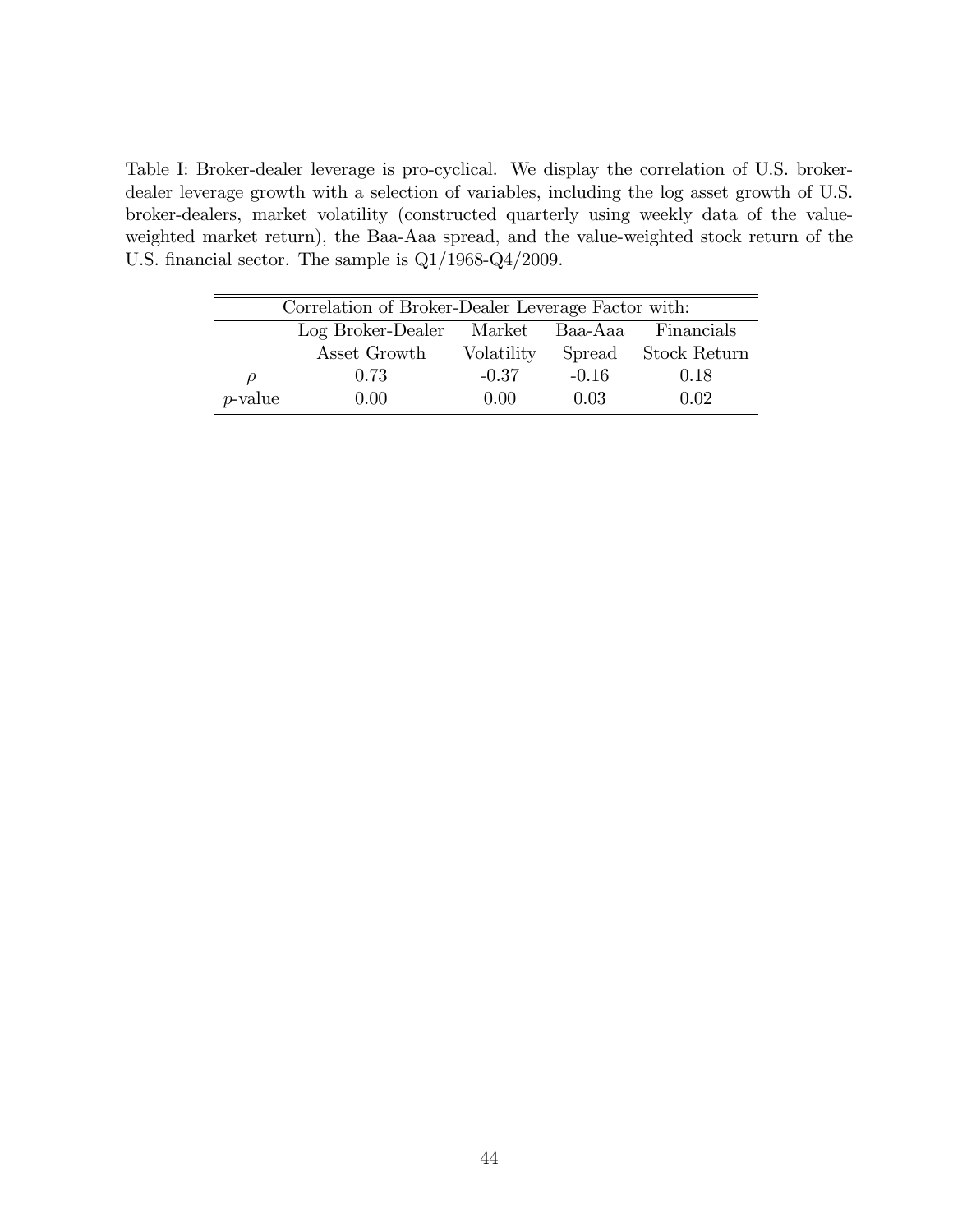Table I: Broker-dealer leverage is pro-cyclical. We display the correlation of U.S. brokerdealer leverage growth with a selection of variables, including the log asset growth of U.S. broker-dealers, market volatility (constructed quarterly using weekly data of the valueweighted market return), the Baa-Aaa spread, and the value-weighted stock return of the U.S. financial sector. The sample is  $Q1/1968-Q4/2009$ .

|            | Correlation of Broker-Dealer Leverage Factor with: |            |         |              |  |  |  |  |  |  |
|------------|----------------------------------------------------|------------|---------|--------------|--|--|--|--|--|--|
|            | Log Broker-Dealer                                  | Market     | Baa-Aaa | Financials   |  |  |  |  |  |  |
|            | Asset Growth                                       | Volatility | Spread  | Stock Return |  |  |  |  |  |  |
| $\rho$     | 0.73                                               | $-0.37$    | $-0.16$ | 0.18         |  |  |  |  |  |  |
| $p$ -value | 0.00                                               | 0.00       | 0.03    | 0.02         |  |  |  |  |  |  |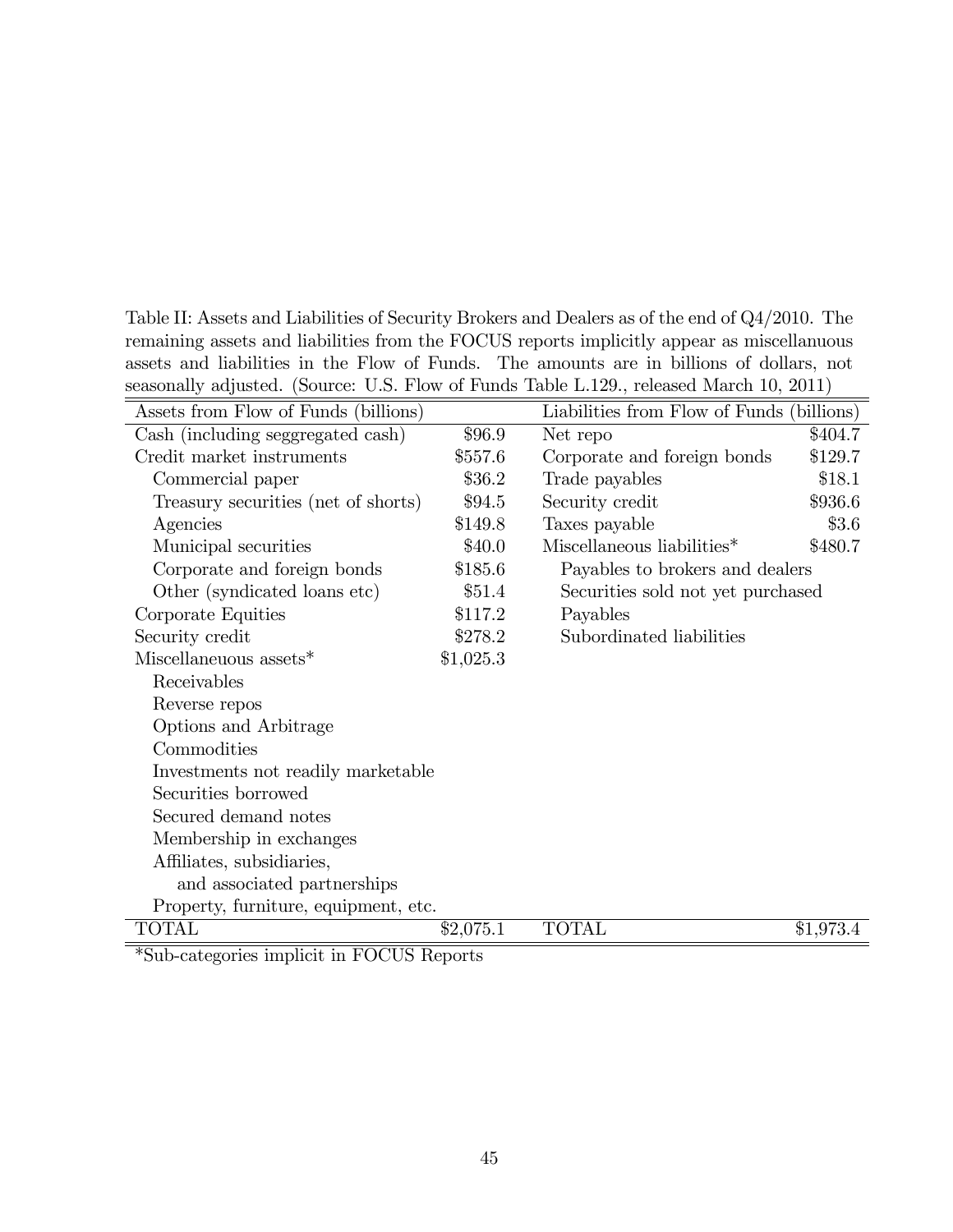Table II: Assets and Liabilities of Security Brokers and Dealers as of the end of Q4/2010. The remaining assets and liabilities from the FOCUS reports implicitly appear as miscellanuous assets and liabilities in the Flow of Funds. The amounts are in billions of dollars, not seasonally adjusted. (Source: U.S. Flow of Funds Table L.129., released March 10, 2011)

| Assets from Flow of Funds (billions) |           | Liabilities from Flow of Funds (billions) |           |
|--------------------------------------|-----------|-------------------------------------------|-----------|
| Cash (including seggregated cash)    | \$96.9    | Net repo                                  | \$404.7   |
| Credit market instruments            | \$557.6   | Corporate and foreign bonds               | \$129.7   |
| Commercial paper                     | \$36.2    | Trade payables                            | \$18.1    |
| Treasury securities (net of shorts)  | \$94.5    | Security credit                           | \$936.6   |
| Agencies                             | \$149.8   | Taxes payable                             | \$3.6     |
| Municipal securities                 | \$40.0    | Miscellaneous liabilities*                | \$480.7   |
| Corporate and foreign bonds          | \$185.6   | Payables to brokers and dealers           |           |
| Other (syndicated loans etc)         | \$51.4    | Securities sold not yet purchased         |           |
| Corporate Equities                   | \$117.2   | Payables                                  |           |
| Security credit                      | \$278.2   | Subordinated liabilities                  |           |
| Miscellaneuous assets*               | \$1,025.3 |                                           |           |
| Receivables                          |           |                                           |           |
| Reverse repos                        |           |                                           |           |
| Options and Arbitrage                |           |                                           |           |
| Commodities                          |           |                                           |           |
| Investments not readily marketable   |           |                                           |           |
| Securities borrowed                  |           |                                           |           |
| Secured demand notes                 |           |                                           |           |
| Membership in exchanges              |           |                                           |           |
| Affiliates, subsidiaries,            |           |                                           |           |
| and associated partnerships          |           |                                           |           |
| Property, furniture, equipment, etc. |           |                                           |           |
| <b>TOTAL</b>                         | \$2,075.1 | <b>TOTAL</b>                              | \$1,973.4 |

\*Sub-categories implicit in FOCUS Reports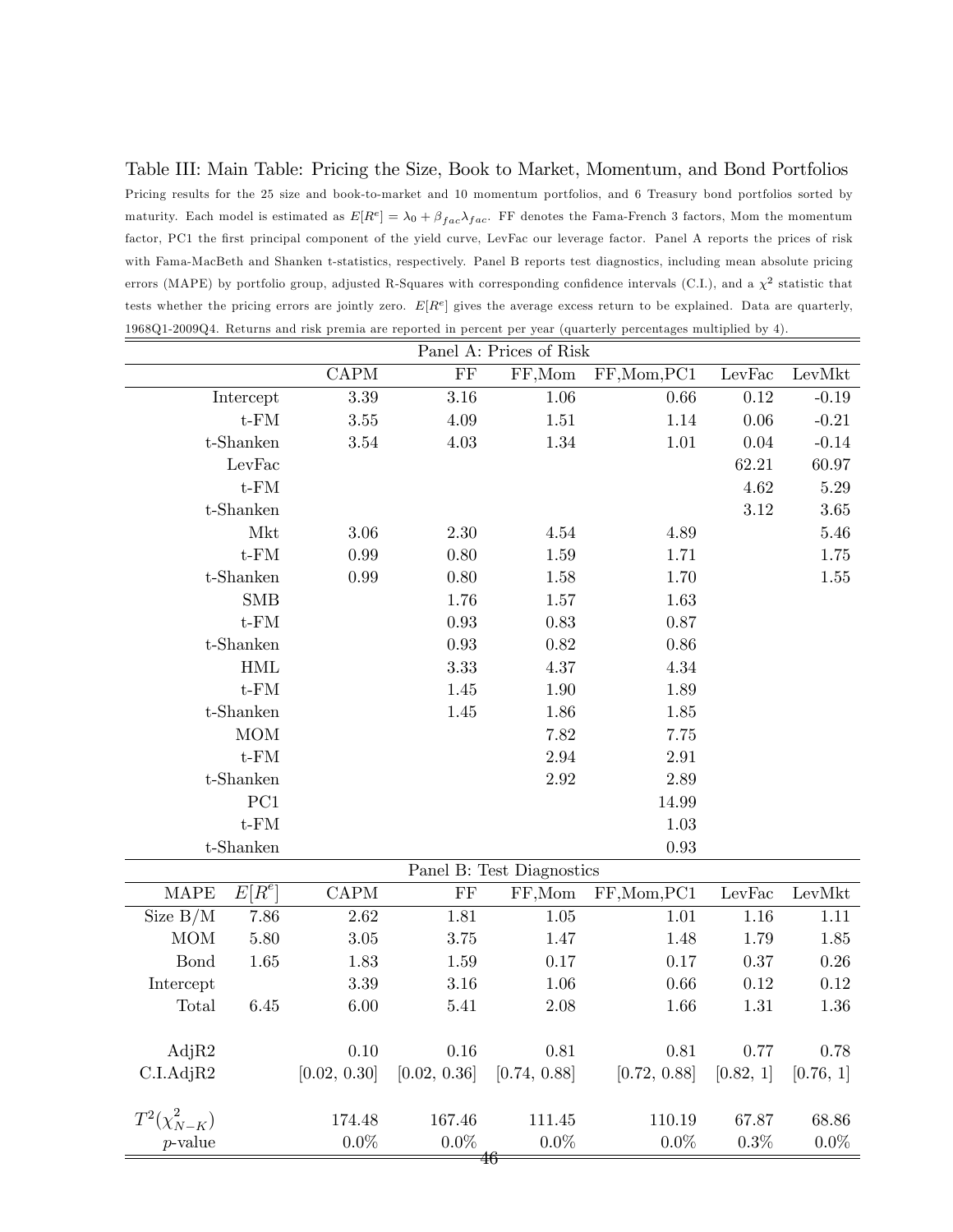Table III: Main Table: Pricing the Size, Book to Market, Momentum, and Bond Portfolios Pricing results for the 25 size and book-to-market and 10 momentum portfolios, and 6 Treasury bond portfolios sorted by maturity. Each model is estimated as  $E[R^e] = \lambda_0 + \beta_{fac}\lambda_{fac}$ . FF denotes the Fama-French 3 factors, Mom the momentum factor, PC1 the first principal component of the yield curve, LevFac our leverage factor. Panel A reports the prices of risk with Fama-MacBeth and Shanken t-statistics, respectively. Panel B reports test diagnostics, including mean absolute pricing errors (MAPE) by portfolio group, adjusted R-Squares with corresponding confidence intervals (C.I.), and a  $\chi^2$  statistic that tests whether the pricing errors are jointly zero.  $E[R^e]$  gives the average excess return to be explained. Data are quarterly, 1968Q1-2009Q4. Returns and risk premia are reported in percent per year (quarterly percentages multiplied by 4).

|                     | Panel A: Prices of Risk |                          |              |                           |              |           |           |  |  |  |
|---------------------|-------------------------|--------------------------|--------------|---------------------------|--------------|-----------|-----------|--|--|--|
|                     |                         | <b>CAPM</b>              | FF           | FF,Mom                    | FF, Mom, PC1 | LevFac    | LevMkt    |  |  |  |
|                     | Intercept               | 3.39                     | 3.16         | 1.06                      | 0.66         | 0.12      | $-0.19$   |  |  |  |
|                     | $t$ - $FM$              | 3.55                     | 4.09         | 1.51                      | 1.14         | 0.06      | $-0.21$   |  |  |  |
|                     | t-Shanken               | $3.54\,$                 | 4.03         | 1.34                      | 1.01         | 0.04      | $-0.14$   |  |  |  |
|                     | LevFac                  |                          |              |                           |              | 62.21     | 60.97     |  |  |  |
|                     | $t$ - $FM$              |                          |              |                           |              | 4.62      | $5.29\,$  |  |  |  |
|                     | t-Shanken               |                          |              |                           |              | 3.12      | 3.65      |  |  |  |
|                     | Mkt                     | 3.06                     | 2.30         | 4.54                      | 4.89         |           | 5.46      |  |  |  |
|                     | $t$ - $FM$              | 0.99                     | 0.80         | 1.59                      | 1.71         |           | 1.75      |  |  |  |
|                     | t-Shanken               | 0.99                     | 0.80         | 1.58                      | 1.70         |           | 1.55      |  |  |  |
|                     | <b>SMB</b>              |                          | 1.76         | 1.57                      | 1.63         |           |           |  |  |  |
|                     | $t$ - $FM$              |                          | 0.93         | 0.83                      | 0.87         |           |           |  |  |  |
|                     | t-Shanken               |                          | 0.93         | 0.82                      | 0.86         |           |           |  |  |  |
|                     | <b>HML</b>              |                          | 3.33         | 4.37                      | 4.34         |           |           |  |  |  |
|                     | $t$ - $FM$              |                          | 1.45         | 1.90                      | 1.89         |           |           |  |  |  |
|                     | t-Shanken               |                          | 1.45         | 1.86                      | 1.85         |           |           |  |  |  |
|                     | MOM                     |                          |              | 7.82                      | 7.75         |           |           |  |  |  |
|                     | $t$ - $FM$              |                          |              | 2.94                      | 2.91         |           |           |  |  |  |
|                     | t-Shanken               |                          |              | 2.92                      | 2.89         |           |           |  |  |  |
|                     | PC1                     |                          |              |                           | 14.99        |           |           |  |  |  |
|                     | $t$ - $FM$              |                          |              |                           | 1.03         |           |           |  |  |  |
|                     | t-Shanken               |                          |              |                           | 0.93         |           |           |  |  |  |
|                     |                         |                          |              | Panel B: Test Diagnostics |              |           |           |  |  |  |
| <b>MAPE</b>         | $E[\overline{R^e}]$     | $\mathop{\mathrm{CAPM}}$ | FF           | FF, Mom                   | FF, Mom, PC1 | LevFac    | LevMkt    |  |  |  |
| Size $B/M$          | 7.86                    | 2.62                     | 1.81         | 1.05                      | 1.01         | 1.16      | 1.11      |  |  |  |
| MOM                 | 5.80                    | $3.05\,$                 | 3.75         | 1.47                      | 1.48         | 1.79      | 1.85      |  |  |  |
| <b>Bond</b>         | 1.65                    | 1.83                     | 1.59         | 0.17                      | 0.17         | 0.37      | 0.26      |  |  |  |
| Intercept           |                         | $3.39\,$                 | 3.16         | 1.06                      | 0.66         | 0.12      | $0.12\,$  |  |  |  |
| Total               | 6.45                    | $6.00\,$                 | 5.41         | $2.08\,$                  | 1.66         | 1.31      | $1.36\,$  |  |  |  |
|                     |                         |                          |              |                           |              |           |           |  |  |  |
| AdjR2               |                         | 0.10                     | 0.16         | 0.81                      | 0.81         | 0.77      | 0.78      |  |  |  |
| C.I.AdjR2           |                         | [0.02, 0.30]             | [0.02, 0.36] | [0.74, 0.88]              | [0.72, 0.88] | [0.82, 1] | [0.76, 1] |  |  |  |
|                     |                         |                          |              |                           |              |           |           |  |  |  |
| $T^2(\chi^2_{N-K})$ |                         | 174.48                   | 167.46       | 111.45                    | 110.19       | 67.87     | 68.86     |  |  |  |
| $p$ -value          |                         | $0.0\%$                  | $0.0\%$      | $0.0\%$                   | $0.0\%$      | 0.3%      | $0.0\%$   |  |  |  |
|                     |                         |                          |              | 46                        |              |           |           |  |  |  |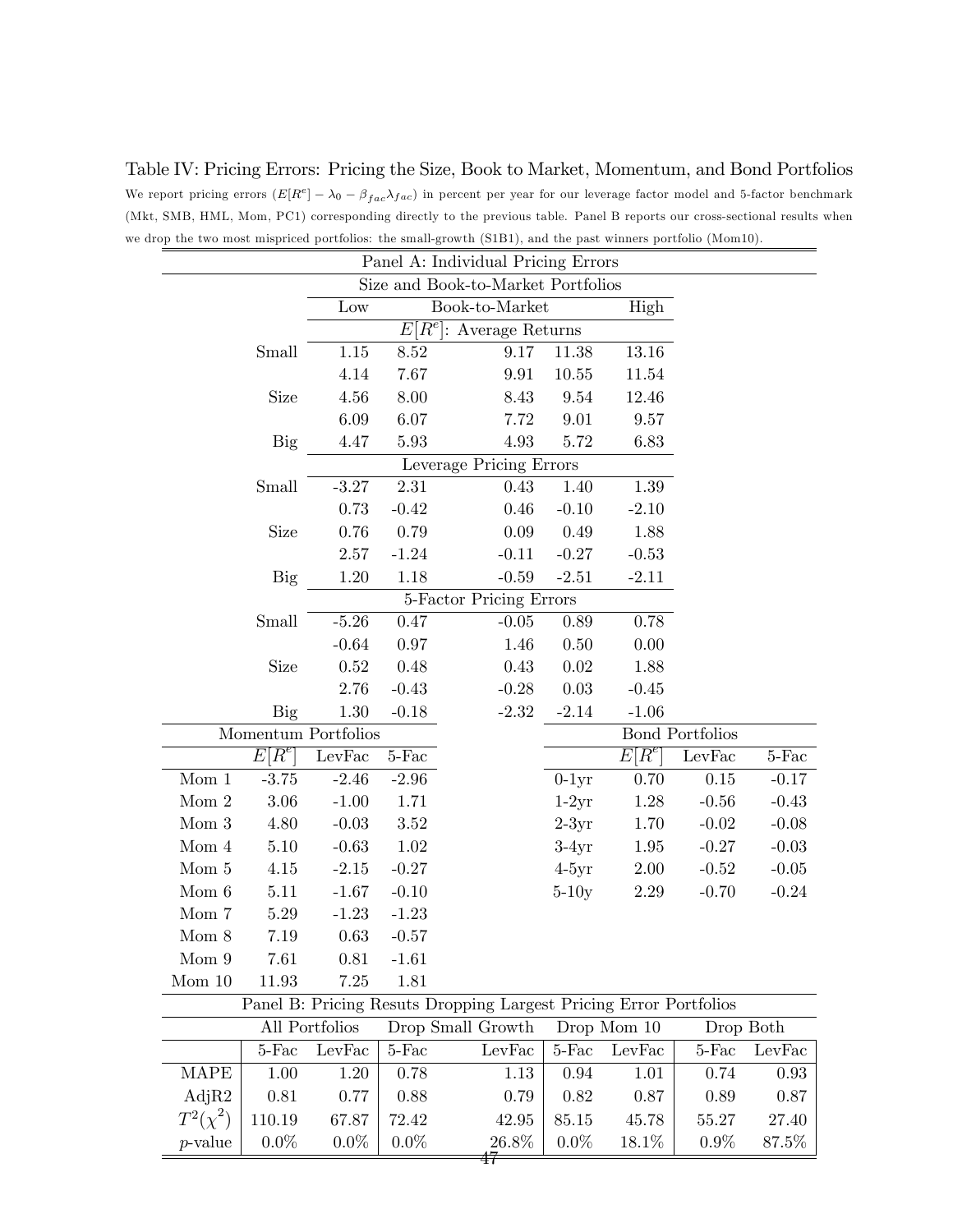|               |            |                     |            | drop the two most mispriced portfolios: the small-growth (S1B1), and the past winners portfolio (Mom10).<br>Panel A: Individual Pricing Errors |         |             |                        |           |
|---------------|------------|---------------------|------------|------------------------------------------------------------------------------------------------------------------------------------------------|---------|-------------|------------------------|-----------|
|               |            |                     |            | Size and Book-to-Market Portfolios                                                                                                             |         |             |                        |           |
|               |            | Low                 |            | Book-to-Market                                                                                                                                 |         | High        |                        |           |
|               |            |                     | $E[R^e]$ : | Average Returns                                                                                                                                |         |             |                        |           |
|               | Small      | $1.15\,$            | 8.52       | 9.17                                                                                                                                           | 11.38   | 13.16       |                        |           |
|               |            | 4.14                | 7.67       | 9.91                                                                                                                                           | 10.55   | 11.54       |                        |           |
|               | Size       | 4.56                | 8.00       | 8.43                                                                                                                                           | 9.54    | 12.46       |                        |           |
|               |            | 6.09                | 6.07       | 7.72                                                                                                                                           | 9.01    | 9.57        |                        |           |
|               | <b>Big</b> | 4.47                | 5.93       | 4.93                                                                                                                                           | 5.72    | 6.83        |                        |           |
|               |            |                     |            | Leverage Pricing Errors                                                                                                                        |         |             |                        |           |
|               | Small      | $-3.27$             | 2.31       | 0.43                                                                                                                                           | 1.40    | $1.39\,$    |                        |           |
|               |            | 0.73                | $-0.42$    | 0.46                                                                                                                                           | $-0.10$ | $-2.10$     |                        |           |
|               | Size       | 0.76                | 0.79       | 0.09                                                                                                                                           | 0.49    | 1.88        |                        |           |
|               |            | 2.57                | $-1.24$    | $-0.11$                                                                                                                                        | $-0.27$ | $-0.53$     |                        |           |
|               | Big        | 1.20                | 1.18       | $-0.59$                                                                                                                                        | $-2.51$ | $-2.11$     |                        |           |
|               |            |                     |            | 5-Factor Pricing Errors                                                                                                                        |         |             |                        |           |
|               | Small      | $-5.26$             | 0.47       | $-0.05$                                                                                                                                        | 0.89    | 0.78        |                        |           |
|               |            | $-0.64$             | 0.97       | 1.46                                                                                                                                           | 0.50    | 0.00        |                        |           |
|               | Size       | 0.52                | 0.48       | 0.43                                                                                                                                           | 0.02    | 1.88        |                        |           |
|               |            | 2.76                | $-0.43$    | $-0.28$                                                                                                                                        | 0.03    | $-0.45$     |                        |           |
|               | <b>Big</b> | 1.30                | $-0.18$    | $-2.32$                                                                                                                                        | $-2.14$ | $-1.06$     |                        |           |
|               |            | Momentum Portfolios |            |                                                                                                                                                |         |             | <b>Bond Portfolios</b> |           |
|               | $E[R^e]$   | LevFac              | $5$ -Fac   |                                                                                                                                                |         | $E[R^e]$    | LevFac                 | $5$ -Fac  |
| Mom 1         | $-3.75$    | $-2.46$             | $-2.96$    |                                                                                                                                                | $0-1yr$ | 0.70        | 0.15                   | $-0.17$   |
| Mom 2         | 3.06       | $-1.00$             | 1.71       |                                                                                                                                                | $1-2yr$ | 1.28        | $-0.56$                | $-0.43$   |
| Mom 3         | 4.80       | $-0.03$             | 3.52       |                                                                                                                                                | $2-3yr$ | 1.70        | $-0.02$                | $-0.08$   |
| Mom 4         | 5.10       | $-0.63$             | 1.02       |                                                                                                                                                | $3-4yr$ | 1.95        | $-0.27$                | $-0.03$   |
| Mom 5         | 4.15       | $-2.15$             | $-0.27$    |                                                                                                                                                | $4-5yr$ | $2.00\,$    | $-0.52$                | $-0.05$   |
| Mom 6         | 5.11       | $-1.67$             | $-0.10$    |                                                                                                                                                | $5-10y$ | 2.29        | $-0.70$                | $-0.24$   |
| Mom 7         | 5.29       | $-1.23$             | $-1.23$    |                                                                                                                                                |         |             |                        |           |
| Mom 8         | 7.19       | 0.63                | $-0.57$    |                                                                                                                                                |         |             |                        |           |
| Mom 9         | 7.61       | 0.81                | $-1.61$    |                                                                                                                                                |         |             |                        |           |
| Mom 10        | 11.93      | 7.25                | 1.81       |                                                                                                                                                |         |             |                        |           |
|               |            |                     |            | Panel B: Pricing Resuts Dropping Largest Pricing Error Portfolios                                                                              |         |             |                        |           |
|               |            | All Portfolios      |            | Drop Small Growth                                                                                                                              |         | Drop Mom 10 |                        | Drop Both |
|               | $5-Fac$    | LevFac              | $5$ -Fac   | LevFac                                                                                                                                         | $5-Fac$ | LevFac      | $5-Fac$                | LevFac    |
| <b>MAPE</b>   | 1.00       | 1.20                | 0.78       | 1.13                                                                                                                                           | 0.94    | 1.01        | 0.74                   | 0.93      |
| AdjR2         | 0.81       | 0.77                | 0.88       | 0.79                                                                                                                                           | 0.82    | 0.87        | 0.89                   | 0.87      |
| $T^2(\chi^2)$ | 110.19     | 67.87               | 72.42      | 42.95                                                                                                                                          | 85.15   | 45.78       | 55.27                  | 27.40     |
| $p$ -value    | $0.0\%$    | $0.0\%$             | $0.0\%$    | 26.8%                                                                                                                                          | $0.0\%$ | 18.1\%      | $0.9\%$                | 87.5%     |

Table IV: Pricing Errors: Pricing the Size, Book to Market, Momentum, and Bond Portfolios We report pricing errors  $(E[R^e] - \lambda_0 - \beta_{fac}\lambda_{fac})$  in percent per year for our leverage factor model and 5-factor benchmark (Mkt, SMB, HML, Mom, PC1) corresponding directly to the previous table. Panel B reports our cross-sectional results when we drop the two most mispriced portfolios: the small-growth (S1B1), and the past winners portfolio (Mom10).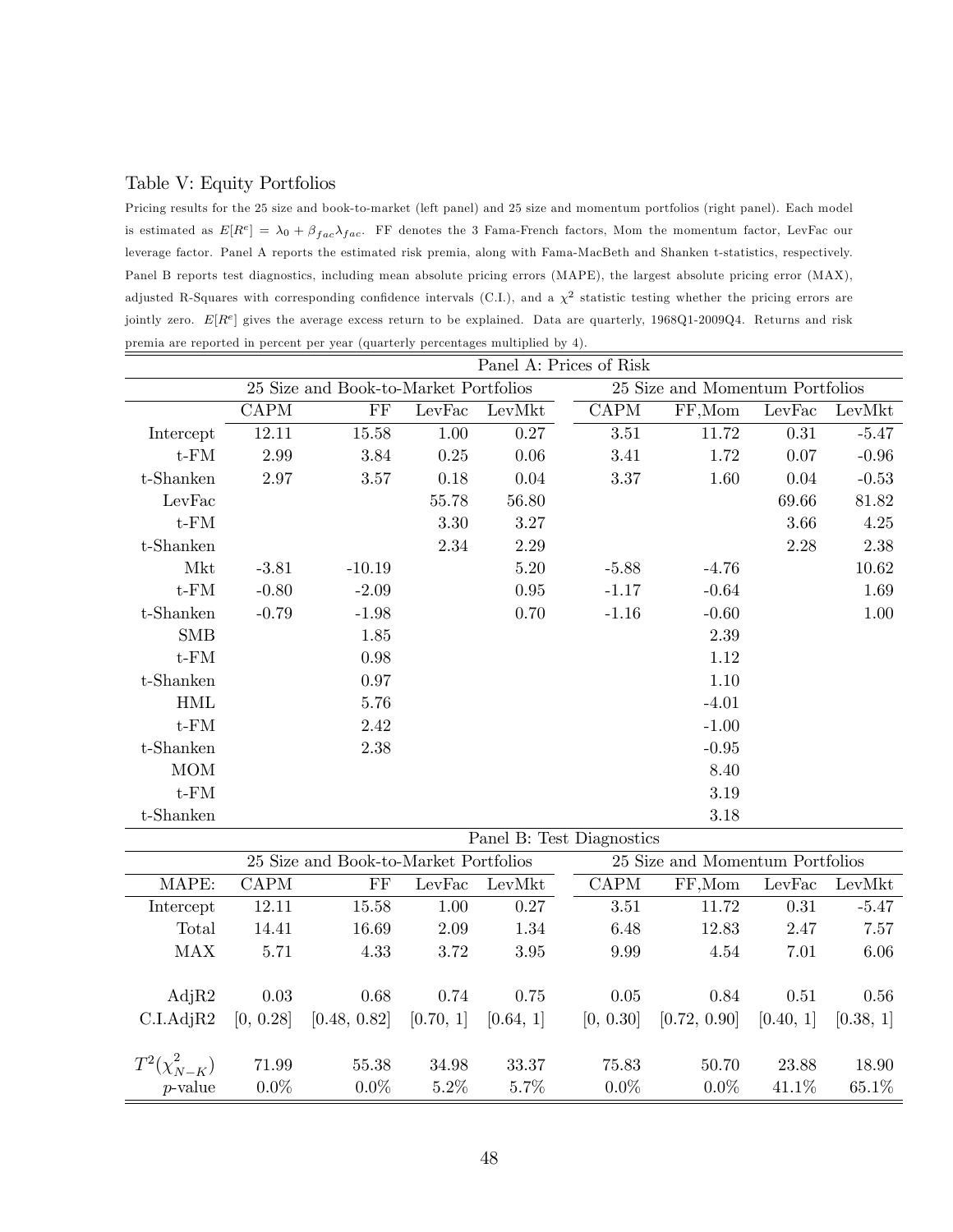### Table V: Equity Portfolios

Pricing results for the 25 size and book-to-market (left panel) and 25 size and momentum portfolios (right panel). Each model is estimated as  $E[R^e] = \lambda_0 + \beta_{fac}\lambda_{fac}$ . FF denotes the 3 Fama-French factors, Mom the momentum factor, LevFac our leverage factor. Panel A reports the estimated risk premia, along with Fama-MacBeth and Shanken t-statistics, respectively. Panel B reports test diagnostics, including mean absolute pricing errors (MAPE), the largest absolute pricing error (MAX), adjusted R-Squares with corresponding confidence intervals (C.I.), and a  $\chi^2$  statistic testing whether the pricing errors are jointly zero.  $E[R^e]$  gives the average excess return to be explained. Data are quarterly, 1968Q1-2009Q4. Returns and risk premia are reported in percent per year (quarterly percentages multiplied by 4).

|                     | Panel A: Prices of Risk |                                       |                |           |                           |                                 |           |           |  |
|---------------------|-------------------------|---------------------------------------|----------------|-----------|---------------------------|---------------------------------|-----------|-----------|--|
|                     |                         | 25 Size and Book-to-Market Portfolios |                |           |                           | 25 Size and Momentum Portfolios |           |           |  |
|                     | <b>CAPM</b>             | $\overline{\mathrm{FF}}$              | LevFac         | LevMkt    | <b>CAPM</b>               | FF, Mom                         | LevFac    | LevMkt    |  |
| Intercept           | 12.11                   | 15.58                                 | 1.00           | 0.27      | 3.51                      | 11.72                           | $0.31\,$  | $-5.47$   |  |
| $t$ - $FM$          | 2.99                    | 3.84                                  | 0.25           | 0.06      | $3.41\,$                  | 1.72                            | $0.07\,$  | $-0.96$   |  |
| $t$ -Shanken        | 2.97                    | $3.57\,$                              | 0.18           | $0.04\,$  | $3.37\,$                  | 1.60                            | 0.04      | $-0.53$   |  |
| LevFac              |                         |                                       | 55.78          | $56.80\,$ |                           |                                 | 69.66     | 81.82     |  |
| $t$ - $FM$          |                         |                                       | 3.30           | $3.27\,$  |                           |                                 | 3.66      | 4.25      |  |
| t-Shanken           |                         |                                       | 2.34           | 2.29      |                           |                                 | 2.28      | 2.38      |  |
| Mkt                 | $-3.81$                 | $-10.19$                              |                | 5.20      | $-5.88$                   | $-4.76$                         |           | $10.62\,$ |  |
| $t$ - $FM$          | $-0.80$                 | $-2.09$                               |                | $0.95\,$  | $-1.17$                   | $-0.64$                         |           | 1.69      |  |
| t-Shanken           | $-0.79$                 | $-1.98$                               |                | 0.70      | $-1.16$                   | $-0.60$                         |           | 1.00      |  |
| <b>SMB</b>          |                         | 1.85                                  |                |           |                           | 2.39                            |           |           |  |
| $t$ - $FM$          |                         | 0.98                                  |                |           |                           | 1.12                            |           |           |  |
| t-Shanken           |                         | 0.97                                  |                |           |                           | 1.10                            |           |           |  |
| <b>HML</b>          |                         | 5.76                                  |                |           |                           | $-4.01$                         |           |           |  |
| $t$ - $FM$          |                         | 2.42                                  |                |           |                           | $-1.00$                         |           |           |  |
| $t$ -Shanken        |                         | 2.38                                  |                |           |                           | $-0.95$                         |           |           |  |
| <b>MOM</b>          |                         |                                       |                |           |                           | 8.40                            |           |           |  |
| $t$ - $FM$          |                         |                                       |                |           |                           | 3.19                            |           |           |  |
| $t$ -Shanken        |                         |                                       |                |           |                           | 3.18                            |           |           |  |
|                     |                         |                                       |                |           | Panel B: Test Diagnostics |                                 |           |           |  |
|                     |                         | 25 Size and Book-to-Market Portfolios |                |           |                           | 25 Size and Momentum Portfolios |           |           |  |
| MAPE:               | $\text{CAPM}$           | $\rm FF$                              | ${\rm LevFac}$ | LevMkt    | $\mathop{\mathrm{CAPM}}$  | FF,Mom                          | LevFac    | LevMkt    |  |
| Intercept           | 12.11                   | 15.58                                 | 1.00           | 0.27      | $3.51\,$                  | 11.72                           | 0.31      | $-5.47$   |  |
| Total               | 14.41                   | 16.69                                 | 2.09           | $1.34\,$  | 6.48                      | 12.83                           | 2.47      | 7.57      |  |
| MAX                 | 5.71                    | 4.33                                  | 3.72           | 3.95      | 9.99                      | 4.54                            | 7.01      | 6.06      |  |
|                     |                         |                                       |                |           |                           |                                 |           |           |  |
| AdjR2               | 0.03                    | 0.68                                  | 0.74           | 0.75      | $0.05\,$                  | 0.84                            | 0.51      | 0.56      |  |
| C.I.AdjR2           | [0, 0.28]               | [0.48, 0.82]                          | [0.70, 1]      | [0.64, 1] | [0, 0.30]                 | [0.72, 0.90]                    | [0.40, 1] | [0.38, 1] |  |
|                     |                         |                                       |                |           |                           |                                 |           |           |  |
| $T^2(\chi^2_{N-K})$ | 71.99                   | 55.38                                 | 34.98          | 33.37     | 75.83                     | 50.70                           | 23.88     | 18.90     |  |
| $p$ -value          | $0.0\%$                 | $0.0\%$                               | 5.2%           | 5.7%      | $0.0\%$                   | $0.0\%$                         | 41.1%     | 65.1%     |  |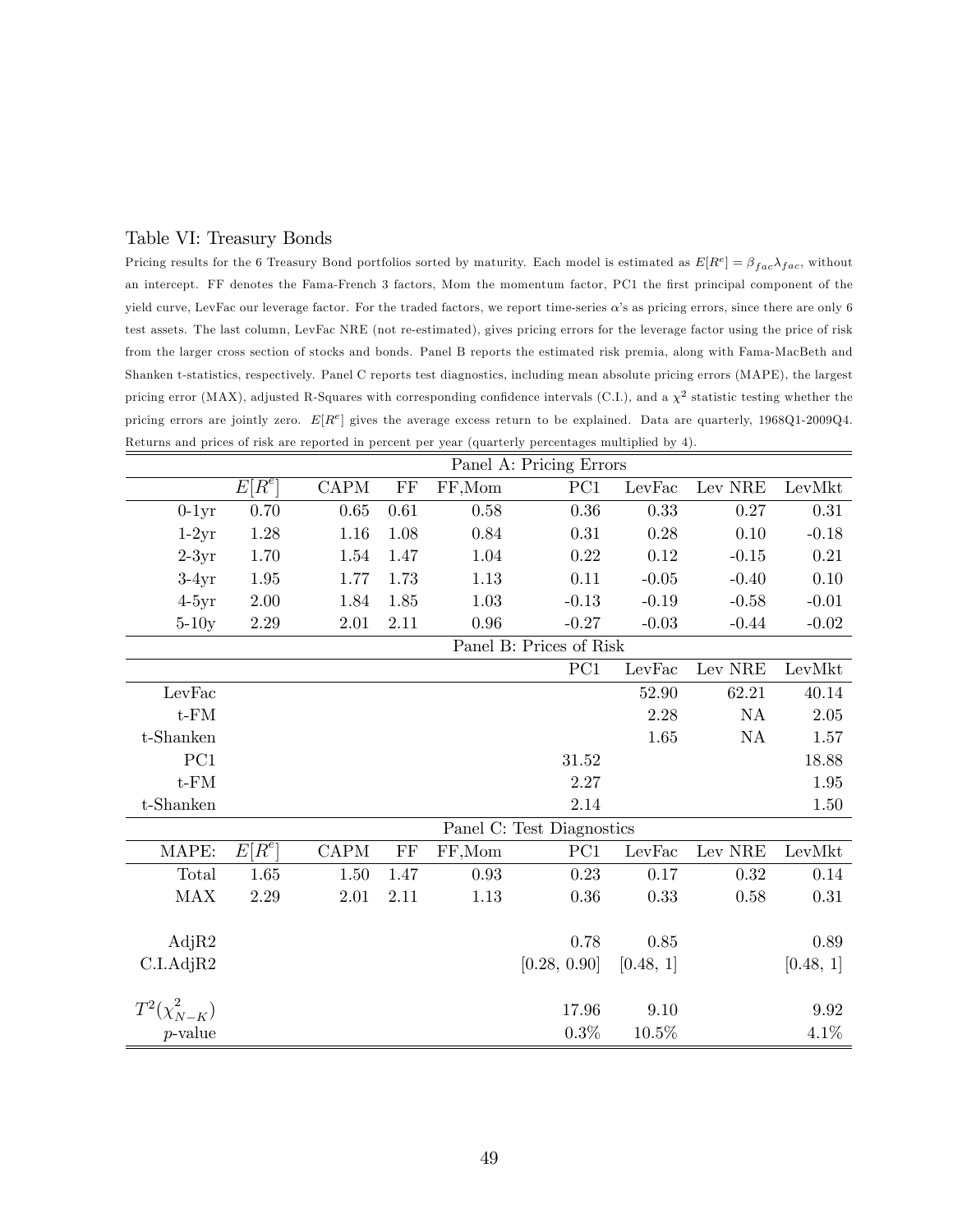#### Table VI: Treasury Bonds

Pricing results for the 6 Treasury Bond portfolios sorted by maturity. Each model is estimated as  $E[R^e] = \beta_{fac}\lambda_{fac}$ , without an intercept. FF denotes the Fama-French 3 factors, Mom the momentum factor, PC1 the first principal component of the yield curve, LevFac our leverage factor. For the traded factors, we report time-series  $\alpha$ 's as pricing errors, since there are only 6 test assets. The last column, LevFac NRE (not re-estimated), gives pricing errors for the leverage factor using the price of risk from the larger cross section of stocks and bonds. Panel B reports the estimated risk premia, along with Fama-MacBeth and Shanken t-statistics, respectively. Panel C reports test diagnostics, including mean absolute pricing errors (MAPE), the largest pricing error (MAX), adjusted R-Squares with corresponding confidence intervals (C.I.), and a  $\chi^2$  statistic testing whether the pricing errors are jointly zero.  $E[R^e]$  gives the average excess return to be explained. Data are quarterly, 1968Q1-2009Q4. Returns and prices of risk are reported in percent per year (quarterly percentages multiplied by 4).

|                     |                     | Panel A: Pricing Errors |          |          |                           |           |                 |           |  |  |  |
|---------------------|---------------------|-------------------------|----------|----------|---------------------------|-----------|-----------------|-----------|--|--|--|
|                     | $E[\overline{R^e}]$ | <b>CAPM</b>             | $\rm FF$ | FF,Mom   | PC1                       | LevFac    | ${\rm Lev}$ NRE | LevMkt    |  |  |  |
| $0-1yr$             | 0.70                | 0.65                    | 0.61     | 0.58     | 0.36                      | 0.33      | 0.27            | 0.31      |  |  |  |
| $1-2yr$             | 1.28                | $1.16\,$                | 1.08     | 0.84     | 0.31                      | 0.28      | 0.10            | $-0.18$   |  |  |  |
| $2-3yr$             | 1.70                | 1.54                    | 1.47     | 1.04     | 0.22                      | 0.12      | $-0.15$         | 0.21      |  |  |  |
| $3-4yr$             | 1.95                | 1.77                    | 1.73     | 1.13     | 0.11                      | $-0.05$   | $-0.40$         | 0.10      |  |  |  |
| $4-5yr$             | 2.00                | 1.84                    | 1.85     | 1.03     | $-0.13$                   | $-0.19$   | $-0.58$         | $-0.01$   |  |  |  |
| $5-10y$             | $2.29\,$            | $2.01\,$                | 2.11     | $\,0.96$ | $-0.27$                   | $-0.03$   | $-0.44$         | $-0.02$   |  |  |  |
|                     |                     |                         |          |          | Panel B: Prices of Risk   |           |                 |           |  |  |  |
|                     |                     |                         |          |          | PC1                       | LevFac    | Lev NRE         | LevMkt    |  |  |  |
| LevFac              |                     |                         |          |          |                           | 52.90     | 62.21           | 40.14     |  |  |  |
| $t$ - $FM$          |                     |                         |          |          |                           | 2.28      | NA              | 2.05      |  |  |  |
| t-Shanken           |                     |                         |          |          |                           | 1.65      | $\mathrm{NA}$   | 1.57      |  |  |  |
| PC1                 |                     |                         |          |          | 31.52                     |           |                 | 18.88     |  |  |  |
| $t$ - $FM$          |                     |                         |          |          | 2.27                      |           |                 | 1.95      |  |  |  |
| t-Shanken           |                     |                         |          |          | 2.14                      |           |                 | 1.50      |  |  |  |
|                     |                     |                         |          |          | Panel C: Test Diagnostics |           |                 |           |  |  |  |
| MAPE:               | $E[\overline{R^e}]$ | <b>CAPM</b>             | FF       | FF,Mom   | PC1                       | LevFac    | Lev NRE         | LevMkt    |  |  |  |
| Total               | 1.65                | 1.50                    | 1.47     | 0.93     | 0.23                      | 0.17      | 0.32            | $0.14\,$  |  |  |  |
| <b>MAX</b>          | 2.29                | 2.01                    | 2.11     | 1.13     | 0.36                      | 0.33      | 0.58            | $0.31\,$  |  |  |  |
|                     |                     |                         |          |          |                           |           |                 |           |  |  |  |
| AdjR2               |                     |                         |          |          | 0.78                      | 0.85      |                 | 0.89      |  |  |  |
| C.I.AdjR2           |                     |                         |          |          | [0.28, 0.90]              | [0.48, 1] |                 | [0.48, 1] |  |  |  |
|                     |                     |                         |          |          |                           |           |                 |           |  |  |  |
| $T^2(\chi^2_{N-K})$ |                     |                         |          |          | 17.96                     | 9.10      |                 | 9.92      |  |  |  |
| $p$ -value          |                     |                         |          |          | 0.3%                      | 10.5%     |                 | 4.1%      |  |  |  |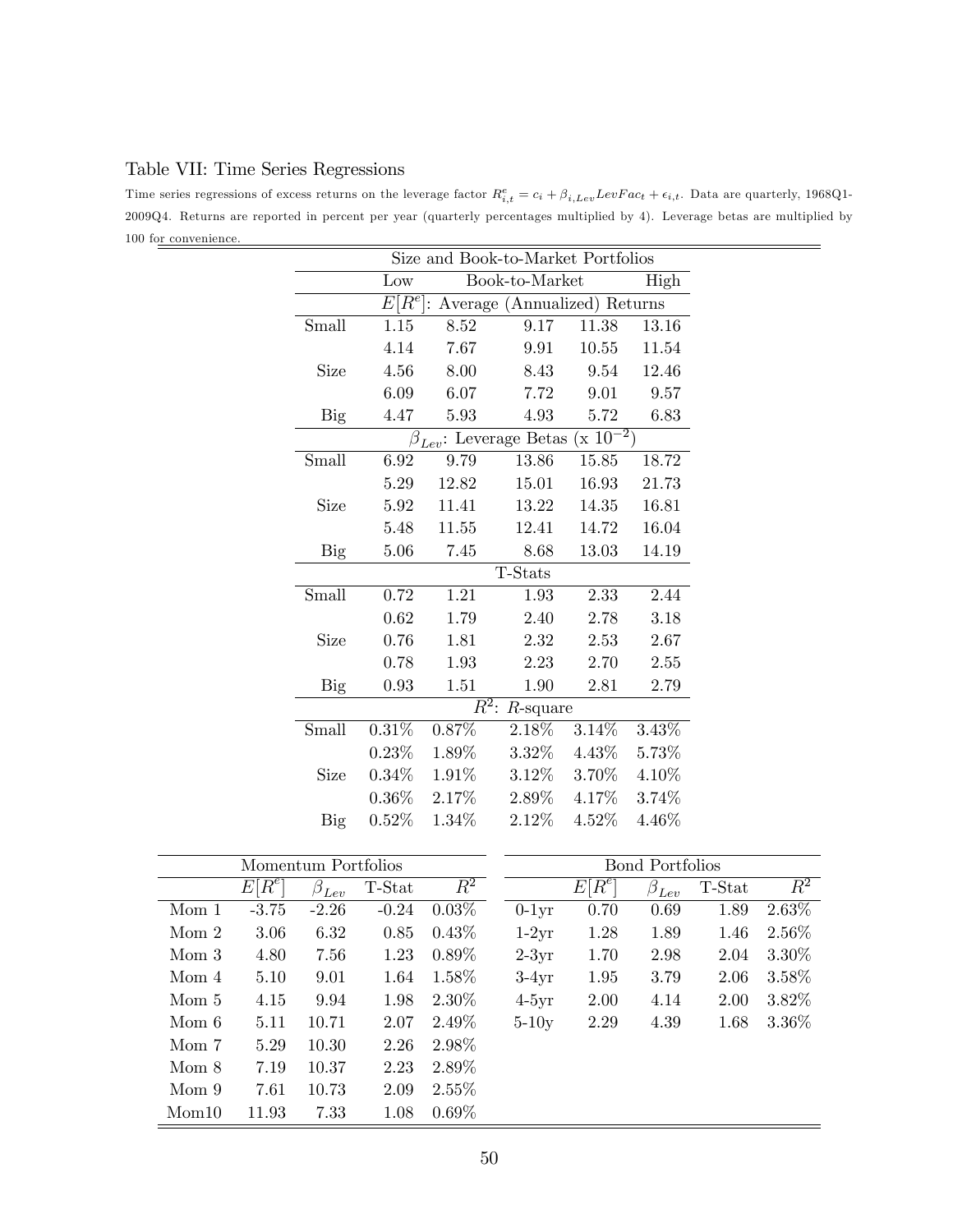## Table VII: Time Series Regressions

Time series regressions of excess returns on the leverage factor  $R_{i,t}^e = c_i + \beta_{i, Lev} LevFac_t + \epsilon_{i,t}$ . Data are quarterly, 1968Q1-2009Q4. Returns are reported in percent per year (quarterly percentages multiplied by 4). Leverage betas are multiplied by 100 for convenience.

| Size and Book-to-Market Portfolios |          |                    |                                               |          |          |  |  |  |  |  |
|------------------------------------|----------|--------------------|-----------------------------------------------|----------|----------|--|--|--|--|--|
|                                    | Low      |                    | Book-to-Market                                |          | High     |  |  |  |  |  |
|                                    |          |                    | $E[R^e]$ : Average (Annualized) Returns       |          |          |  |  |  |  |  |
| Small                              | 1.15     | 8.52               | 9.17                                          | 11.38    |          |  |  |  |  |  |
|                                    | 4.14     | 7.67               | 9.91                                          | 10.55    | 11.54    |  |  |  |  |  |
| Size                               | 4.56     | 8.00               | 8.43                                          | 9.54     | 12.46    |  |  |  |  |  |
|                                    | 6.09     | 6.07               | 7.72                                          | 9.01     | 9.57     |  |  |  |  |  |
| Big                                | 4.47     | 5.93               | 4.93                                          | 5.72     | 6.83     |  |  |  |  |  |
|                                    |          |                    | $\beta_{Lev}$ : Leverage Betas (x $10^{-2}$ ) |          |          |  |  |  |  |  |
| Small                              | 6.92     | 9.79               | 13.86                                         | 15.85    | 18.72    |  |  |  |  |  |
|                                    | 5.29     | 12.82              | 15.01                                         | 16.93    | 21.73    |  |  |  |  |  |
| Size                               | 5.92     | 11.41              | 13.22                                         | 14.35    | 16.81    |  |  |  |  |  |
|                                    | 5.48     | 11.55              | 12.41                                         | 14.72    | 16.04    |  |  |  |  |  |
| Big                                | 5.06     | 7.45               | 8.68                                          | 13.03    | 14.19    |  |  |  |  |  |
|                                    |          |                    | T-Stats                                       |          |          |  |  |  |  |  |
| Small                              | 0.72     | 1.21               | 1.93                                          | 2.33     | 2.44     |  |  |  |  |  |
|                                    | 0.62     | 1.79               | 2.40                                          | 2.78     | 3.18     |  |  |  |  |  |
| Size                               | 0.76     | 1.81               | 2.32                                          | 2.53     | 2.67     |  |  |  |  |  |
|                                    | 0.78     | 1.93               | 2.23                                          | 2.70     | 2.55     |  |  |  |  |  |
| Big                                | 0.93     | 1.51               | 1.90                                          | 2.81     | 2.79     |  |  |  |  |  |
|                                    |          | $\overline{R^2}$ : | $R$ -square                                   |          |          |  |  |  |  |  |
| Small                              | 0.31%    | 0.87%              | 2.18%                                         | 3.14%    | 3.43%    |  |  |  |  |  |
|                                    | 0.23%    | 1.89%              | $3.32\%$                                      | $4.43\%$ | 5.73%    |  |  |  |  |  |
| Size                               | $0.34\%$ | 1.91%              | 3.12%                                         | 3.70%    | 4.10%    |  |  |  |  |  |
|                                    | $0.36\%$ | 2.17%              | 2.89%                                         | 4.17%    | 3.74%    |  |  |  |  |  |
| Big                                | 0.52%    | 1.34%              | 2.12%                                         | $4.52\%$ | $4.46\%$ |  |  |  |  |  |

|       |          | Momentum Portfolios       |         |                  | Bond Portfolios |                                  |               |        |                  |
|-------|----------|---------------------------|---------|------------------|-----------------|----------------------------------|---------------|--------|------------------|
|       | $E[R^e]$ | $\beta_{L\underline{ev}}$ | T-Stat  | $\overline{R^2}$ |                 | $[R^e]$<br>$\left. E\right\vert$ | $\beta_{Lev}$ | T-Stat | $\overline{R^2}$ |
| Mom 1 | $-3.75$  | $-2.26$                   | $-0.24$ | $0.03\%$         | $0-1yr$         | 0.70                             | 0.69          | 1.89   | 2.63%            |
| Mom 2 | 3.06     | 6.32                      | 0.85    | $0.43\%$         | $1-2yr$         | 1.28                             | 1.89          | 1.46   | 2.56%            |
| Mom 3 | 4.80     | 7.56                      | 1.23    | $0.89\%$         | $2-3yr$         | 1.70                             | 2.98          | 2.04   | $3.30\%$         |
| Mom 4 | 5.10     | 9.01                      | 1.64    | $1.58\%$         | $3-4yr$         | 1.95                             | 3.79          | 2.06   | $3.58\%$         |
| Mom 5 | 4.15     | 9.94                      | 1.98    | $2.30\%$         | $4-5yr$         | 2.00                             | 4.14          | 2.00   | $3.82\%$         |
| Mom 6 | 5.11     | 10.71                     | 2.07    | 2.49\%           | $5-10y$         | 2.29                             | 4.39          | 1.68   | $3.36\%$         |
| Mom 7 | 5.29     | 10.30                     | 2.26    | 2.98\%           |                 |                                  |               |        |                  |
| Mom 8 | 7.19     | 10.37                     | 2.23    | 2.89%            |                 |                                  |               |        |                  |
| Mom 9 | 7.61     | 10.73                     | 2.09    | $2.55\%$         |                 |                                  |               |        |                  |
| Mom10 | 11.93    | 7.33                      | 1.08    | $0.69\%$         |                 |                                  |               |        |                  |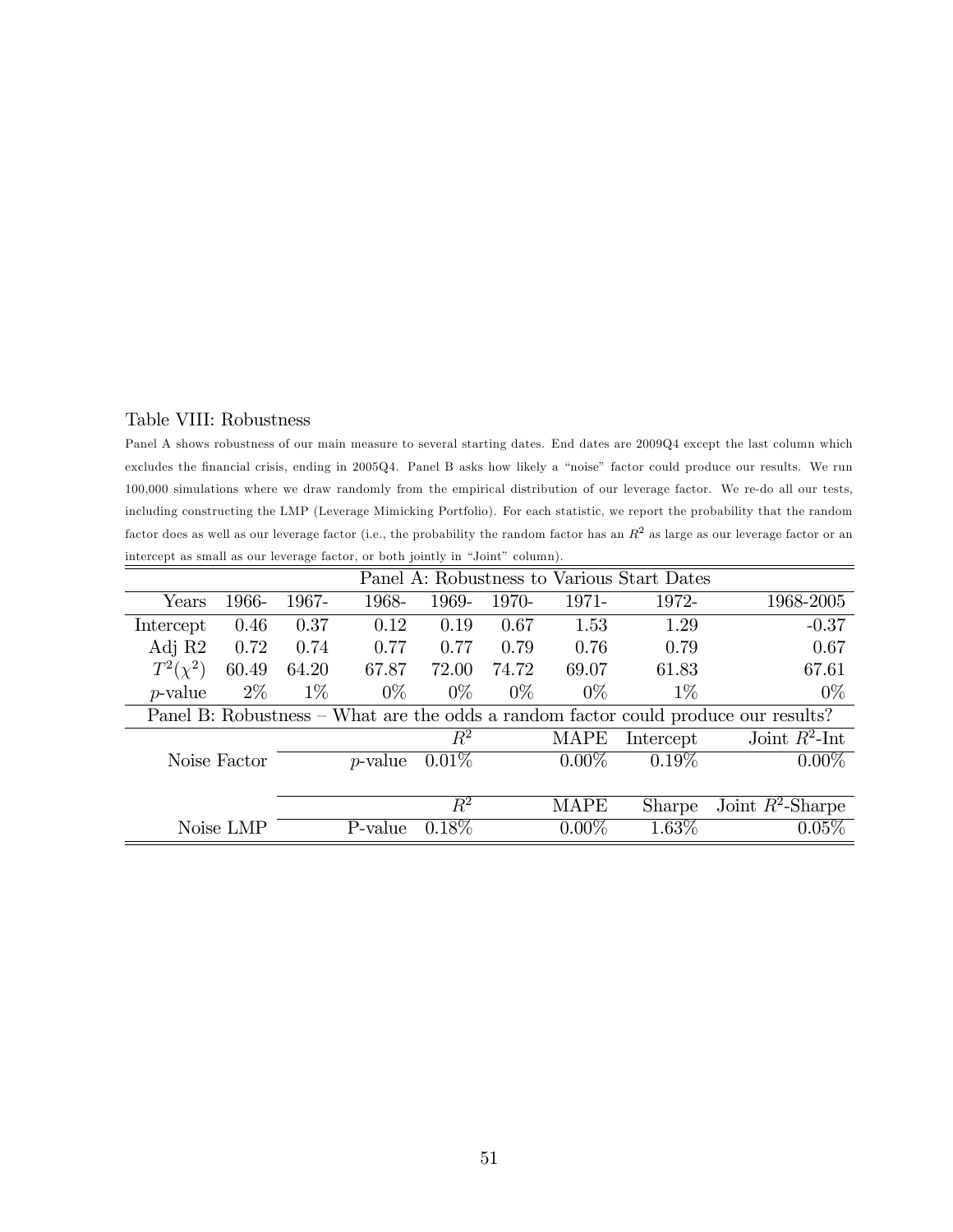## Table VIII: Robustness

Panel A shows robustness of our main measure to several starting dates. End dates are 2009Q4 except the last column which excludes the financial crisis, ending in 2005Q4. Panel B asks how likely a "noise" factor could produce our results. We run 100,000 simulations where we draw randomly from the empirical distribution of our leverage factor. We re-do all our tests, including constructing the LMP (Leverage Mimicking Portfolio). For each statistic, we report the probability that the random factor does as well as our leverage factor (i.e., the probability the random factor has an  $R^2$  as large as our leverage factor or an intercept as small as our leverage factor, or both jointly in "Joint" column).

|               | Panel A: Robustness to Various Start Dates |       |            |          |       |             |               |                                                                                    |
|---------------|--------------------------------------------|-------|------------|----------|-------|-------------|---------------|------------------------------------------------------------------------------------|
| Years         | 1966-                                      | 1967- | 1968-      | 1969-    | 1970- | 1971-       | 1972-         | 1968-2005                                                                          |
| Intercept     | 0.46                                       | 0.37  | 0.12       | 0.19     | 0.67  | 1.53        | 1.29          | $-0.37$                                                                            |
| Adj R2        | 0.72                                       | 0.74  | 0.77       | 0.77     | 0.79  | 0.76        | 0.79          | 0.67                                                                               |
| $T^2(\chi^2)$ | 60.49                                      | 64.20 | 67.87      | 72.00    | 74.72 | 69.07       | 61.83         | 67.61                                                                              |
| $p$ -value    | $2\%$                                      | $1\%$ | $0\%$      | $0\%$    | $0\%$ | $0\%$       | $1\%$         | $0\%$                                                                              |
|               |                                            |       |            |          |       |             |               | Panel B: Robustness – What are the odds a random factor could produce our results? |
|               |                                            |       |            | $\,R^2$  |       | <b>MAPE</b> | Intercept     | Joint $R^2$ -Int                                                                   |
|               | Noise Factor                               |       | $p$ -value | $0.01\%$ |       | $0.00\%$    | $0.19\%$      | $0.00\%$                                                                           |
|               |                                            |       |            |          |       |             |               |                                                                                    |
|               |                                            |       |            | $\,R^2$  |       | <b>MAPE</b> | <b>Sharpe</b> | Joint $R^2$ -Sharpe                                                                |
|               | Noise LMP                                  |       | P-value    | $0.18\%$ |       | $0.00\%$    | $1.63\%$      | 0.05%                                                                              |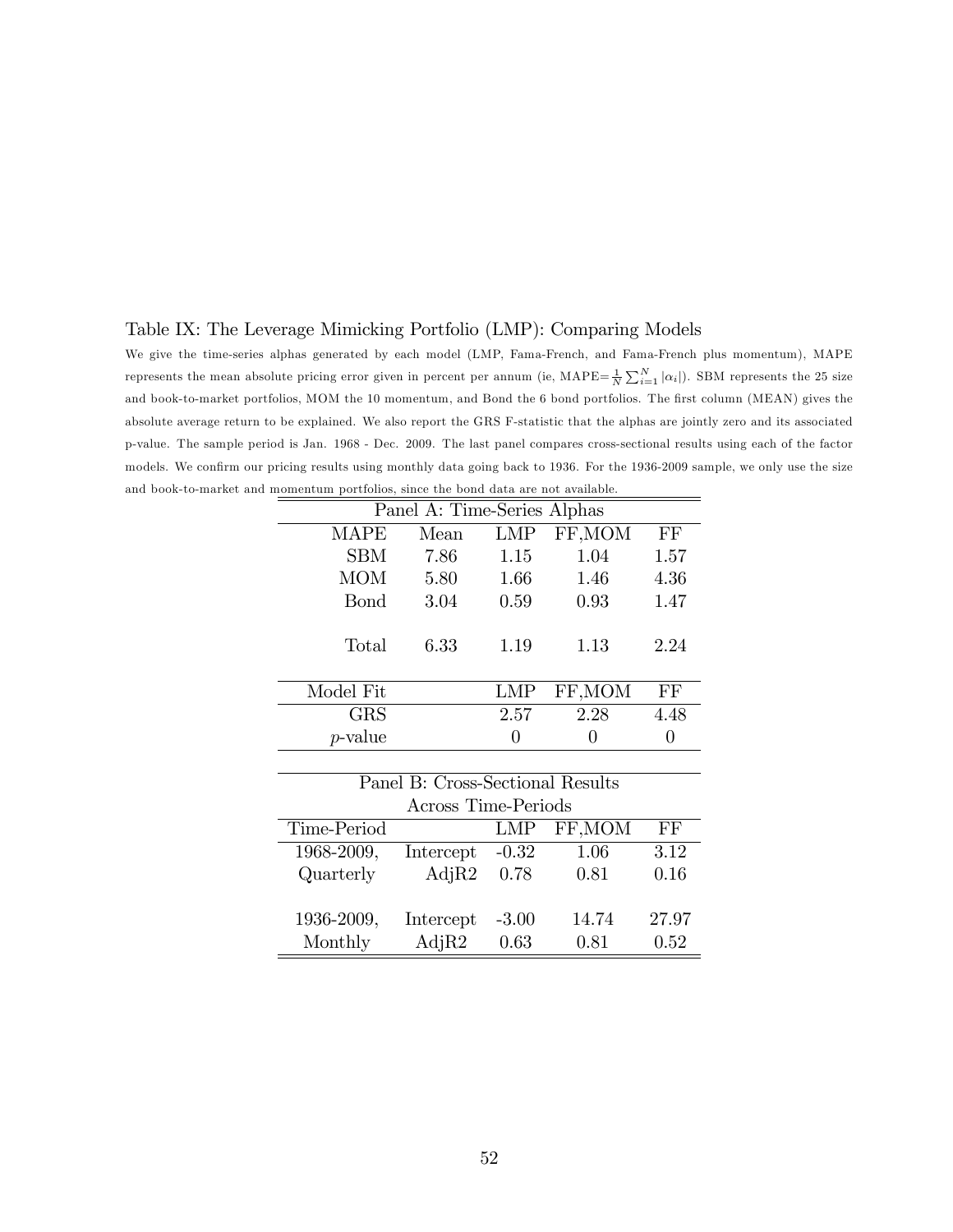#### Table IX: The Leverage Mimicking Portfolio (LMP): Comparing Models

We give the time-series alphas generated by each model (LMP, Fama-French, and Fama-French plus momentum), MAPE represents the mean absolute pricing error given in percent per annum (ie,  $\text{MAPE} = \frac{1}{N} \sum_{i=1}^{N} |\alpha_i|$ ). SBM represents the 25 size and book-to-market portfolios, MOM the 10 momentum, and Bond the 6 bond portfolios. The first column (MEAN) gives the absolute average return to be explained. We also report the GRS F-statistic that the alphas are jointly zero and its associated p-value. The sample period is Jan. 1968 - Dec. 2009. The last panel compares cross-sectional results using each of the factor models. We confirm our pricing results using monthly data going back to 1936. For the 1936-2009 sample, we only use the size and book-to-market and momentum portfolios, since the bond data are not available.  $=$ 

|              | Panel A: Time-Series Alphas |                   |         |      |
|--------------|-----------------------------|-------------------|---------|------|
| <b>MAPE</b>  | Mean                        | <b>LMP</b>        | FF, MOM | FF   |
| <b>SBM</b>   | 7.86                        | 1.15              | 1.04    | 1.57 |
| <b>MOM</b>   | 5.80                        | 1.66              | 1.46    | 4.36 |
| <b>B</b> ond | 3.04                        | 0.59              | 0.93    | 1.47 |
| Total        | 6.33                        | 1.19              | 1.13    | 2.24 |
| Model Fit    |                             | <b>LMP</b>        | FF, MOM | FF   |
| <b>GRS</b>   |                             | 2.57              | 2.28    | 4.48 |
| $p$ -value   |                             | $\mathbf{\Omega}$ |         | 0    |

| Panel B: Cross-Sectional Results |           |            |         |       |  |  |  |  |  |
|----------------------------------|-----------|------------|---------|-------|--|--|--|--|--|
| Across Time-Periods              |           |            |         |       |  |  |  |  |  |
| Time-Period                      |           | <b>LMP</b> | FF, MOM | FF    |  |  |  |  |  |
| 1968-2009,                       | Intercept | $-0.32$    | 1.06    | 3.12  |  |  |  |  |  |
| Quarterly                        | AdjR2     | 0.78       | 0.81    | 0.16  |  |  |  |  |  |
|                                  |           |            |         |       |  |  |  |  |  |
| 1936-2009,                       | Intercept | $-3.00$    | 14.74   | 27.97 |  |  |  |  |  |
| Monthly                          | AdjR2     | 0.63       | 0.81    | 0.52  |  |  |  |  |  |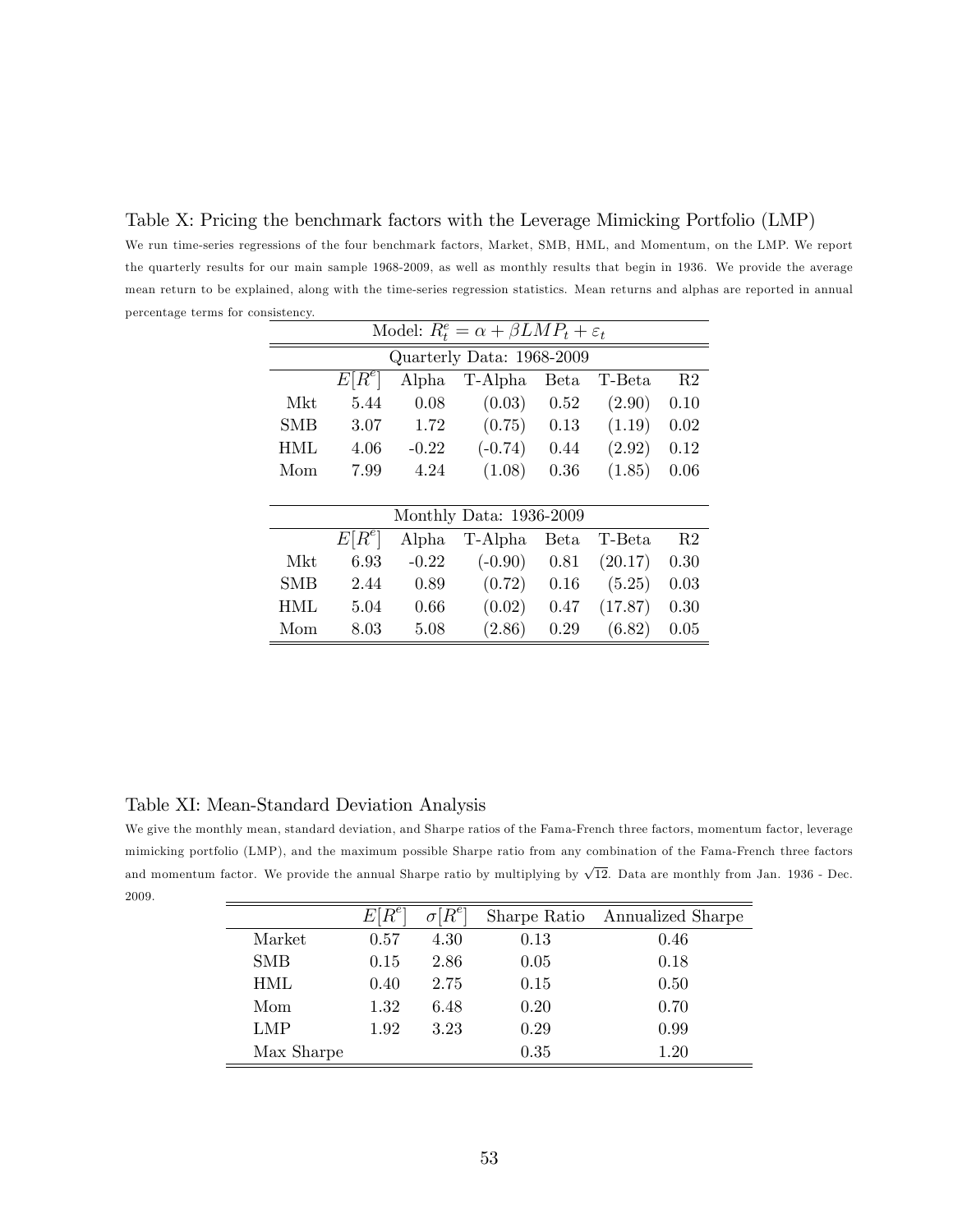Table X: Pricing the benchmark factors with the Leverage Mimicking Portfolio (LMP) We run time-series regressions of the four benchmark factors, Market, SMB, HML, and Momentum, on the LMP. We report the quarterly results for our main sample 1968-2009, as well as monthly results that begin in 1936. We provide the average mean return to be explained, along with the time-series regression statistics. Mean returns and alphas are reported in annual percentage terms for consistency.

|            | Model: $R_t^e = \alpha + \beta L M P_t + \varepsilon_t$ |         |                         |             |         |                |  |  |  |  |  |
|------------|---------------------------------------------------------|---------|-------------------------|-------------|---------|----------------|--|--|--|--|--|
|            | Quarterly Data: 1968-2009                               |         |                         |             |         |                |  |  |  |  |  |
|            | $E[R^e]$                                                | Alpha   | T-Alpha                 | <b>Beta</b> | T-Beta  | R <sub>2</sub> |  |  |  |  |  |
| Mkt.       | 5.44                                                    | 0.08    | (0.03)                  | 0.52        | (2.90)  | 0.10           |  |  |  |  |  |
| <b>SMB</b> | 3.07                                                    | 1.72    | (0.75)                  | 0.13        | (1.19)  | 0.02           |  |  |  |  |  |
| HML.       | 4.06                                                    | $-0.22$ | $(-0.74)$               | 0.44        | (2.92)  | 0.12           |  |  |  |  |  |
| Mom        | 7.99                                                    | 4.24    | (1.08)                  | 0.36        | (1.85)  | 0.06           |  |  |  |  |  |
|            |                                                         |         |                         |             |         |                |  |  |  |  |  |
|            |                                                         |         | Monthly Data: 1936-2009 |             |         |                |  |  |  |  |  |
|            | $E[R^e]$                                                | Alpha   | T-Alpha                 | Beta        | T-Beta  | R <sub>2</sub> |  |  |  |  |  |
| <b>Mkt</b> | 6.93                                                    | $-0.22$ | $(-0.90)$               | 0.81        | (20.17) | 0.30           |  |  |  |  |  |
| <b>SMB</b> | 2.44                                                    | 0.89    | (0.72)                  | 0.16        | (5.25)  | 0.03           |  |  |  |  |  |
| HML.       | 5.04                                                    | 0.66    | (0.02)                  | 0.47        | (17.87) | 0.30           |  |  |  |  |  |
| Mom        | 8.03                                                    | 5.08    | (2.86)                  | 0.29        | (6.82)  | 0.05           |  |  |  |  |  |

## Table XI: Mean-Standard Deviation Analysis

We give the monthly mean, standard deviation, and Sharpe ratios of the Fama-French three factors, momentum factor, leverage mimicking portfolio (LMP), and the maximum possible Sharpe ratio from any combination of the Fama-French three factors and momentum factor. We provide the annual Sharpe ratio by multiplying by  $\sqrt{12}$ . Data are monthly from Jan. 1936 - Dec. 2009.

|            | $E\vert$ | $\sigma[R^e]$ |      | Sharpe Ratio Annualized Sharpe |
|------------|----------|---------------|------|--------------------------------|
| Market     | 0.57     | 4.30          | 0.13 | 0.46                           |
| <b>SMB</b> | 0.15     | 2.86          | 0.05 | 0.18                           |
| HML        | 0.40     | 2.75          | 0.15 | 0.50                           |
| Mom        | 1.32     | 6.48          | 0.20 | 0.70                           |
| LMP        | 1.92     | 3.23          | 0.29 | 0.99                           |
| Max Sharpe |          |               | 0.35 | $1.20\,$                       |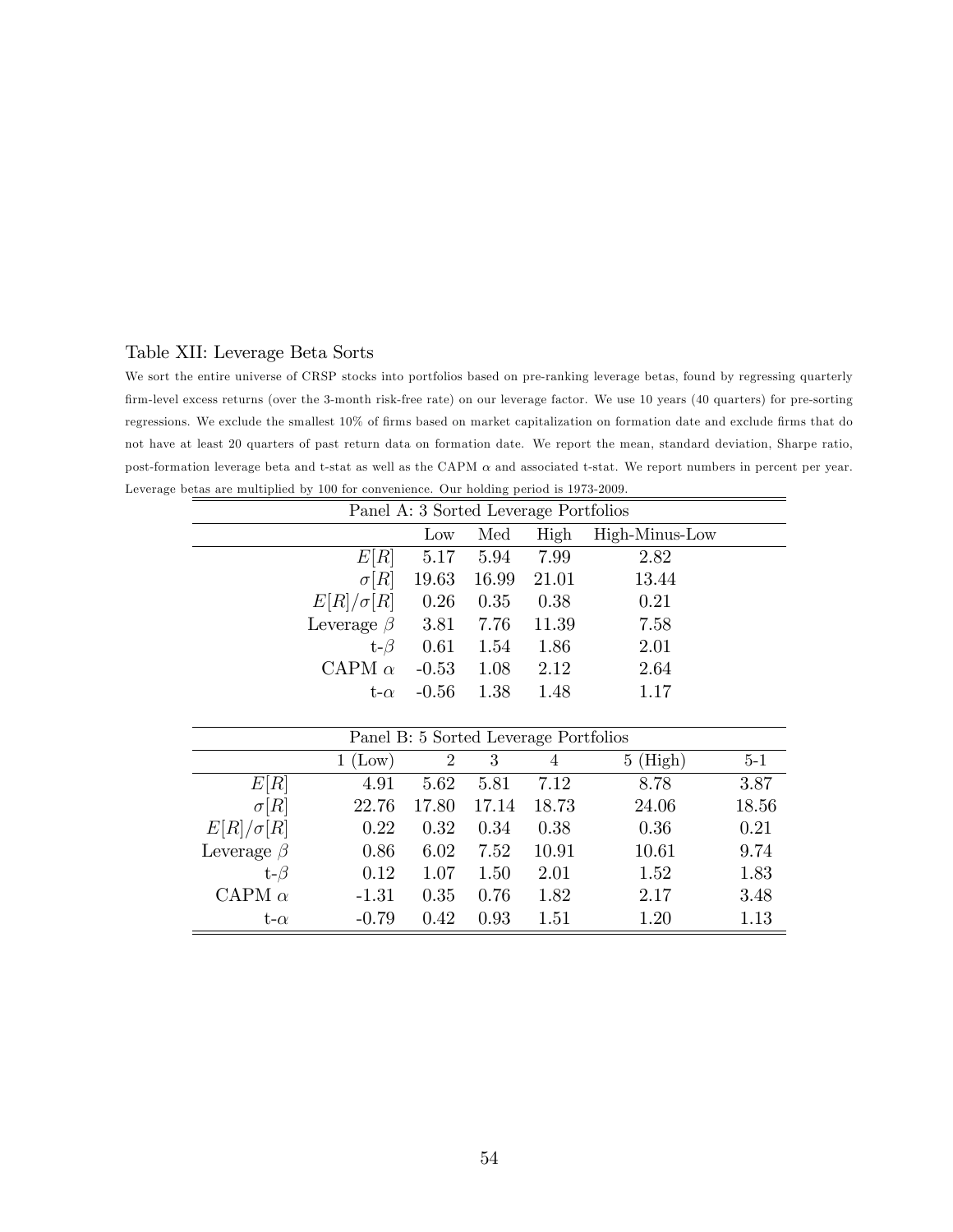### Table XII: Leverage Beta Sorts

We sort the entire universe of CRSP stocks into portfolios based on pre-ranking leverage betas, found by regressing quarterly Örm-level excess returns (over the 3-month risk-free rate) on our leverage factor. We use 10 years (40 quarters) for pre-sorting regressions. We exclude the smallest 10% of firms based on market capitalization on formation date and exclude firms that do not have at least 20 quarters of past return data on formation date. We report the mean, standard deviation, Sharpe ratio, post-formation leverage beta and t-stat as well as the CAPM  $\alpha$  and associated t-stat. We report numbers in percent per year. Leverage betas are multiplied by 100 for convenience. Our holding period is 1973-2009.

| Panel A: 3 Sorted Leverage Portfolios |         |                |       |                |  |  |
|---------------------------------------|---------|----------------|-------|----------------|--|--|
|                                       | Low     | Med            | High  | High-Minus-Low |  |  |
| E[R]                                  |         | 5.17 5.94 7.99 |       | 2.82           |  |  |
| $\sigma[R]$                           |         | 19.63 16.99    | 21.01 | 13.44          |  |  |
| $E[R]/\sigma[R] = 0.26$               |         | 0.35           | 0.38  | 0.21           |  |  |
| Leverage $\beta$ 3.81 7.76            |         |                | 11.39 | 7.58           |  |  |
| $t-\beta$                             | 0.61    | 1.54           | 1.86  | 2.01           |  |  |
| CAPM $\alpha$                         | $-0.53$ | 1.08           | 2.12  | 2.64           |  |  |
| $t-\alpha$                            | $-0.56$ | 1.38           | 1.48  | 1.17           |  |  |

| Panel B: 5 Sorted Leverage Portfolios |         |       |       |       |             |       |  |
|---------------------------------------|---------|-------|-------|-------|-------------|-------|--|
|                                       | (Low)   | 2     | 3     | 4     | (High)<br>5 | $5-1$ |  |
| E[R]                                  | 4.91    | 5.62  | 5.81  | 7.12  | 8.78        | 3.87  |  |
| $\sigma[R]$                           | 22.76   | 17.80 | 17.14 | 18.73 | 24.06       | 18.56 |  |
| $E[R]/\sigma[R]$                      | 0.22    | 0.32  | 0.34  | 0.38  | 0.36        | 0.21  |  |
| Leverage $\beta$                      | 0.86    | 6.02  | 7.52  | 10.91 | 10.61       | 9.74  |  |
| t- $\beta$                            | 0.12    | 1.07  | 1.50  | 2.01  | 1.52        | 1.83  |  |
| CAPM $\alpha$                         | $-1.31$ | 0.35  | 0.76  | 1.82  | 2.17        | 3.48  |  |
| t- $\alpha$                           | $-0.79$ | 0.42  | 0.93  | 1.51  | 1.20        | 1.13  |  |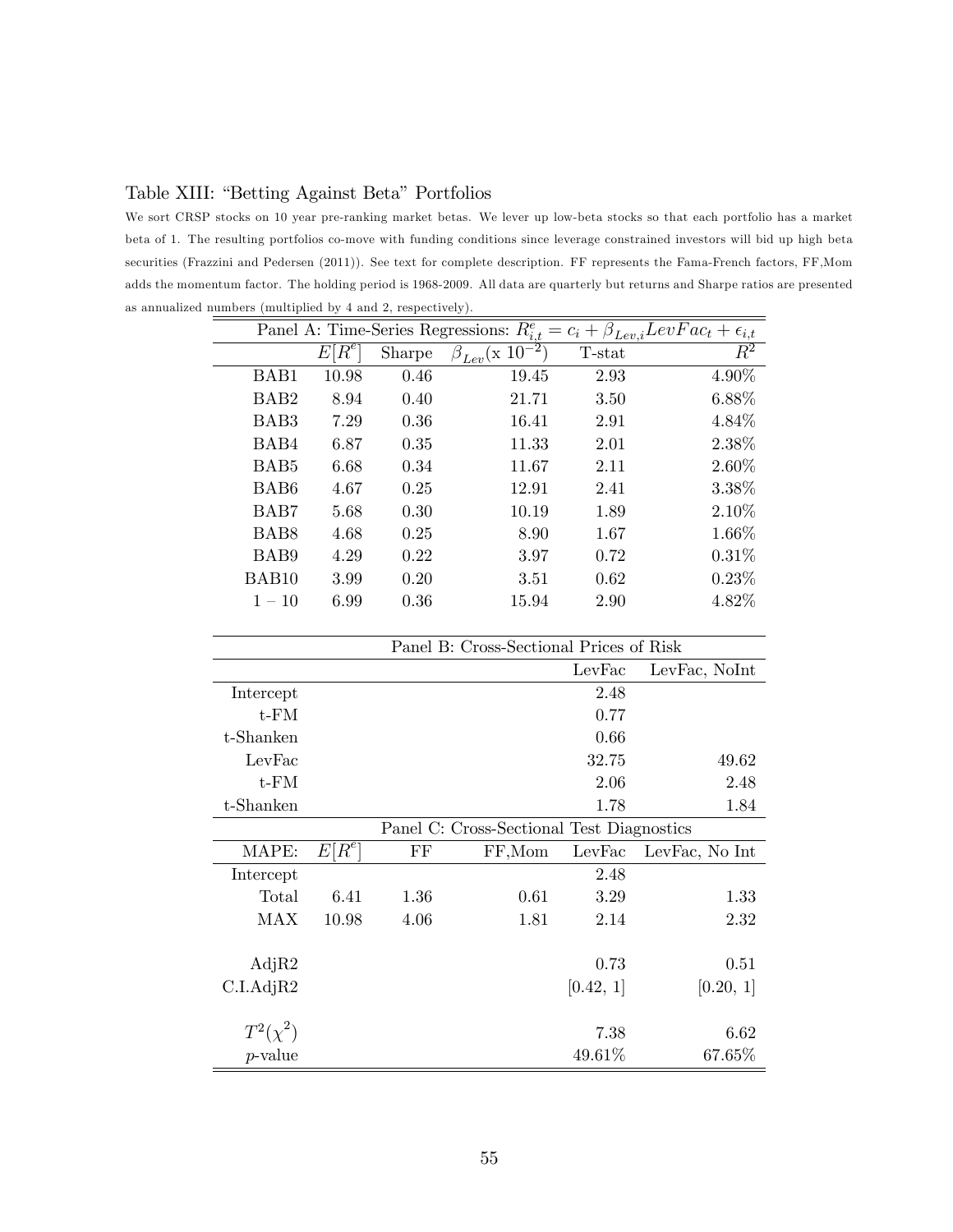Table XIII: "Betting Against Beta" Portfolios

We sort CRSP stocks on 10 year pre-ranking market betas. We lever up low-beta stocks so that each portfolio has a market beta of 1. The resulting portfolios co-move with funding conditions since leverage constrained investors will bid up high beta securities (Frazzini and Pedersen (2011)). See text for complete description. FF represents the Fama-French factors, FF,Mom adds the momentum factor. The holding period is 1968-2009. All data are quarterly but returns and Sharpe ratios are presented as annualized numbers (multiplied by 4 and 2, respectively).

| Panel A: Time-Series Regressions: $R_{i,t}^e = c_i + \beta_{Lev,i} LevFac_t + \epsilon_{i,t}$ |              |        |                                             |        |          |  |
|-----------------------------------------------------------------------------------------------|--------------|--------|---------------------------------------------|--------|----------|--|
|                                                                                               | $R^e\,$<br>E | Sharpe | $\cdot$ <sub>2</sub><br>$\beta_{Lev}$ (x 10 | T-stat | $\,R^2$  |  |
| BAB1                                                                                          | 10.98        | 0.46   | 19.45                                       | 2.93   | 4.90%    |  |
| BAB <sub>2</sub>                                                                              | 8.94         | 0.40   | 21.71                                       | 3.50   | 6.88%    |  |
| BAB3                                                                                          | 7.29         | 0.36   | 16.41                                       | 2.91   | 4.84%    |  |
| BAB4                                                                                          | 6.87         | 0.35   | 11.33                                       | 2.01   | 2.38%    |  |
| BAB <sub>5</sub>                                                                              | 6.68         | 0.34   | 11.67                                       | 2.11   | $2.60\%$ |  |
| BAB <sub>6</sub>                                                                              | 4.67         | 0.25   | 12.91                                       | 2.41   | 3.38%    |  |
| BAB7                                                                                          | 5.68         | 0.30   | 10.19                                       | 1.89   | 2.10%    |  |
| BAB <sub>8</sub>                                                                              | 4.68         | 0.25   | 8.90                                        | 1.67   | $1.66\%$ |  |
| BAB9                                                                                          | 4.29         | 0.22   | 3.97                                        | 0.72   | 0.31%    |  |
| BAB10                                                                                         | 3.99         | 0.20   | 3.51                                        | 0.62   | 0.23%    |  |
| $1 - 10$                                                                                      | 6.99         | 0.36   | 15.94                                       | 2.90   | 4.82%    |  |

| Panel B: Cross-Sectional Prices of Risk |                                           |          |        |           |                |  |
|-----------------------------------------|-------------------------------------------|----------|--------|-----------|----------------|--|
|                                         |                                           |          |        | LevFac    | LevFac, NoInt  |  |
| Intercept                               |                                           |          |        | 2.48      |                |  |
| t-FM                                    |                                           |          |        | 0.77      |                |  |
| t-Shanken                               |                                           |          |        | 0.66      |                |  |
| LevFac                                  |                                           |          |        | 32.75     | 49.62          |  |
| $t$ - $FM$                              |                                           |          |        | 2.06      | 2.48           |  |
| t-Shanken                               |                                           |          |        | 1.78      | 1.84           |  |
|                                         | Panel C: Cross-Sectional Test Diagnostics |          |        |           |                |  |
| MAPE:                                   | $E[R^e]$                                  | $\rm FF$ | FF,Mom | LevFac    | LevFac, No Int |  |
| Intercept                               |                                           |          |        | 2.48      |                |  |
| Total                                   | 6.41                                      | 1.36     | 0.61   | 3.29      | 1.33           |  |
| MAX                                     | 10.98                                     | 4.06     | 1.81   | 2.14      | 2.32           |  |
|                                         |                                           |          |        |           |                |  |
| AdjR2                                   |                                           |          |        | 0.73      | 0.51           |  |
| C.I.AdjR2                               |                                           |          |        | [0.42, 1] | [0.20, 1]      |  |
|                                         |                                           |          |        |           |                |  |
| $T^2(\chi^2)$                           |                                           |          |        | 7.38      | 6.62           |  |
| $p$ -value                              |                                           |          |        | 49.61%    | 67.65%         |  |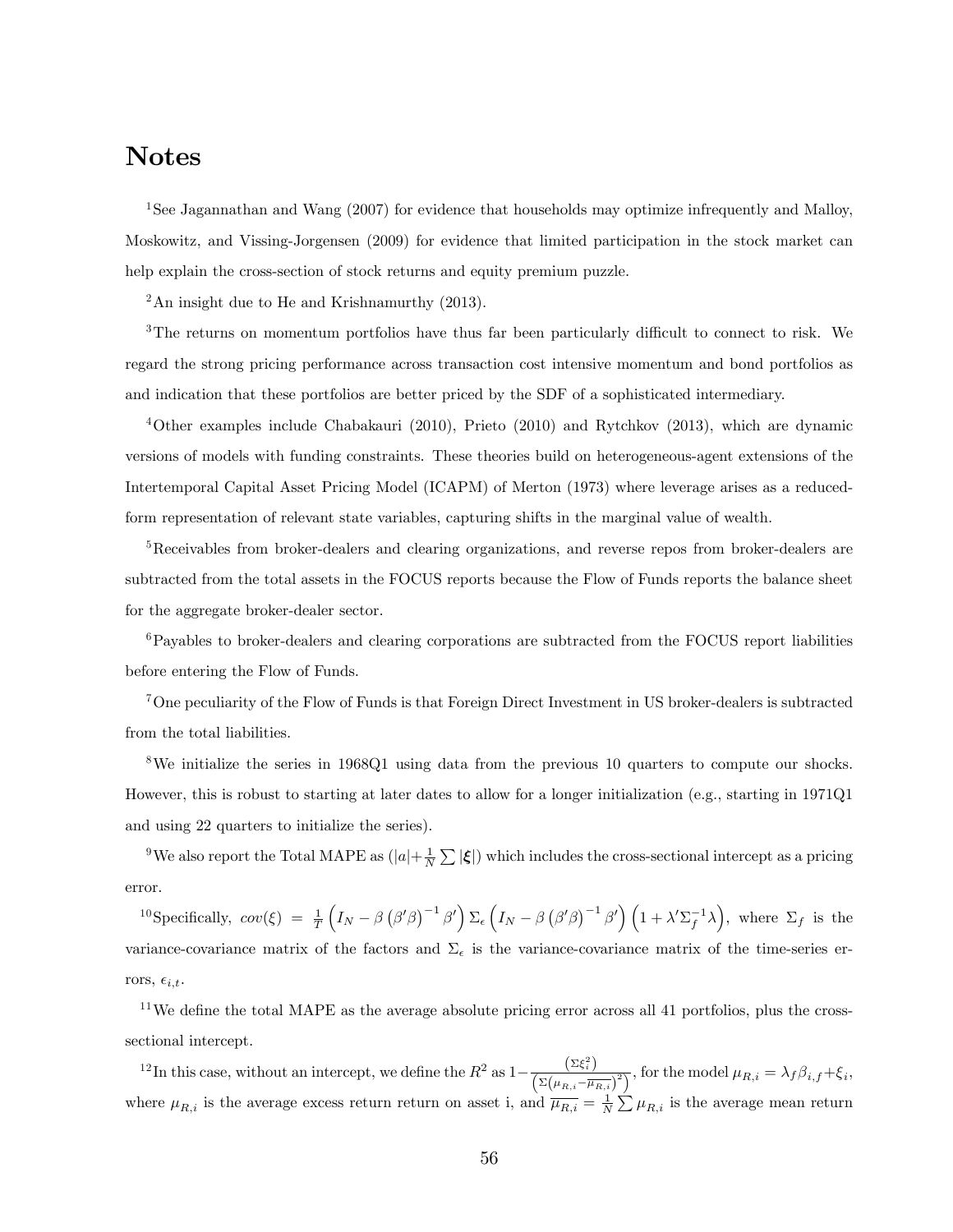# Notes

<sup>1</sup>See Jagannathan and Wang (2007) for evidence that households may optimize infrequently and Malloy, Moskowitz, and Vissing-Jorgensen (2009) for evidence that limited participation in the stock market can help explain the cross-section of stock returns and equity premium puzzle.

 $2$ An insight due to He and Krishnamurthy (2013).

 $3$ The returns on momentum portfolios have thus far been particularly difficult to connect to risk. We regard the strong pricing performance across transaction cost intensive momentum and bond portfolios as and indication that these portfolios are better priced by the SDF of a sophisticated intermediary.

<sup>4</sup>Other examples include Chabakauri (2010), Prieto (2010) and Rytchkov (2013), which are dynamic versions of models with funding constraints. These theories build on heterogeneous-agent extensions of the Intertemporal Capital Asset Pricing Model (ICAPM) of Merton (1973) where leverage arises as a reducedform representation of relevant state variables, capturing shifts in the marginal value of wealth.

<sup>5</sup>Receivables from broker-dealers and clearing organizations, and reverse repos from broker-dealers are subtracted from the total assets in the FOCUS reports because the Flow of Funds reports the balance sheet for the aggregate broker-dealer sector.

<sup>6</sup>Payables to broker-dealers and clearing corporations are subtracted from the FOCUS report liabilities before entering the Flow of Funds.

<sup>7</sup>One peculiarity of the Flow of Funds is that Foreign Direct Investment in US broker-dealers is subtracted from the total liabilities.

<sup>8</sup>We initialize the series in 1968Q1 using data from the previous 10 quarters to compute our shocks. However, this is robust to starting at later dates to allow for a longer initialization (e.g., starting in 1971Q1 and using 22 quarters to initialize the series).

<sup>9</sup>We also report the Total MAPE as  $(|a|+\frac{1}{N}\sum |\xi|)$  which includes the cross-sectional intercept as a pricing error.

<sup>10</sup>Specifically,  $cov(\xi) = \frac{1}{T}$  $\left(I_N-\beta\left(\beta'\beta\right)^{-1}\beta'\right)\Sigma_{\epsilon}\left(I_N-\beta\left(\beta'\beta\right)^{-1}\beta'\right)\left(1+\lambda'\Sigma_f^{-1}\lambda\right)$ , where  $\Sigma_f$  is the variance-covariance matrix of the factors and  $\Sigma_{\epsilon}$  is the variance-covariance matrix of the time-series errors,  $\epsilon_{i,t}$ .

 $11$ We define the total MAPE as the average absolute pricing error across all 41 portfolios, plus the crosssectional intercept.

<sup>12</sup>In this case, without an intercept, we define the  $R^2$  as  $1-\frac{(\Sigma \xi_i^2)}{(\Sigma(\mu_{R,i}-\overline{\mu_{R,i}})^2)}$ , for the model  $\mu_{R,i} = \lambda_f \beta_{i,f} + \xi_i$ , where  $\mu_{R,i}$  is the average excess return return on asset i, and  $\overline{\mu_{R,i}} = \frac{1}{N} \sum_{i} \mu_{R,i}$  is the average mean return